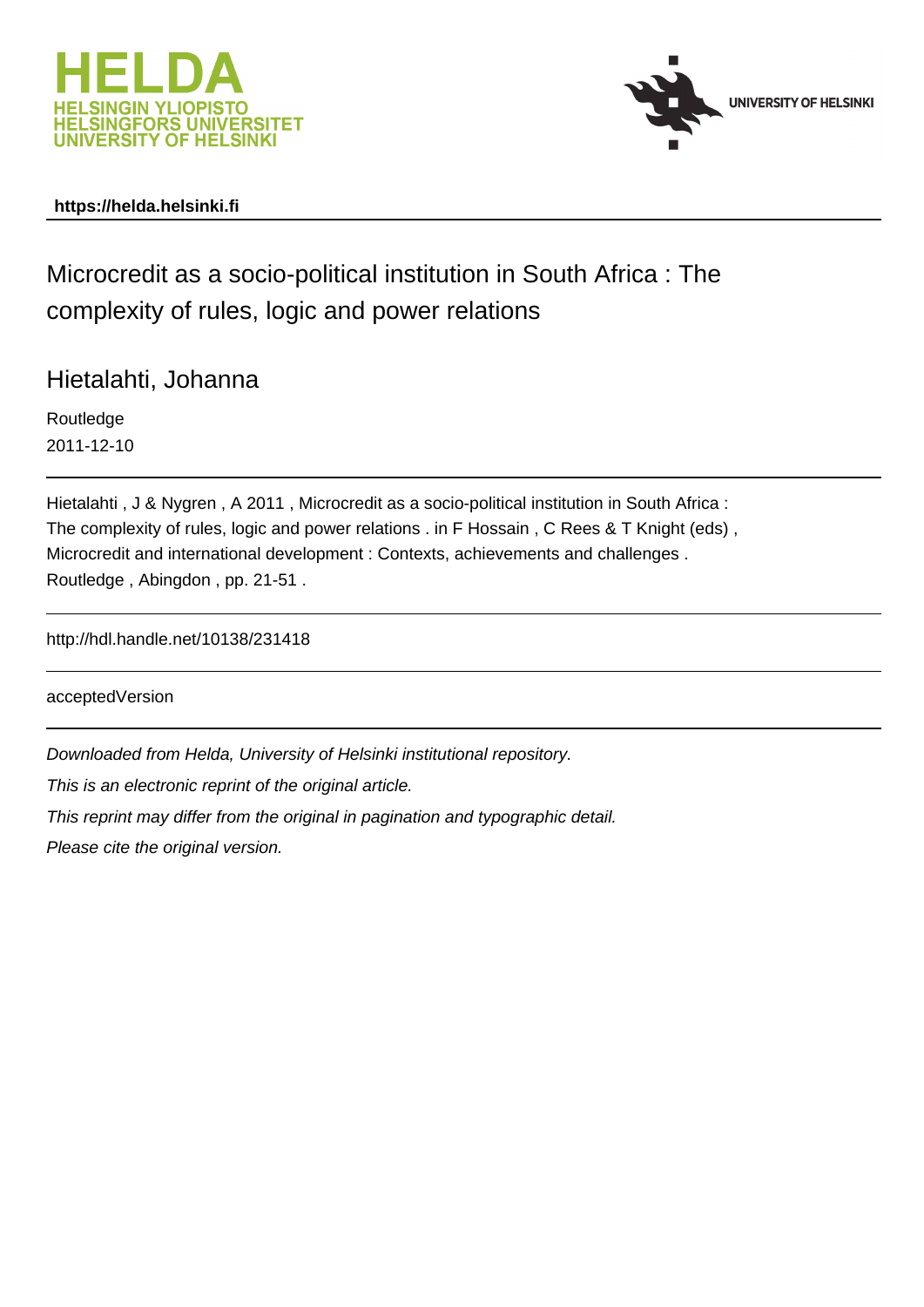



### **https://helda.helsinki.fi**

# Microcredit as a socio-political institution in South Africa : The complexity of rules, logic and power relations

Hietalahti, Johanna

Routledge 2011-12-10

Hietalahti , J & Nygren , A 2011 , Microcredit as a socio-political institution in South Africa : The complexity of rules, logic and power relations . in F Hossain , C Rees & T Knight (eds) , Microcredit and international development : Contexts, achievements and challenges . Routledge , Abingdon , pp. 21-51 .

http://hdl.handle.net/10138/231418

acceptedVersion

Downloaded from Helda, University of Helsinki institutional repository.

This is an electronic reprint of the original article.

This reprint may differ from the original in pagination and typographic detail.

Please cite the original version.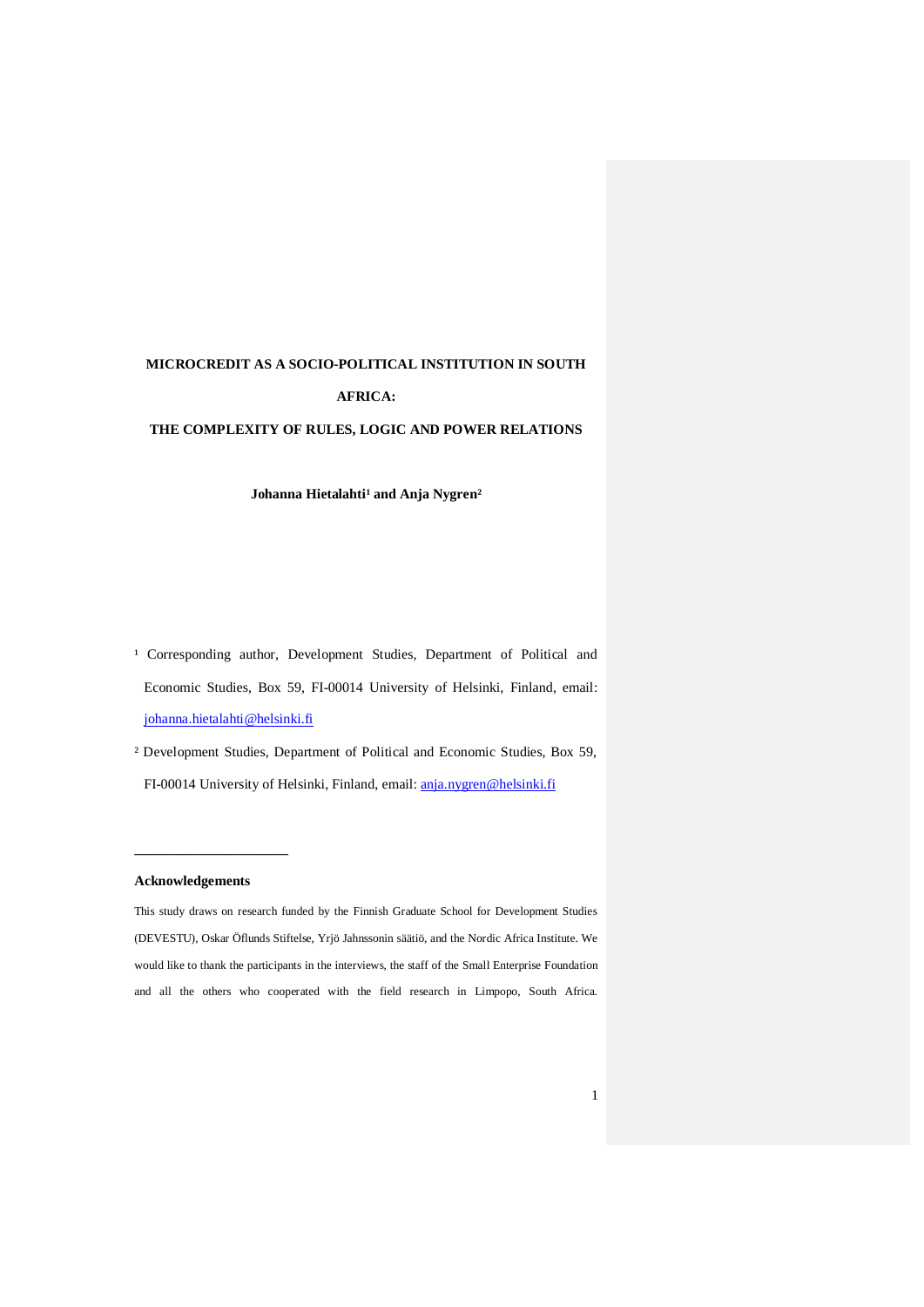## **MICROCREDIT AS A SOCIO-POLITICAL INSTITUTION IN SOUTH AFRICA:**

#### **THE COMPLEXITY OF RULES, LOGIC AND POWER RELATIONS**

Johanna Hietalahti<sup>1</sup> and Anja Nygren<sup>2</sup>

- <sup>1</sup> Corresponding author, Development Studies, Department of Political and Economic Studies, Box 59, FI-00014 University of Helsinki, Finland, email: johanna.hietalahti@helsinki.fi
- ² Development Studies, Department of Political and Economic Studies, Box 59, FI-00014 University of Helsinki, Finland, email: anja.nygren@helsinki.fi

#### **Acknowledgements**

**\_\_\_\_\_\_\_\_\_\_\_\_\_\_\_\_\_\_\_\_\_\_**

This study draws on research funded by the Finnish Graduate School for Development Studies (DEVESTU), Oskar Öflunds Stiftelse, Yrjö Jahnssonin säätiö, and the Nordic Africa Institute. We would like to thank the participants in the interviews, the staff of the Small Enterprise Foundation and all the others who cooperated with the field research in Limpopo, South Africa.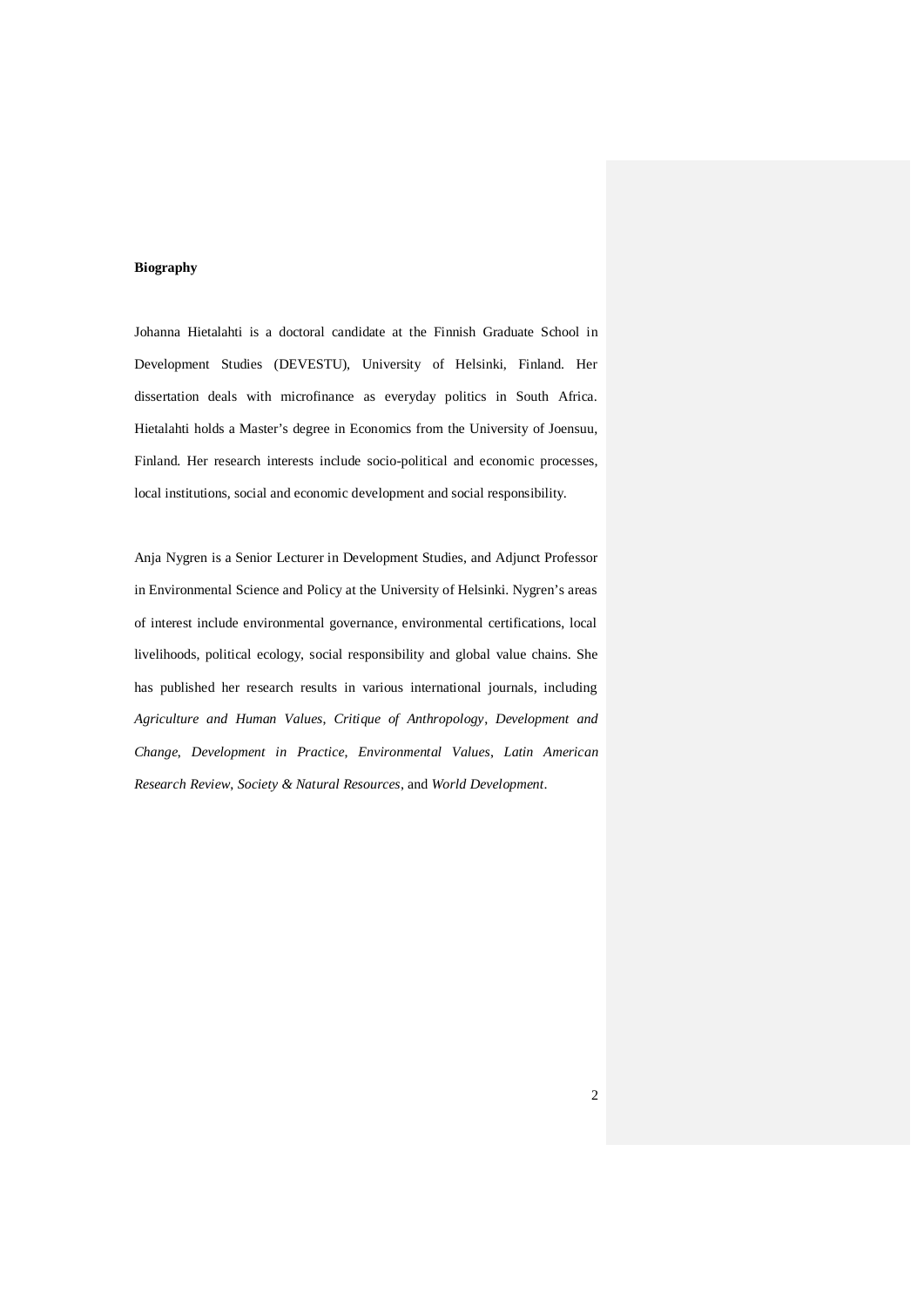#### **Biography**

Johanna Hietalahti is a doctoral candidate at the Finnish Graduate School in Development Studies (DEVESTU), University of Helsinki, Finland. Her dissertation deals with microfinance as everyday politics in South Africa. Hietalahti holds a Master's degree in Economics from the University of Joensuu, Finland. Her research interests include socio-political and economic processes, local institutions, social and economic development and social responsibility.

Anja Nygren is a Senior Lecturer in Development Studies, and Adjunct Professor in Environmental Science and Policy at the University of Helsinki. Nygren's areas of interest include environmental governance, environmental certifications, local livelihoods, political ecology, social responsibility and global value chains. She has published her research results in various international journals, including *Agriculture and Human Values*, *Critique of Anthropology*, *Development and Change*, *Development in Practice*, *Environmental Values*, *Latin American Research Review*, *Society & Natural Resources*, and *World Development*.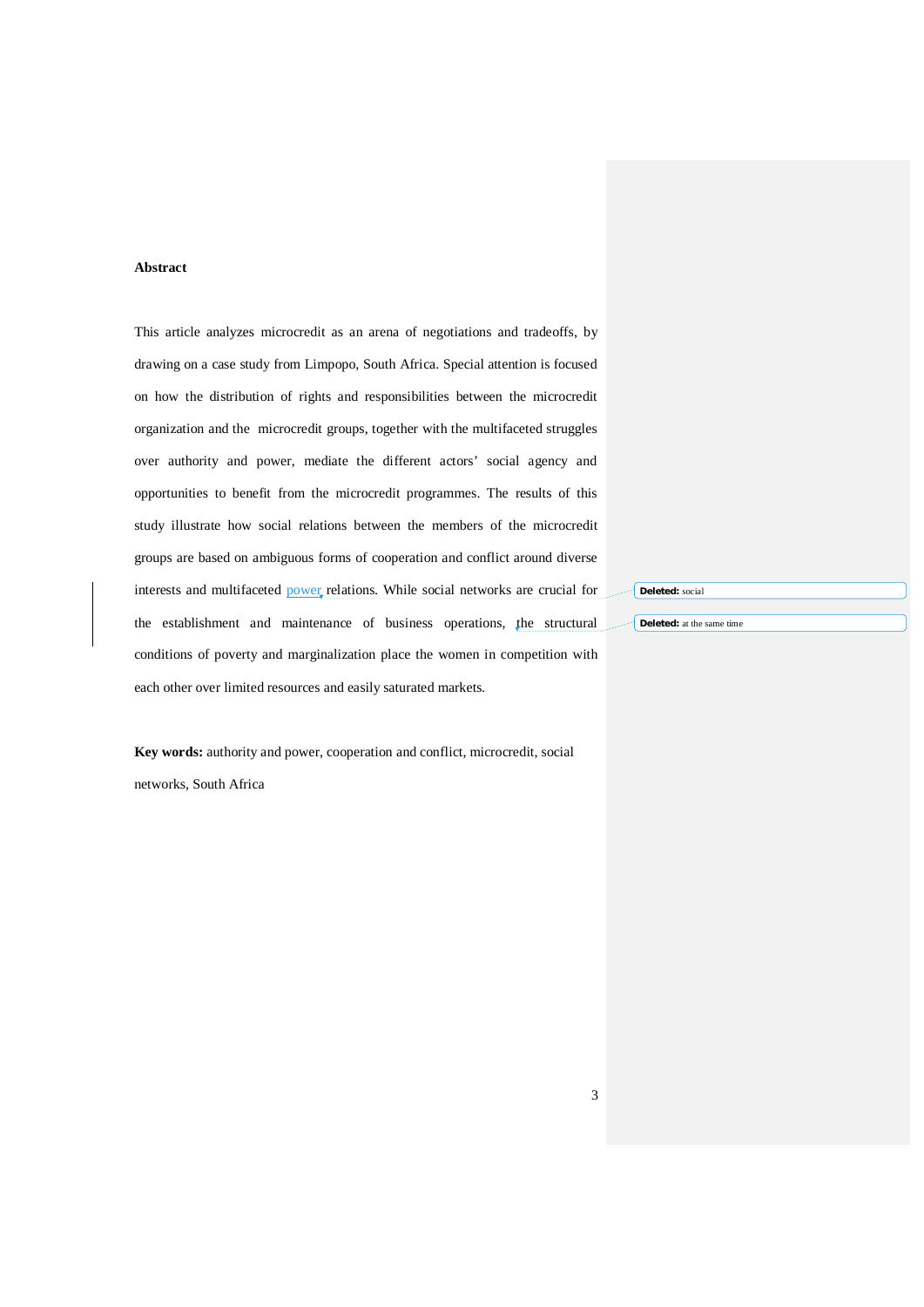#### **Abstract**

This article analyzes microcredit as an arena of negotiations and tradeoffs, by drawing on a case study from Limpopo, South Africa. Special attention is focused on how the distribution of rights and responsibilities between the microcredit organization and the microcredit groups, together with the multifaceted struggles over authority and power, mediate the different actors' social agency and opportunities to benefit from the microcredit programmes. The results of this study illustrate how social relations between the members of the microcredit groups are based on ambiguous forms of cooperation and conflict around diverse interests and multifaceted power relations. While social networks are crucial for the establishment and maintenance of business operations, the structural conditions of poverty and marginalization place the women in competition with each other over limited resources and easily saturated markets.

**Key words:** authority and power, cooperation and conflict, microcredit, social networks, South Africa

**Deleted:** social

**Deleted:** at the same time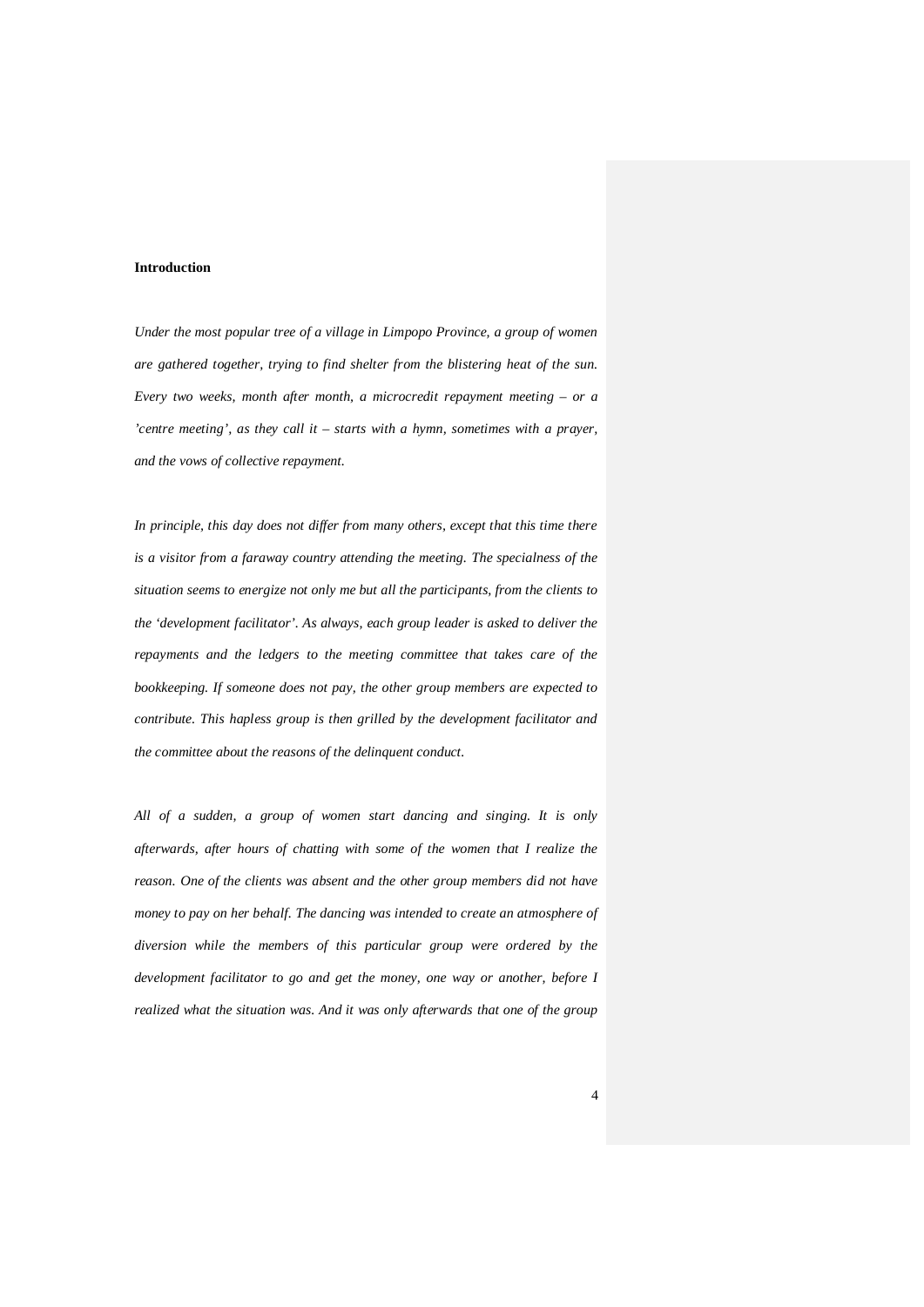#### **Introduction**

*Under the most popular tree of a village in Limpopo Province, a group of women are gathered together, trying to find shelter from the blistering heat of the sun. Every two weeks, month after month, a microcredit repayment meeting – or a 'centre meeting', as they call it – starts with a hymn, sometimes with a prayer, and the vows of collective repayment.*

*In principle, this day does not differ from many others, except that this time there is a visitor from a faraway country attending the meeting. The specialness of the situation seems to energize not only me but all the participants, from the clients to the 'development facilitator'. As always, each group leader is asked to deliver the repayments and the ledgers to the meeting committee that takes care of the bookkeeping. If someone does not pay, the other group members are expected to contribute. This hapless group is then grilled by the development facilitator and the committee about the reasons of the delinquent conduct.*

*All of a sudden, a group of women start dancing and singing. It is only afterwards, after hours of chatting with some of the women that I realize the reason. One of the clients was absent and the other group members did not have money to pay on her behalf. The dancing was intended to create an atmosphere of diversion while the members of this particular group were ordered by the development facilitator to go and get the money, one way or another, before I realized what the situation was. And it was only afterwards that one of the group*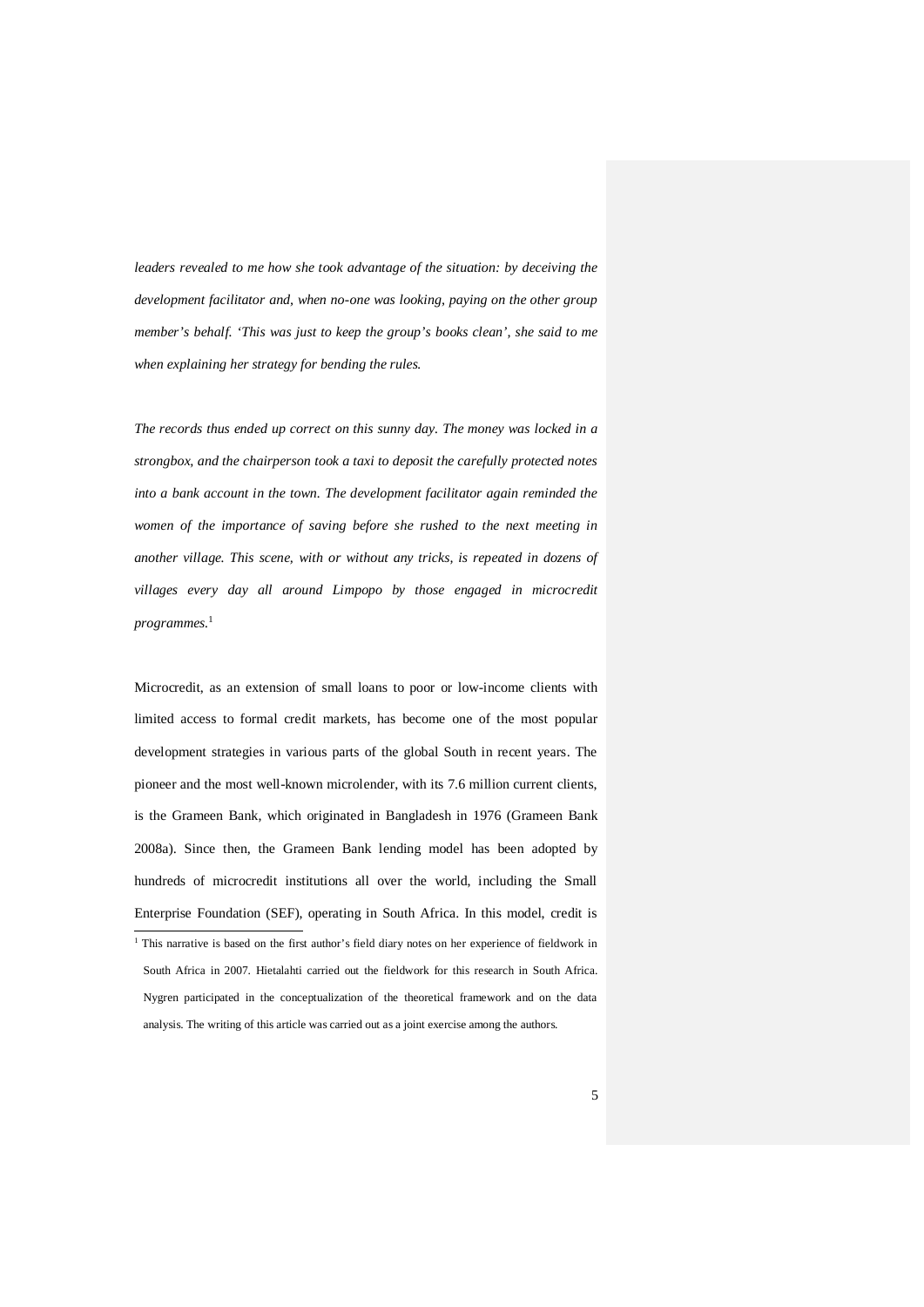*leaders revealed to me how she took advantage of the situation: by deceiving the development facilitator and, when no-one was looking, paying on the other group member's behalf. 'This was just to keep the group's books clean', she said to me when explaining her strategy for bending the rules.*

*The records thus ended up correct on this sunny day. The money was locked in a strongbox, and the chairperson took a taxi to deposit the carefully protected notes into a bank account in the town. The development facilitator again reminded the women of the importance of saving before she rushed to the next meeting in another village. This scene, with or without any tricks, is repeated in dozens of villages every day all around Limpopo by those engaged in microcredit programmes.*<sup>1</sup>

Microcredit, as an extension of small loans to poor or low-income clients with limited access to formal credit markets, has become one of the most popular development strategies in various parts of the global South in recent years. The pioneer and the most well-known microlender, with its 7.6 million current clients, is the Grameen Bank, which originated in Bangladesh in 1976 (Grameen Bank 2008a). Since then, the Grameen Bank lending model has been adopted by hundreds of microcredit institutions all over the world, including the Small Enterprise Foundation (SEF), operating in South Africa. In this model, credit is

<sup>&</sup>lt;sup>1</sup> This narrative is based on the first author's field diary notes on her experience of fieldwork in South Africa in 2007. Hietalahti carried out the fieldwork for this research in South Africa. Nygren participated in the conceptualization of the theoretical framework and on the data analysis. The writing of this article was carried out as a joint exercise among the authors.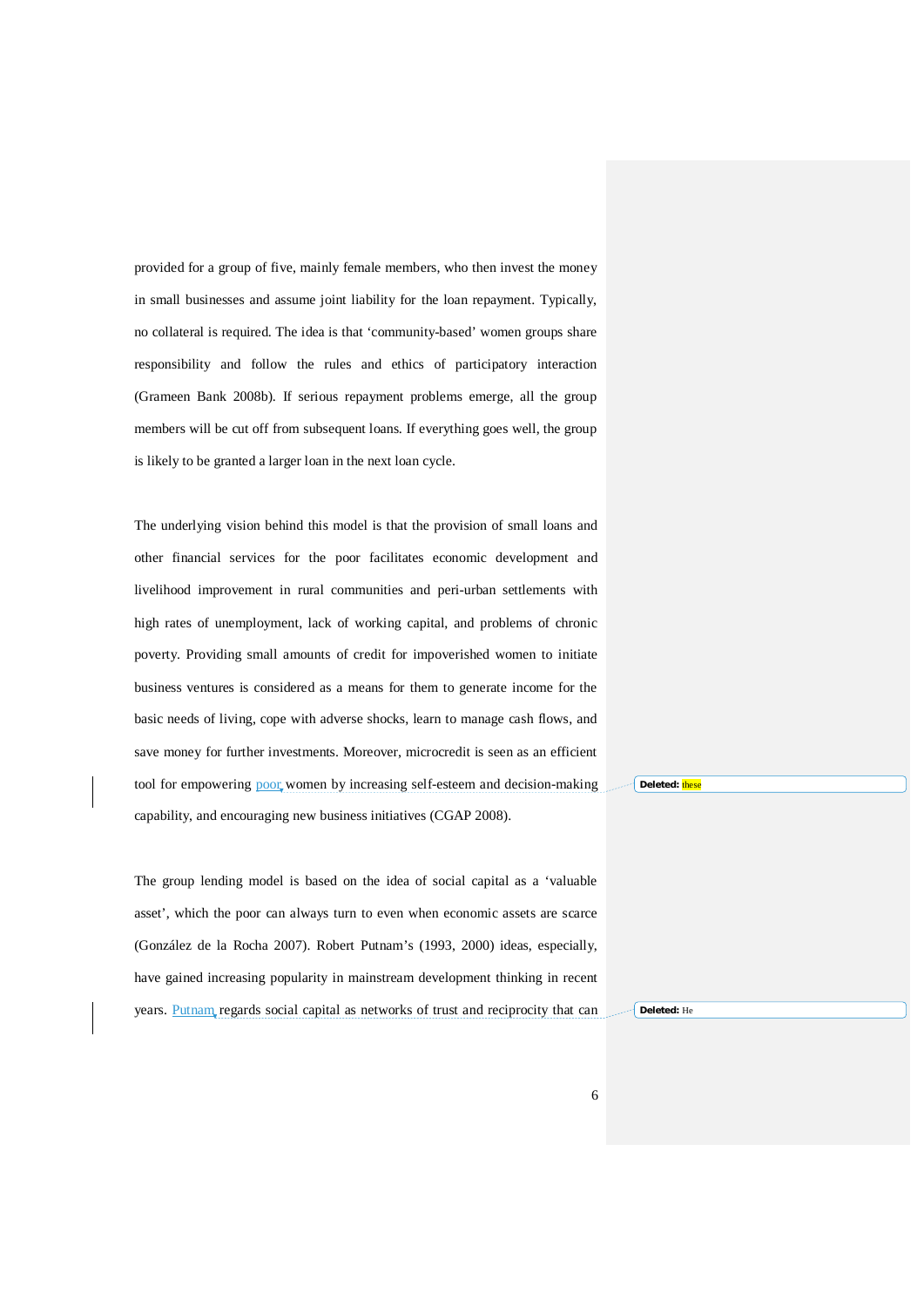provided for a group of five, mainly female members, who then invest the money in small businesses and assume joint liability for the loan repayment. Typically, no collateral is required. The idea is that 'community-based' women groups share responsibility and follow the rules and ethics of participatory interaction (Grameen Bank 2008b). If serious repayment problems emerge, all the group members will be cut off from subsequent loans. If everything goes well, the group is likely to be granted a larger loan in the next loan cycle.

The underlying vision behind this model is that the provision of small loans and other financial services for the poor facilitates economic development and livelihood improvement in rural communities and peri-urban settlements with high rates of unemployment, lack of working capital, and problems of chronic poverty. Providing small amounts of credit for impoverished women to initiate business ventures is considered as a means for them to generate income for the basic needs of living, cope with adverse shocks, learn to manage cash flows, and save money for further investments. Moreover, microcredit is seen as an efficient tool for empowering poor women by increasing self-esteem and decision-making capability, and encouraging new business initiatives (CGAP 2008).

The group lending model is based on the idea of social capital as a 'valuable asset', which the poor can always turn to even when economic assets are scarce (González de la Rocha 2007). Robert Putnam's (1993, 2000) ideas, especially, have gained increasing popularity in mainstream development thinking in recent years. Putnam regards social capital as networks of trust and reciprocity that can **Deleted:** thes

**Deleted:** He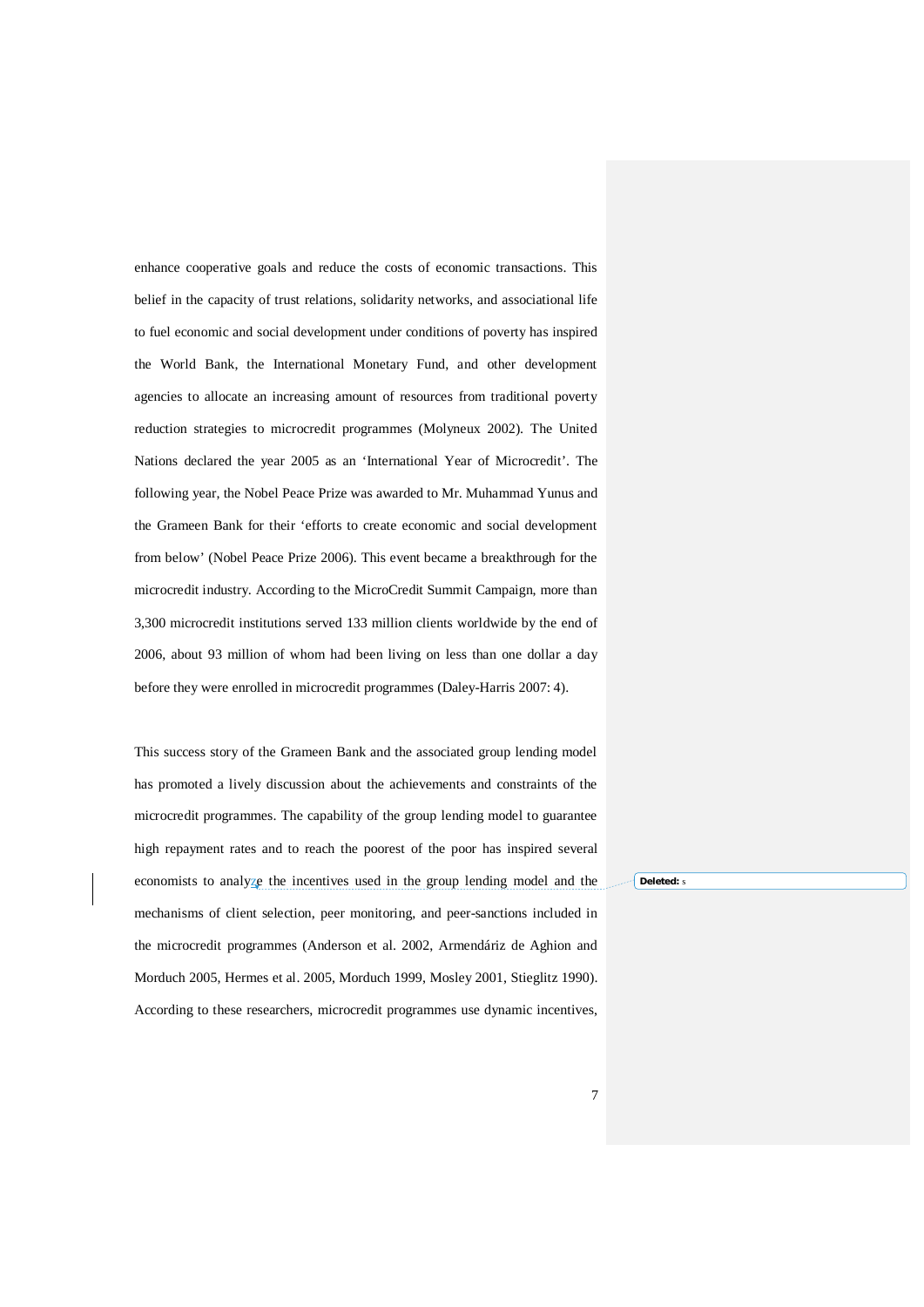enhance cooperative goals and reduce the costs of economic transactions. This belief in the capacity of trust relations, solidarity networks, and associational life to fuel economic and social development under conditions of poverty has inspired the World Bank, the International Monetary Fund, and other development agencies to allocate an increasing amount of resources from traditional poverty reduction strategies to microcredit programmes (Molyneux 2002). The United Nations declared the year 2005 as an 'International Year of Microcredit'. The following year, the Nobel Peace Prize was awarded to Mr. Muhammad Yunus and the Grameen Bank for their 'efforts to create economic and social development from below' (Nobel Peace Prize 2006). This event became a breakthrough for the microcredit industry. According to the MicroCredit Summit Campaign, more than 3,300 microcredit institutions served 133 million clients worldwide by the end of 2006, about 93 million of whom had been living on less than one dollar a day before they were enrolled in microcredit programmes (Daley-Harris 2007: 4).

This success story of the Grameen Bank and the associated group lending model has promoted a lively discussion about the achievements and constraints of the microcredit programmes. The capability of the group lending model to guarantee high repayment rates and to reach the poorest of the poor has inspired several economists to analyze the incentives used in the group lending model and the mechanisms of client selection, peer monitoring, and peer-sanctions included in the microcredit programmes (Anderson et al. 2002, Armendáriz de Aghion and Morduch 2005, Hermes et al. 2005, Morduch 1999, Mosley 2001, Stieglitz 1990). According to these researchers, microcredit programmes use dynamic incentives,

**Deleted:** s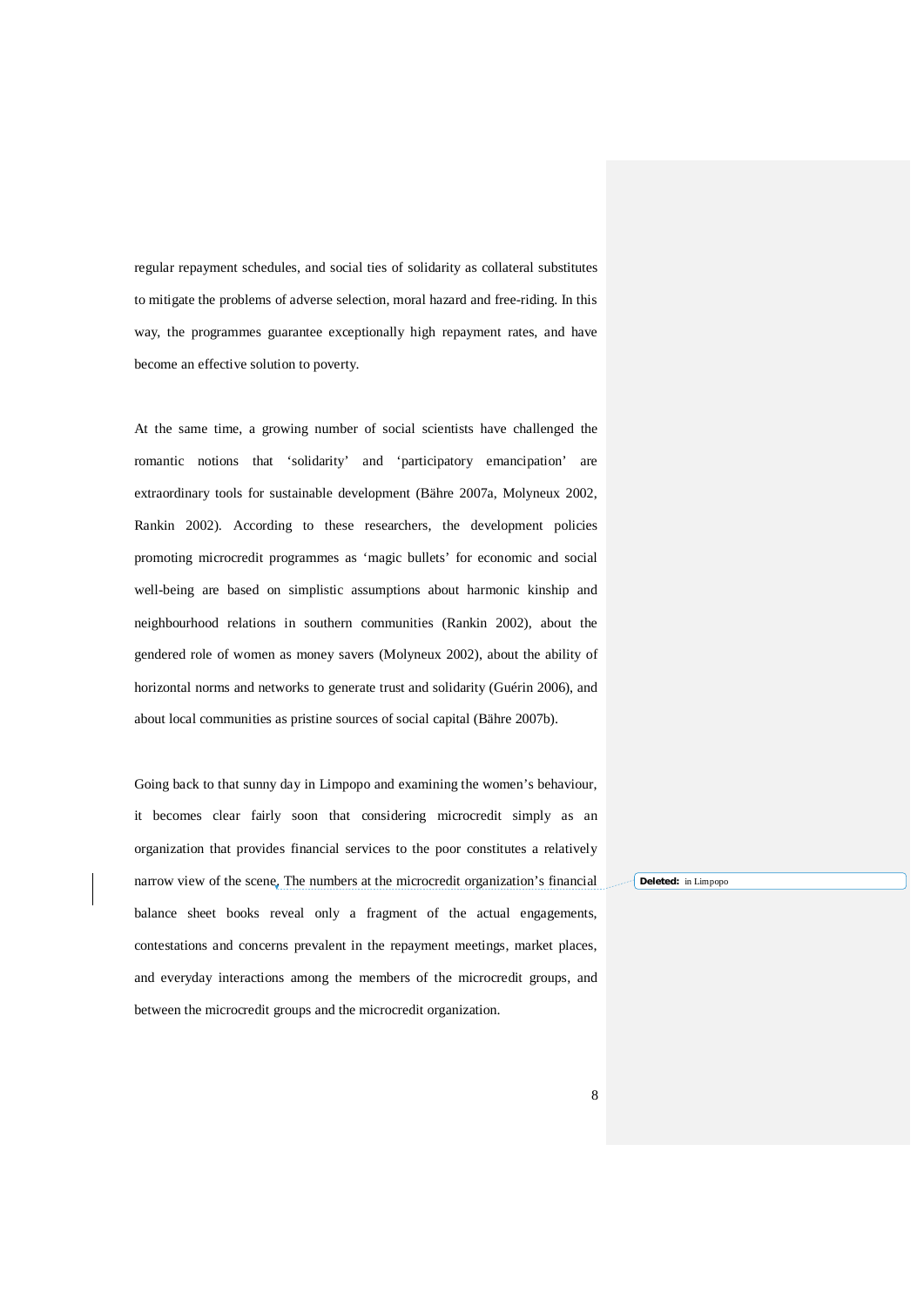regular repayment schedules, and social ties of solidarity as collateral substitutes to mitigate the problems of adverse selection, moral hazard and free-riding. In this way, the programmes guarantee exceptionally high repayment rates, and have become an effective solution to poverty.

At the same time, a growing number of social scientists have challenged the romantic notions that 'solidarity' and 'participatory emancipation' are extraordinary tools for sustainable development (Bähre 2007a, Molyneux 2002, Rankin 2002). According to these researchers, the development policies promoting microcredit programmes as 'magic bullets' for economic and social well-being are based on simplistic assumptions about harmonic kinship and neighbourhood relations in southern communities (Rankin 2002), about the gendered role of women as money savers (Molyneux 2002), about the ability of horizontal norms and networks to generate trust and solidarity (Guérin 2006), and about local communities as pristine sources of social capital (Bähre 2007b).

Going back to that sunny day in Limpopo and examining the women's behaviour, it becomes clear fairly soon that considering microcredit simply as an organization that provides financial services to the poor constitutes a relatively narrow view of the scene. The numbers at the microcredit organization's financial balance sheet books reveal only a fragment of the actual engagements, contestations and concerns prevalent in the repayment meetings, market places, and everyday interactions among the members of the microcredit groups, and between the microcredit groups and the microcredit organization.

**Deleted:** in Limpopo

8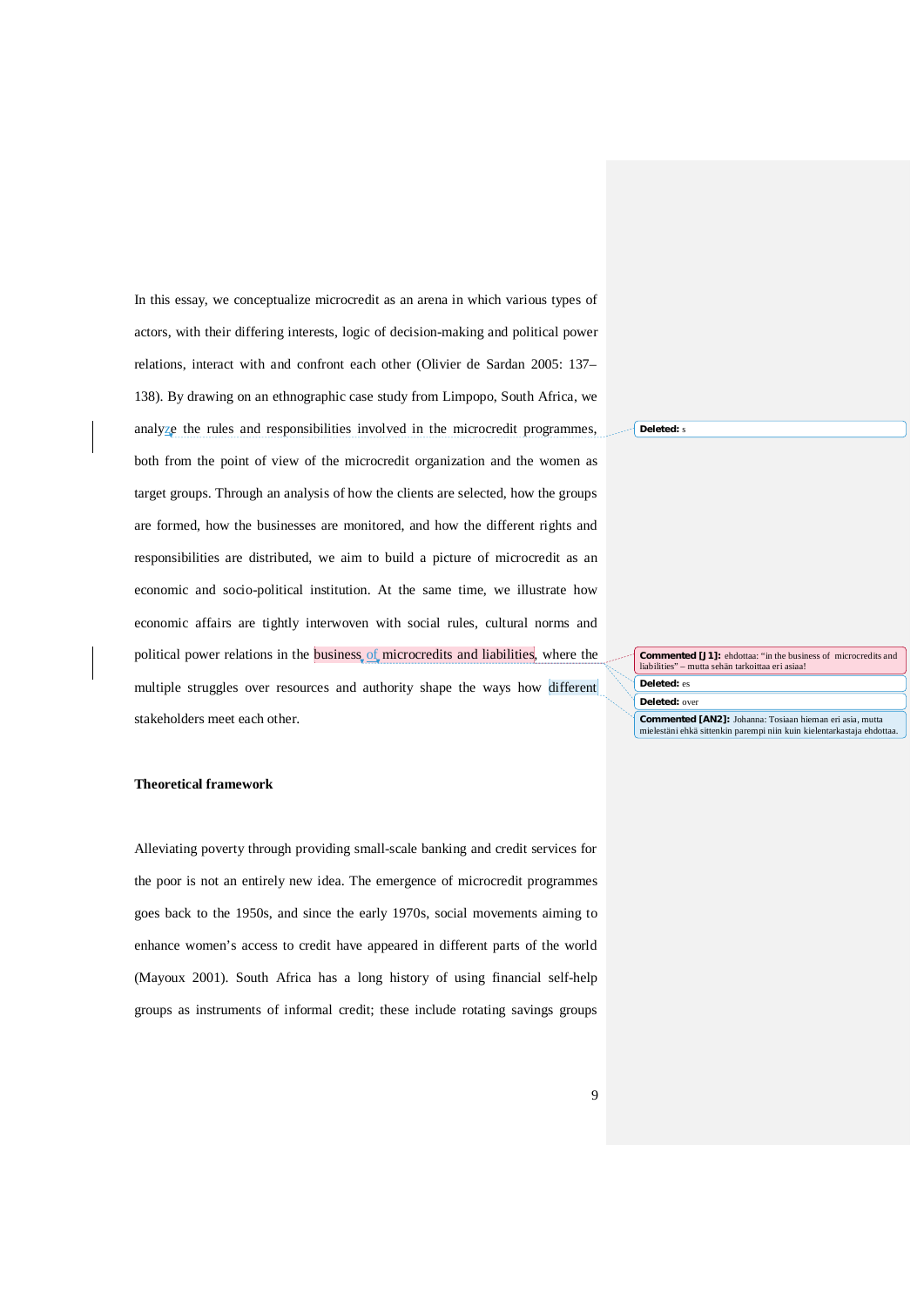In this essay, we conceptualize microcredit as an arena in which various types of actors, with their differing interests, logic of decision-making and political power relations, interact with and confront each other (Olivier de Sardan 2005: 137– 138). By drawing on an ethnographic case study from Limpopo, South Africa, we analyze the rules and responsibilities involved in the microcredit programmes, both from the point of view of the microcredit organization and the women as target groups. Through an analysis of how the clients are selected, how the groups are formed, how the businesses are monitored, and how the different rights and responsibilities are distributed, we aim to build a picture of microcredit as an economic and socio-political institution. At the same time, we illustrate how economic affairs are tightly interwoven with social rules, cultural norms and political power relations in the business of microcredits and liabilities, where the multiple struggles over resources and authority shape the ways how different stakeholders meet each other.

**Commented [J1]:** ehdottaa: "in the business of microcredits and liabilities" – mutta sehän tarkoittaa eri asiaa!

**Deleted:** es **Deleted:** over

**Deleted:** s

**Commented [AN2]:** Johanna: Tosiaan hieman eri asia, mutta mielestäni ehkä sittenkin parempi niin kuin kielentarkastaja ehdottaa.

#### **Theoretical framework**

Alleviating poverty through providing small-scale banking and credit services for the poor is not an entirely new idea. The emergence of microcredit programmes goes back to the 1950s, and since the early 1970s, social movements aiming to enhance women's access to credit have appeared in different parts of the world (Mayoux 2001). South Africa has a long history of using financial self-help groups as instruments of informal credit; these include rotating savings groups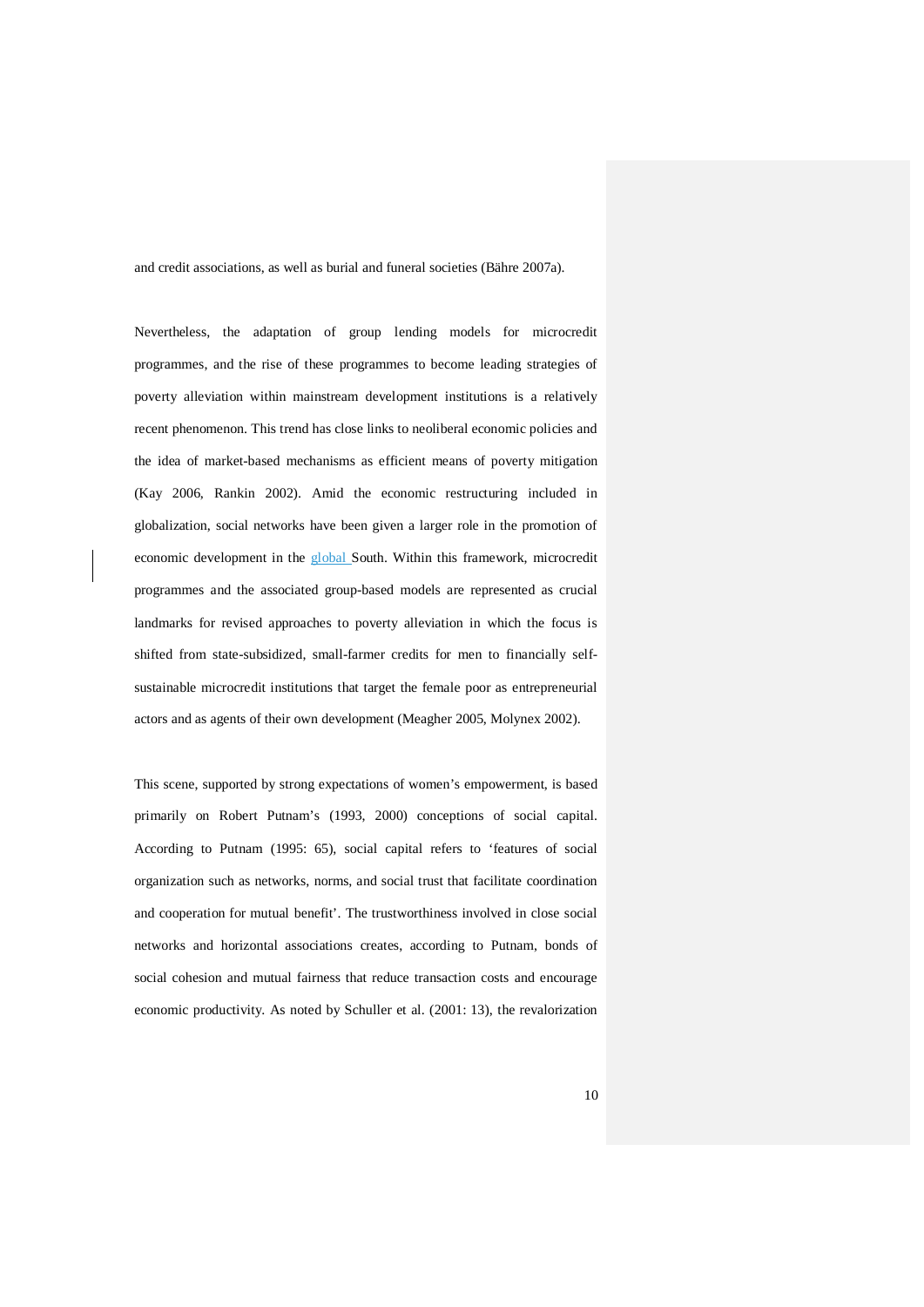and credit associations, as well as burial and funeral societies (Bähre 2007a).

Nevertheless, the adaptation of group lending models for microcredit programmes, and the rise of these programmes to become leading strategies of poverty alleviation within mainstream development institutions is a relatively recent phenomenon. This trend has close links to neoliberal economic policies and the idea of market-based mechanisms as efficient means of poverty mitigation (Kay 2006, Rankin 2002). Amid the economic restructuring included in globalization, social networks have been given a larger role in the promotion of economic development in the global South. Within this framework, microcredit programmes and the associated group-based models are represented as crucial landmarks for revised approaches to poverty alleviation in which the focus is shifted from state-subsidized, small-farmer credits for men to financially selfsustainable microcredit institutions that target the female poor as entrepreneurial actors and as agents of their own development (Meagher 2005, Molynex 2002).

This scene, supported by strong expectations of women's empowerment, is based primarily on Robert Putnam's (1993, 2000) conceptions of social capital. According to Putnam (1995: 65), social capital refers to 'features of social organization such as networks, norms, and social trust that facilitate coordination and cooperation for mutual benefit'. The trustworthiness involved in close social networks and horizontal associations creates, according to Putnam, bonds of social cohesion and mutual fairness that reduce transaction costs and encourage economic productivity. As noted by Schuller et al. (2001: 13), the revalorization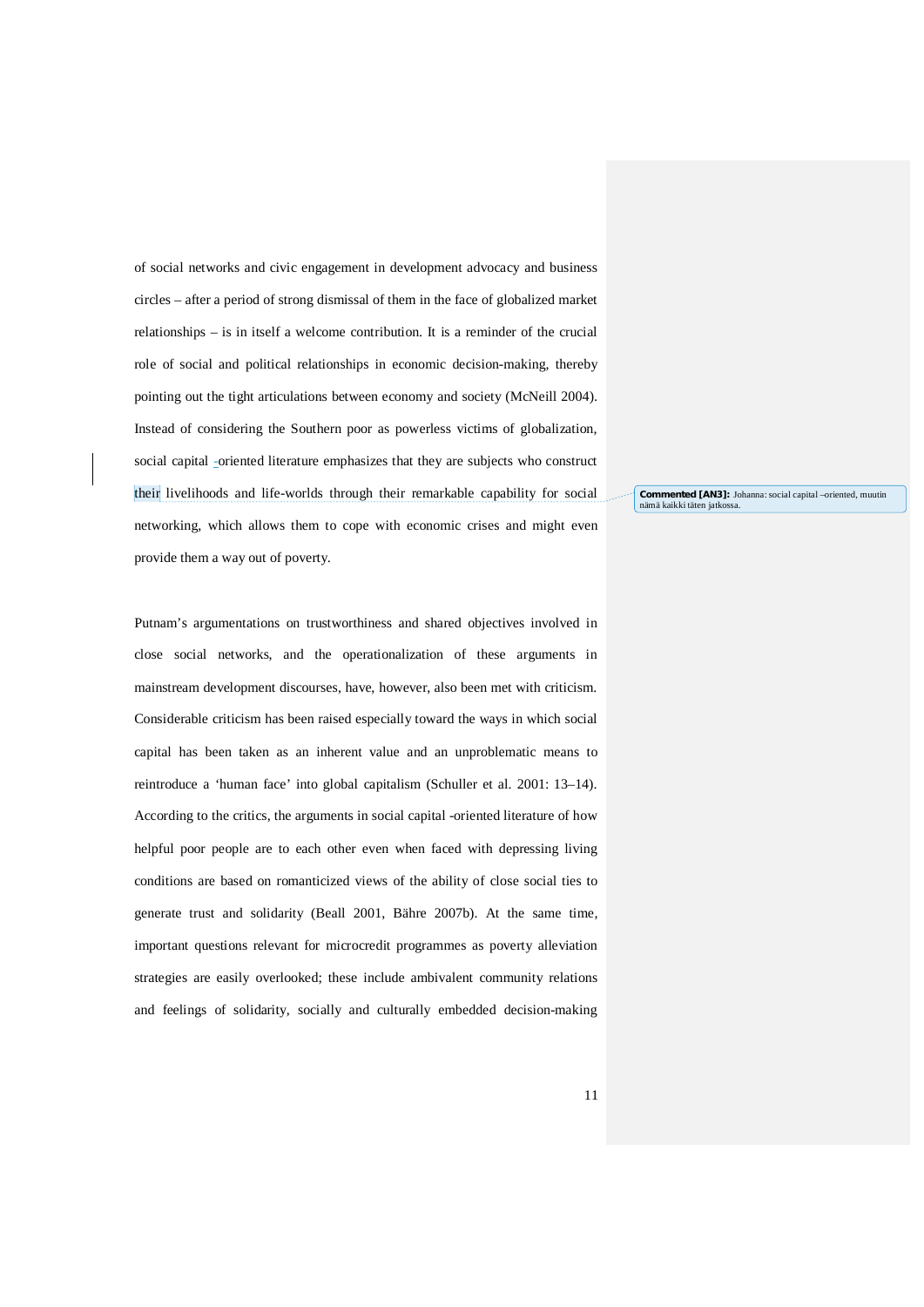of social networks and civic engagement in development advocacy and business circles – after a period of strong dismissal of them in the face of globalized market relationships – is in itself a welcome contribution. It is a reminder of the crucial role of social and political relationships in economic decision-making, thereby pointing out the tight articulations between economy and society (McNeill 2004). Instead of considering the Southern poor as powerless victims of globalization, social capital -oriented literature emphasizes that they are subjects who construct their livelihoods and life-worlds through their remarkable capability for social networking, which allows them to cope with economic crises and might even provide them a way out of poverty.

**Commented [AN3]:** Johanna: social capital –oriented, muutin semmented partej

Putnam's argumentations on trustworthiness and shared objectives involved in close social networks, and the operationalization of these arguments in mainstream development discourses, have, however, also been met with criticism. Considerable criticism has been raised especially toward the ways in which social capital has been taken as an inherent value and an unproblematic means to reintroduce a 'human face' into global capitalism (Schuller et al. 2001: 13–14). According to the critics, the arguments in social capital -oriented literature of how helpful poor people are to each other even when faced with depressing living conditions are based on romanticized views of the ability of close social ties to generate trust and solidarity (Beall 2001, Bähre 2007b). At the same time, important questions relevant for microcredit programmes as poverty alleviation strategies are easily overlooked; these include ambivalent community relations and feelings of solidarity, socially and culturally embedded decision-making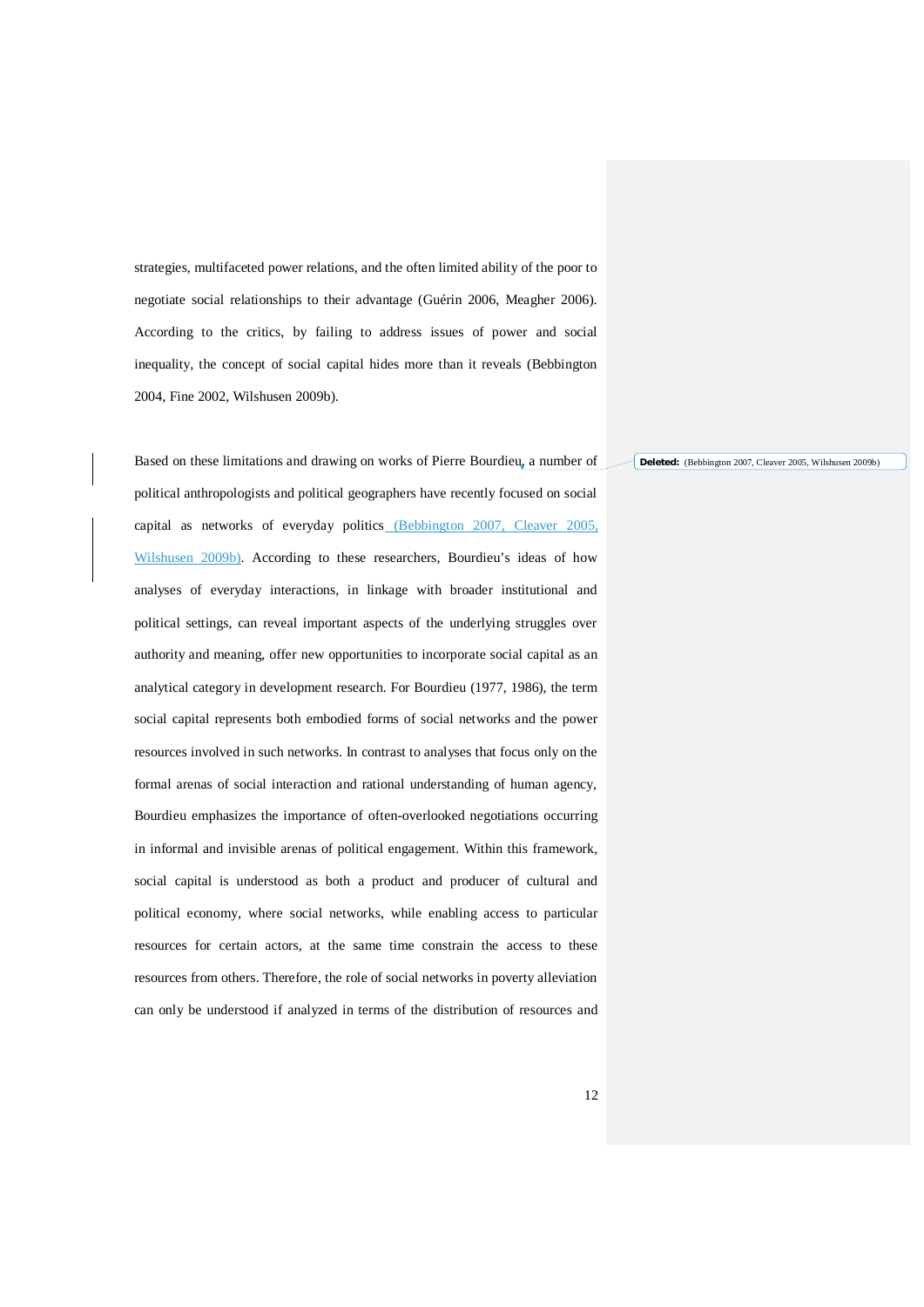strategies, multifaceted power relations, and the often limited ability of the poor to negotiate social relationships to their advantage (Guérin 2006, Meagher 2006). According to the critics, by failing to address issues of power and social inequality, the concept of social capital hides more than it reveals (Bebbington 2004, Fine 2002, Wilshusen 2009b).

Based on these limitations and drawing on works of Pierre Bourdieu, a number of political anthropologists and political geographers have recently focused on social capital as networks of everyday politics (Bebbington 2007, Cleaver 2005, Wilshusen 2009b). According to these researchers, Bourdieu's ideas of how analyses of everyday interactions, in linkage with broader institutional and political settings, can reveal important aspects of the underlying struggles over authority and meaning, offer new opportunities to incorporate social capital as an analytical category in development research. For Bourdieu (1977, 1986), the term social capital represents both embodied forms of social networks and the power resources involved in such networks. In contrast to analyses that focus only on the formal arenas of social interaction and rational understanding of human agency, Bourdieu emphasizes the importance of often-overlooked negotiations occurring in informal and invisible arenas of political engagement. Within this framework, social capital is understood as both a product and producer of cultural and political economy, where social networks, while enabling access to particular resources for certain actors, at the same time constrain the access to these resources from others. Therefore, the role of social networks in poverty alleviation can only be understood if analyzed in terms of the distribution of resources and

**Deleted:** (Bebbington 2007, Cleaver 2005, Wilshusen 2009b)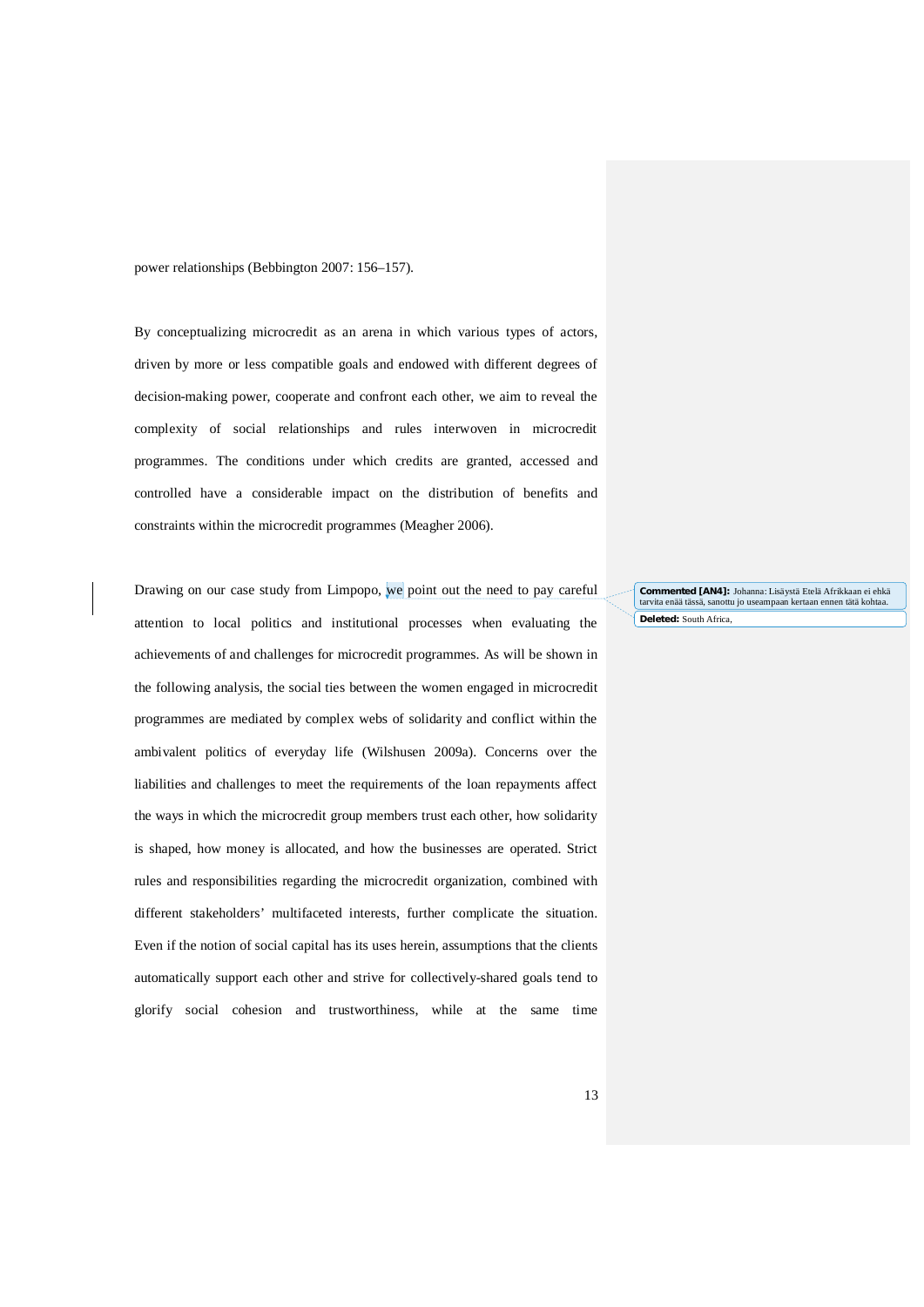power relationships (Bebbington 2007: 156–157).

By conceptualizing microcredit as an arena in which various types of actors, driven by more or less compatible goals and endowed with different degrees of decision-making power, cooperate and confront each other, we aim to reveal the complexity of social relationships and rules interwoven in microcredit programmes. The conditions under which credits are granted, accessed and controlled have a considerable impact on the distribution of benefits and constraints within the microcredit programmes (Meagher 2006).

Drawing on our case study from Limpopo, we point out the need to pay careful attention to local politics and institutional processes when evaluating the achievements of and challenges for microcredit programmes. As will be shown in the following analysis, the social ties between the women engaged in microcredit programmes are mediated by complex webs of solidarity and conflict within the ambivalent politics of everyday life (Wilshusen 2009a). Concerns over the liabilities and challenges to meet the requirements of the loan repayments affect the ways in which the microcredit group members trust each other, how solidarity is shaped, how money is allocated, and how the businesses are operated. Strict rules and responsibilities regarding the microcredit organization, combined with different stakeholders' multifaceted interests, further complicate the situation. Even if the notion of social capital has its uses herein, assumptions that the clients automatically support each other and strive for collectively-shared goals tend to glorify social cohesion and trustworthiness, while at the same time

**Deleted:** South Africa, **Commented [AN4]:** Johanna: Lisäystä Etelä Afrikkaan ei ehkä tarvita enää tässä, sanottu jo useampaan kertaan ennen tätä kohtaa.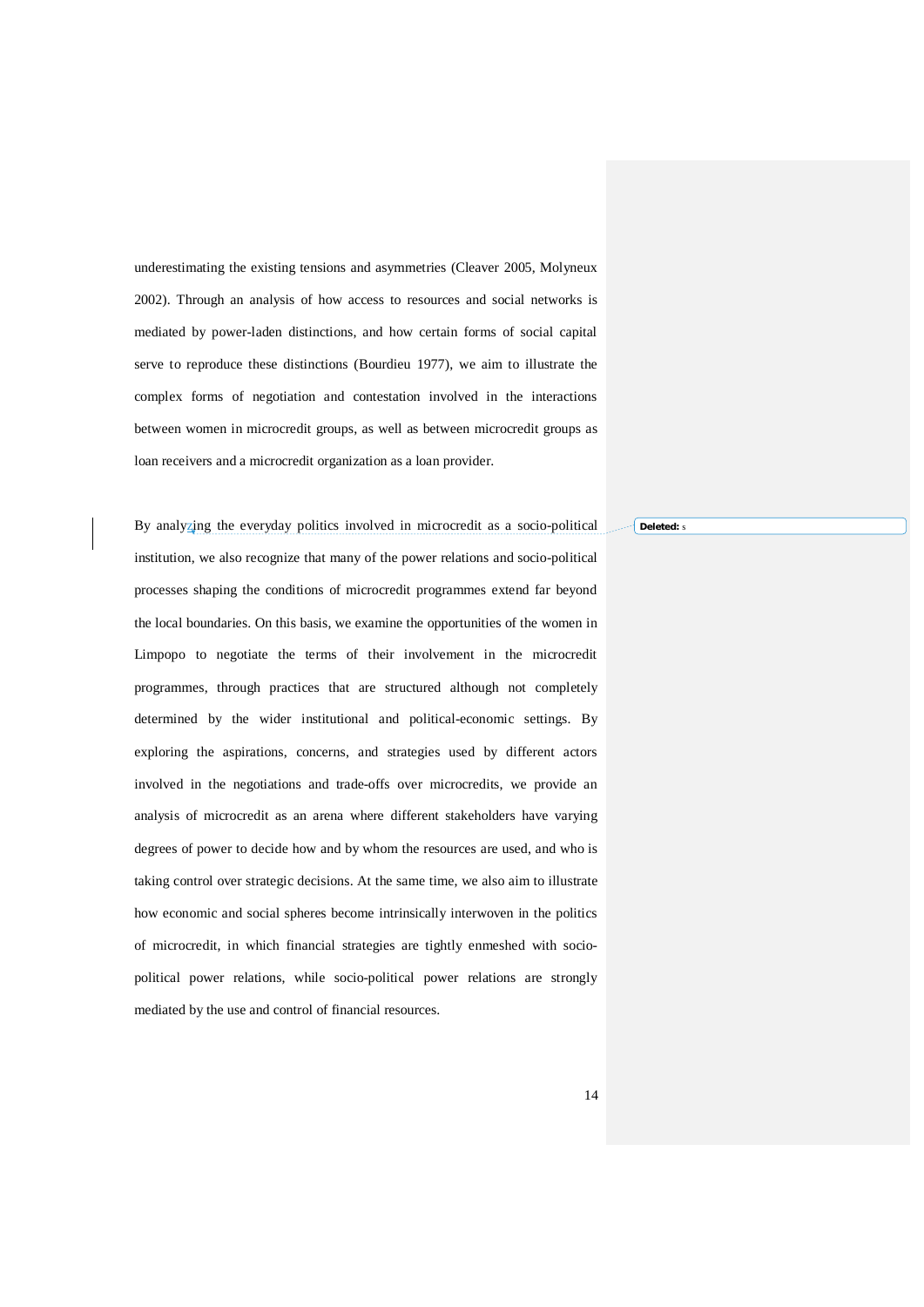underestimating the existing tensions and asymmetries (Cleaver 2005, Molyneux 2002). Through an analysis of how access to resources and social networks is mediated by power-laden distinctions, and how certain forms of social capital serve to reproduce these distinctions (Bourdieu 1977), we aim to illustrate the complex forms of negotiation and contestation involved in the interactions between women in microcredit groups, as well as between microcredit groups as loan receivers and a microcredit organization as a loan provider.

By analyzing the everyday politics involved in microcredit as a socio-political institution, we also recognize that many of the power relations and socio-political processes shaping the conditions of microcredit programmes extend far beyond the local boundaries. On this basis, we examine the opportunities of the women in Limpopo to negotiate the terms of their involvement in the microcredit programmes, through practices that are structured although not completely determined by the wider institutional and political-economic settings. By exploring the aspirations, concerns, and strategies used by different actors involved in the negotiations and trade-offs over microcredits, we provide an analysis of microcredit as an arena where different stakeholders have varying degrees of power to decide how and by whom the resources are used, and who is taking control over strategic decisions. At the same time, we also aim to illustrate how economic and social spheres become intrinsically interwoven in the politics of microcredit, in which financial strategies are tightly enmeshed with sociopolitical power relations, while socio-political power relations are strongly mediated by the use and control of financial resources.

**Deleted:** s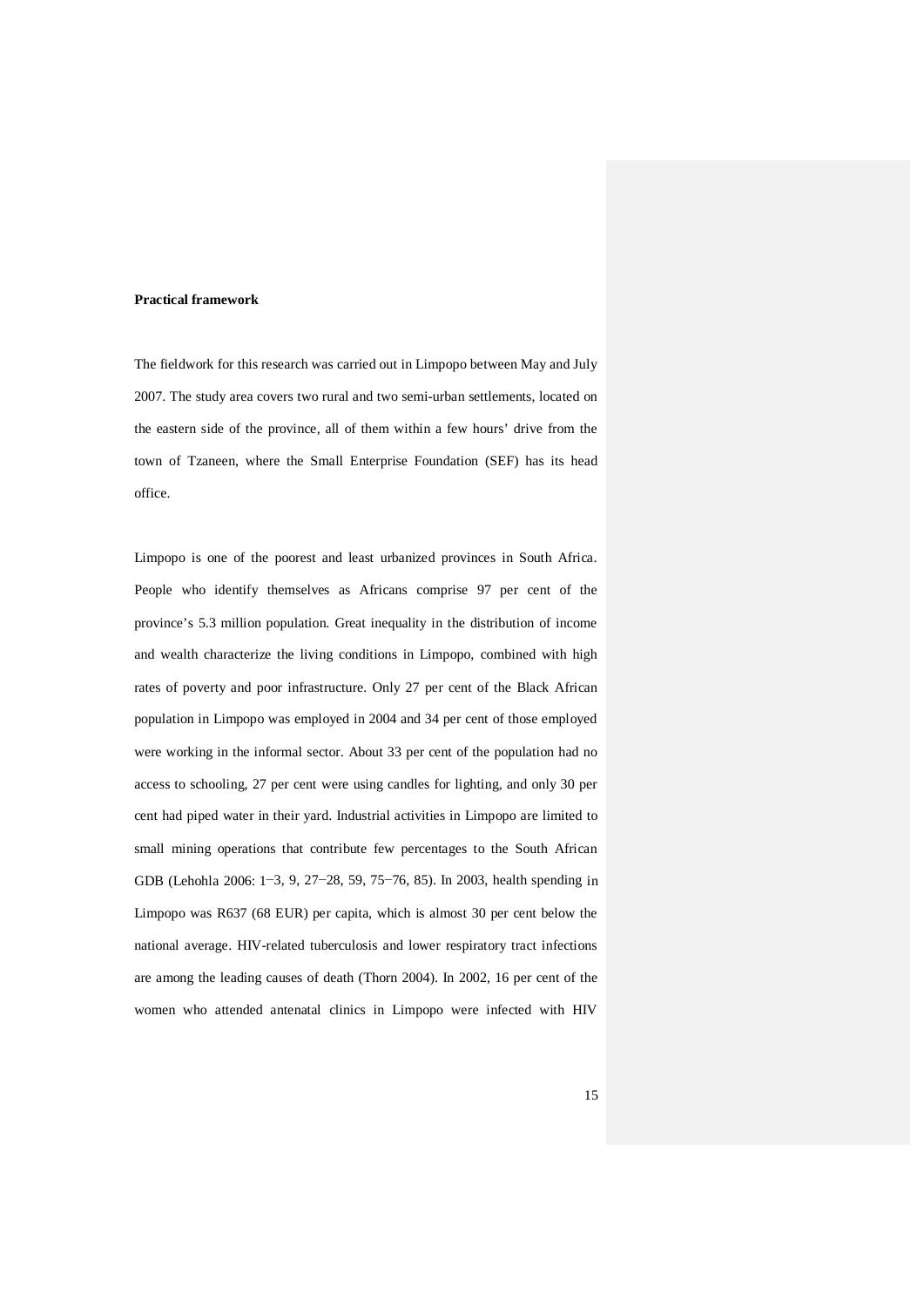#### **Practical framework**

The fieldwork for this research was carried out in Limpopo between May and July 2007. The study area covers two rural and two semi-urban settlements, located on the eastern side of the province, all of them within a few hours' drive from the town of Tzaneen, where the Small Enterprise Foundation (SEF) has its head office.

Limpopo is one of the poorest and least urbanized provinces in South Africa. People who identify themselves as Africans comprise 97 per cent of the province's 5.3 million population. Great inequality in the distribution of income and wealth characterize the living conditions in Limpopo, combined with high rates of poverty and poor infrastructure. Only 27 per cent of the Black African population in Limpopo was employed in 2004 and 34 per cent of those employed were working in the informal sector. About 33 per cent of the population had no access to schooling, 27 per cent were using candles for lighting, and only 30 per cent had piped water in their yard. Industrial activities in Limpopo are limited to small mining operations that contribute few percentages to the South African GDB (Lehohla 2006: 1−3, 9, 27−28, 59, 75−76, 85). In 2003, health spending in Limpopo was R637 (68 EUR) per capita, which is almost 30 per cent below the national average. HIV-related tuberculosis and lower respiratory tract infections are among the leading causes of death (Thorn 2004). In 2002, 16 per cent of the women who attended antenatal clinics in Limpopo were infected with HIV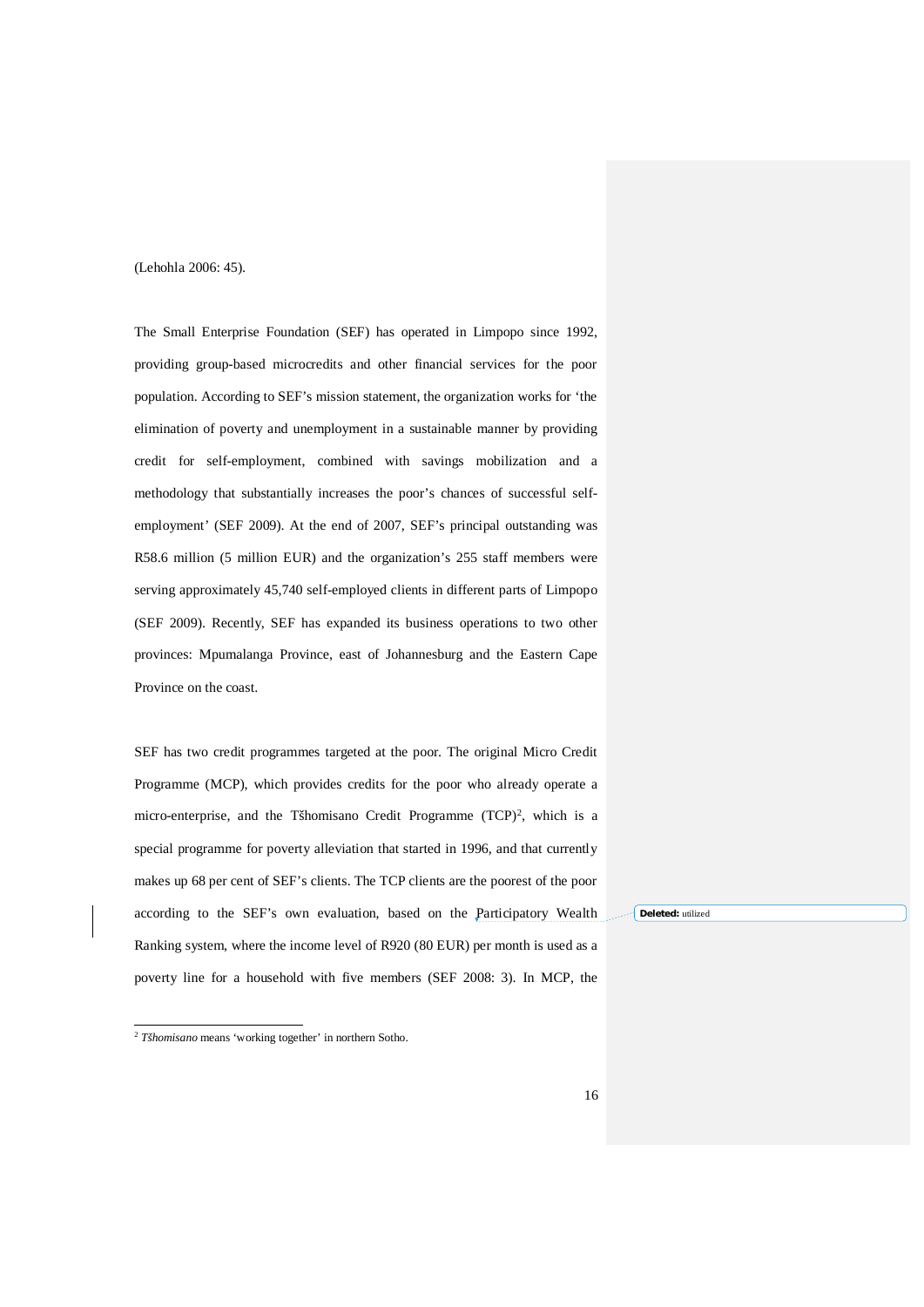(Lehohla 2006: 45).

The Small Enterprise Foundation (SEF) has operated in Limpopo since 1992, providing group-based microcredits and other financial services for the poor population. According to SEF's mission statement, the organization works for 'the elimination of poverty and unemployment in a sustainable manner by providing credit for self-employment, combined with savings mobilization and a methodology that substantially increases the poor's chances of successful selfemployment' (SEF 2009). At the end of 2007, SEF's principal outstanding was R58.6 million (5 million EUR) and the organization's 255 staff members were serving approximately 45,740 self-employed clients in different parts of Limpopo (SEF 2009). Recently, SEF has expanded its business operations to two other provinces: Mpumalanga Province, east of Johannesburg and the Eastern Cape Province on the coast.

SEF has two credit programmes targeted at the poor. The original Micro Credit Programme (MCP), which provides credits for the poor who already operate a micro-enterprise, and the Tšhomisano Credit Programme (TCP)<sup>2</sup>, which is a special programme for poverty alleviation that started in 1996, and that currently makes up 68 per cent of SEF's clients. The TCP clients are the poorest of the poor according to the SEF's own evaluation, based on the Participatory Wealth Ranking system, where the income level of R920 (80 EUR) per month is used as a poverty line for a household with five members (SEF 2008: 3). In MCP, the

**Deleted:** utilized

<sup>2</sup> *Tšhomisano* means 'working together' in northern Sotho.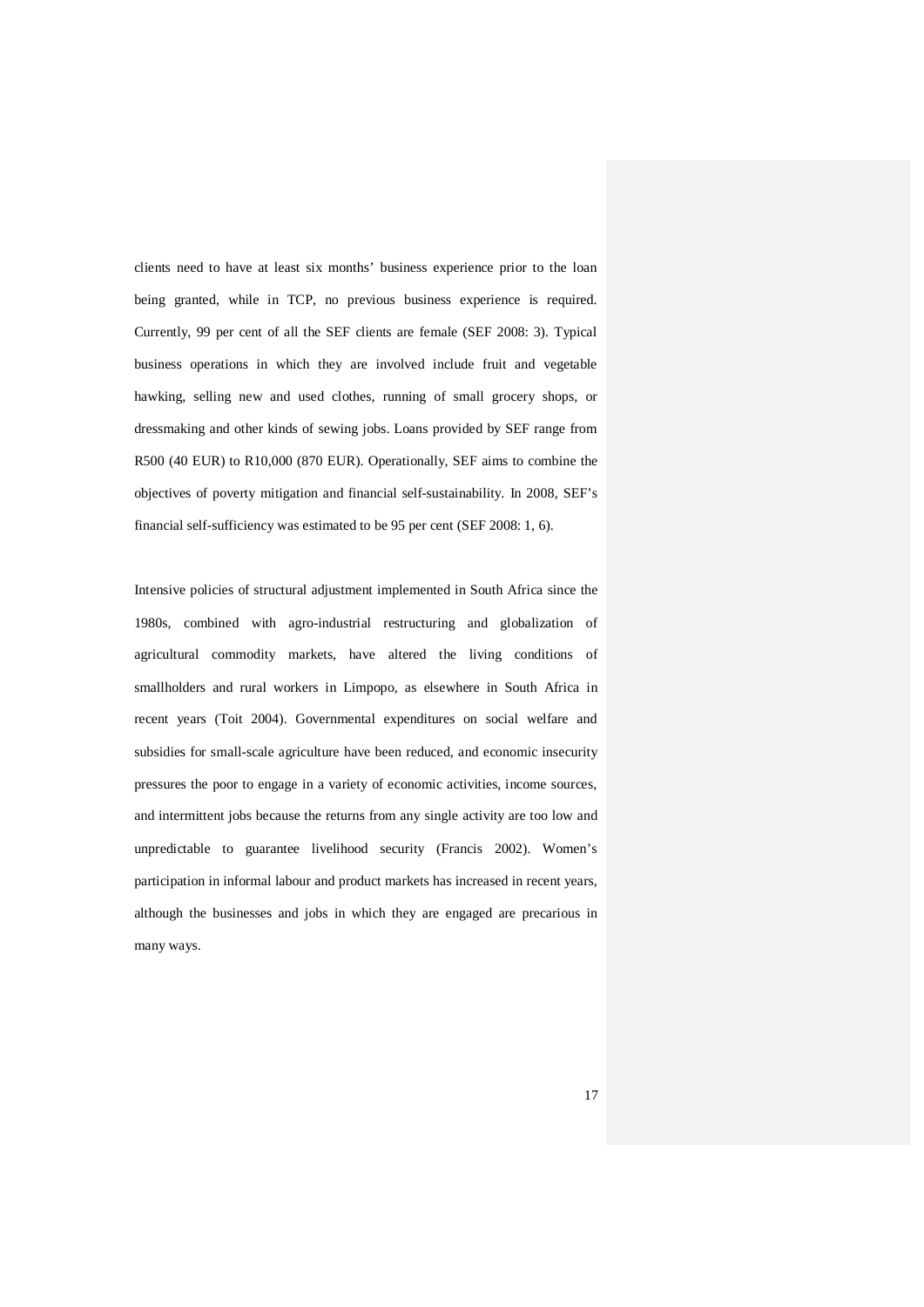clients need to have at least six months' business experience prior to the loan being granted, while in TCP, no previous business experience is required. Currently, 99 per cent of all the SEF clients are female (SEF 2008: 3). Typical business operations in which they are involved include fruit and vegetable hawking, selling new and used clothes, running of small grocery shops, or dressmaking and other kinds of sewing jobs. Loans provided by SEF range from R500 (40 EUR) to R10,000 (870 EUR). Operationally, SEF aims to combine the objectives of poverty mitigation and financial self-sustainability. In 2008, SEF's financial self-sufficiency was estimated to be 95 per cent (SEF 2008: 1, 6).

Intensive policies of structural adjustment implemented in South Africa since the 1980s, combined with agro-industrial restructuring and globalization of agricultural commodity markets, have altered the living conditions of smallholders and rural workers in Limpopo, as elsewhere in South Africa in recent years (Toit 2004). Governmental expenditures on social welfare and subsidies for small-scale agriculture have been reduced, and economic insecurity pressures the poor to engage in a variety of economic activities, income sources, and intermittent jobs because the returns from any single activity are too low and unpredictable to guarantee livelihood security (Francis 2002). Women's participation in informal labour and product markets has increased in recent years, although the businesses and jobs in which they are engaged are precarious in many ways.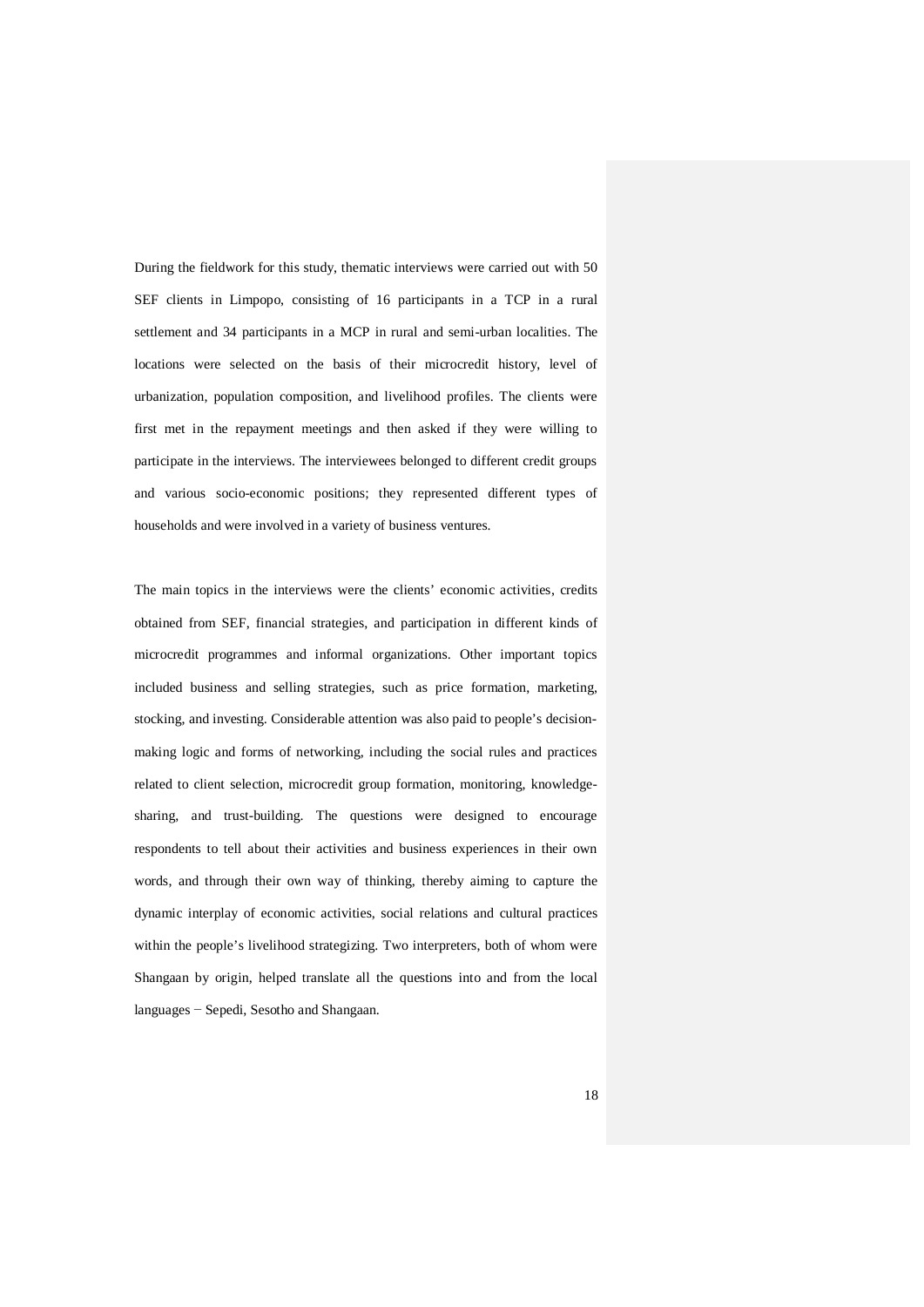During the fieldwork for this study, thematic interviews were carried out with 50 SEF clients in Limpopo, consisting of 16 participants in a TCP in a rural settlement and 34 participants in a MCP in rural and semi-urban localities. The locations were selected on the basis of their microcredit history, level of urbanization, population composition, and livelihood profiles. The clients were first met in the repayment meetings and then asked if they were willing to participate in the interviews. The interviewees belonged to different credit groups and various socio-economic positions; they represented different types of households and were involved in a variety of business ventures.

The main topics in the interviews were the clients' economic activities, credits obtained from SEF, financial strategies, and participation in different kinds of microcredit programmes and informal organizations. Other important topics included business and selling strategies, such as price formation, marketing, stocking, and investing. Considerable attention was also paid to people's decisionmaking logic and forms of networking, including the social rules and practices related to client selection, microcredit group formation, monitoring, knowledgesharing, and trust-building. The questions were designed to encourage respondents to tell about their activities and business experiences in their own words, and through their own way of thinking, thereby aiming to capture the dynamic interplay of economic activities, social relations and cultural practices within the people's livelihood strategizing. Two interpreters, both of whom were Shangaan by origin, helped translate all the questions into and from the local languages − Sepedi, Sesotho and Shangaan.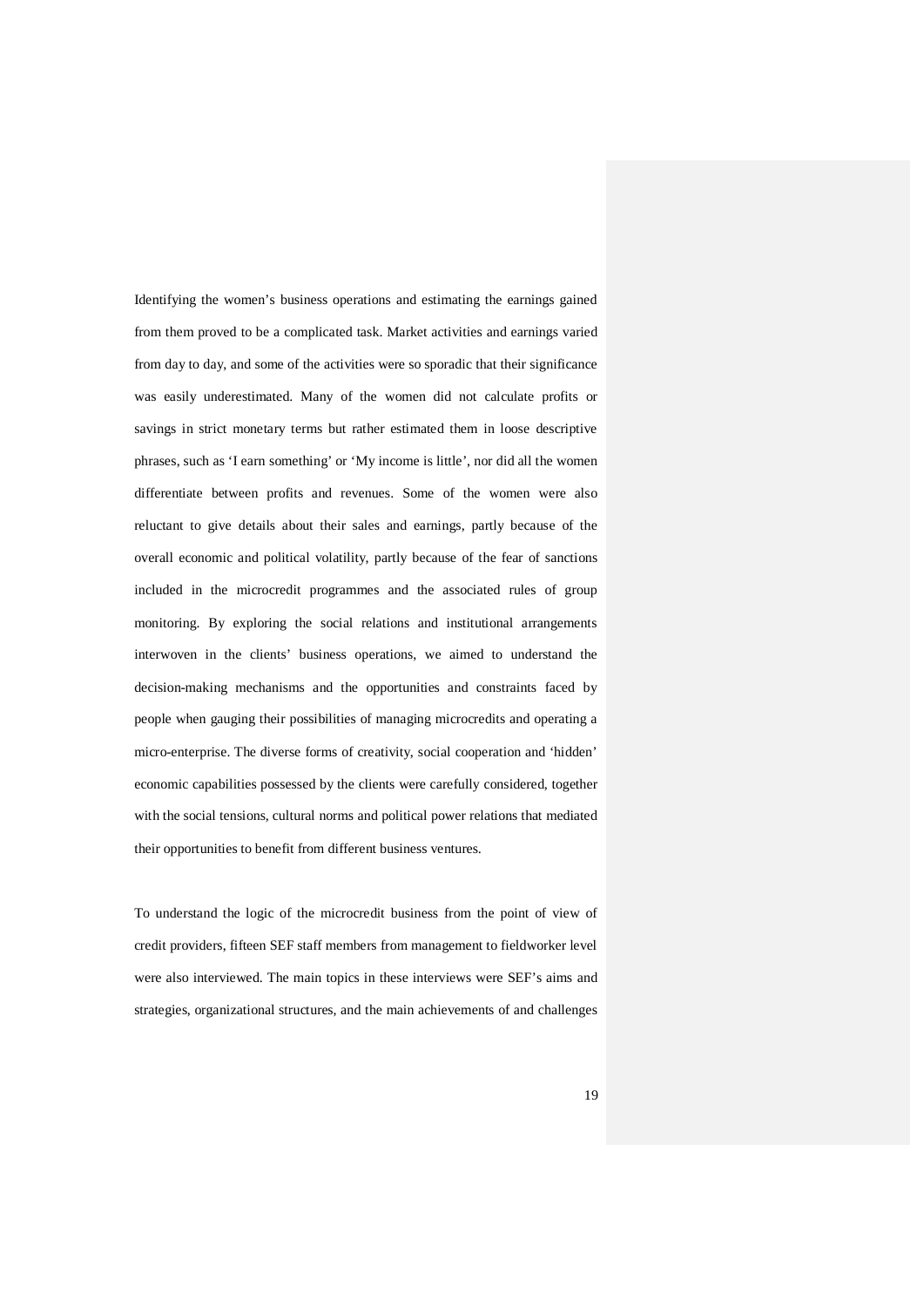Identifying the women's business operations and estimating the earnings gained from them proved to be a complicated task. Market activities and earnings varied from day to day, and some of the activities were so sporadic that their significance was easily underestimated. Many of the women did not calculate profits or savings in strict monetary terms but rather estimated them in loose descriptive phrases, such as 'I earn something' or 'My income is little', nor did all the women differentiate between profits and revenues. Some of the women were also reluctant to give details about their sales and earnings, partly because of the overall economic and political volatility, partly because of the fear of sanctions included in the microcredit programmes and the associated rules of group monitoring. By exploring the social relations and institutional arrangements interwoven in the clients' business operations, we aimed to understand the decision-making mechanisms and the opportunities and constraints faced by people when gauging their possibilities of managing microcredits and operating a micro-enterprise. The diverse forms of creativity, social cooperation and 'hidden' economic capabilities possessed by the clients were carefully considered, together with the social tensions, cultural norms and political power relations that mediated their opportunities to benefit from different business ventures.

To understand the logic of the microcredit business from the point of view of credit providers, fifteen SEF staff members from management to fieldworker level were also interviewed. The main topics in these interviews were SEF's aims and strategies, organizational structures, and the main achievements of and challenges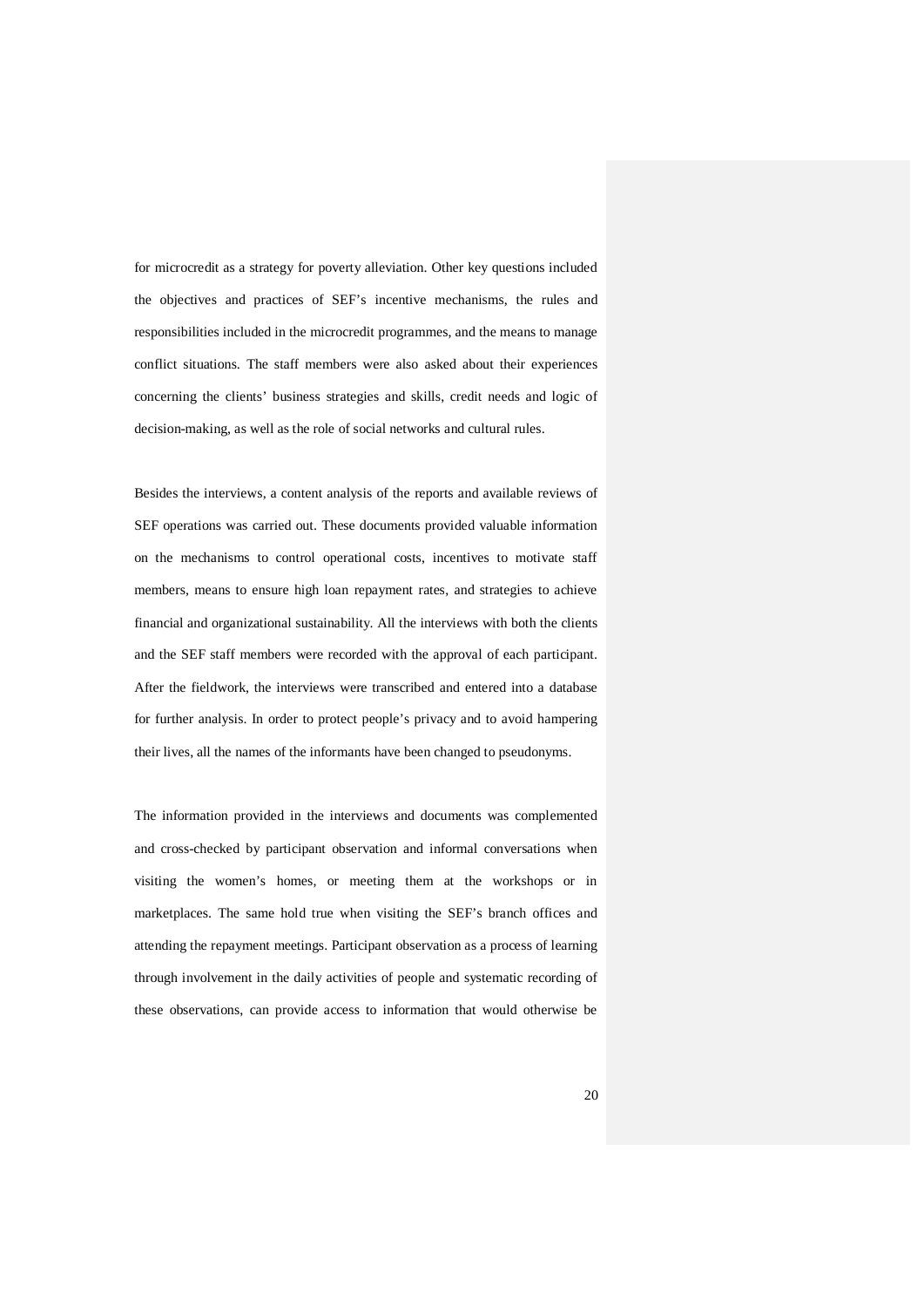for microcredit as a strategy for poverty alleviation. Other key questions included the objectives and practices of SEF's incentive mechanisms, the rules and responsibilities included in the microcredit programmes, and the means to manage conflict situations. The staff members were also asked about their experiences concerning the clients' business strategies and skills, credit needs and logic of decision-making, as well as the role of social networks and cultural rules.

Besides the interviews, a content analysis of the reports and available reviews of SEF operations was carried out. These documents provided valuable information on the mechanisms to control operational costs, incentives to motivate staff members, means to ensure high loan repayment rates, and strategies to achieve financial and organizational sustainability. All the interviews with both the clients and the SEF staff members were recorded with the approval of each participant. After the fieldwork, the interviews were transcribed and entered into a database for further analysis. In order to protect people's privacy and to avoid hampering their lives, all the names of the informants have been changed to pseudonyms.

The information provided in the interviews and documents was complemented and cross-checked by participant observation and informal conversations when visiting the women's homes, or meeting them at the workshops or in marketplaces. The same hold true when visiting the SEF's branch offices and attending the repayment meetings. Participant observation as a process of learning through involvement in the daily activities of people and systematic recording of these observations, can provide access to information that would otherwise be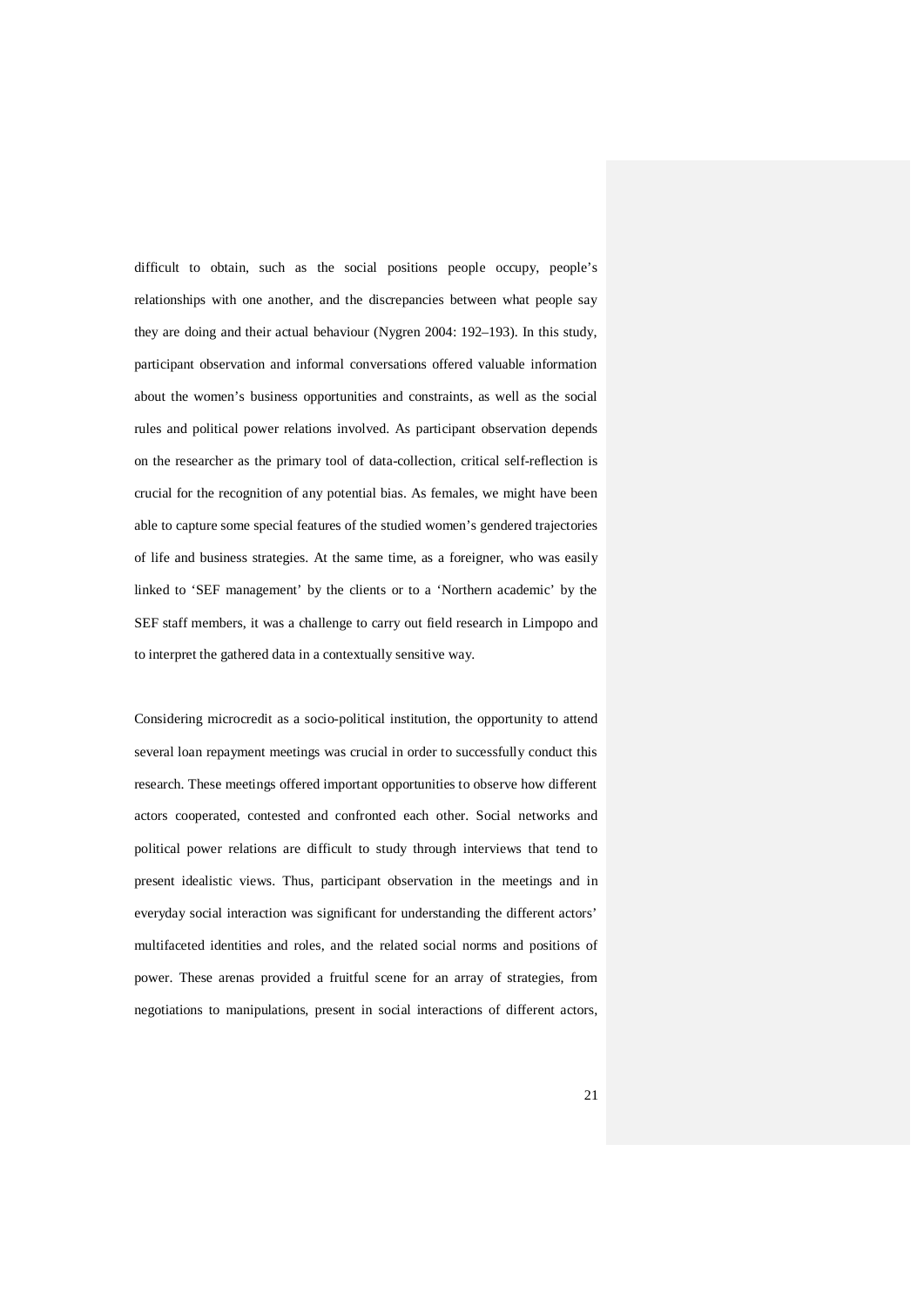difficult to obtain, such as the social positions people occupy, people's relationships with one another, and the discrepancies between what people say they are doing and their actual behaviour (Nygren 2004: 192–193). In this study, participant observation and informal conversations offered valuable information about the women's business opportunities and constraints, as well as the social rules and political power relations involved. As participant observation depends on the researcher as the primary tool of data-collection, critical self-reflection is crucial for the recognition of any potential bias. As females, we might have been able to capture some special features of the studied women's gendered trajectories of life and business strategies. At the same time, as a foreigner, who was easily linked to 'SEF management' by the clients or to a 'Northern academic' by the SEF staff members, it was a challenge to carry out field research in Limpopo and to interpret the gathered data in a contextually sensitive way.

Considering microcredit as a socio-political institution, the opportunity to attend several loan repayment meetings was crucial in order to successfully conduct this research. These meetings offered important opportunities to observe how different actors cooperated, contested and confronted each other. Social networks and political power relations are difficult to study through interviews that tend to present idealistic views. Thus, participant observation in the meetings and in everyday social interaction was significant for understanding the different actors' multifaceted identities and roles, and the related social norms and positions of power. These arenas provided a fruitful scene for an array of strategies, from negotiations to manipulations, present in social interactions of different actors,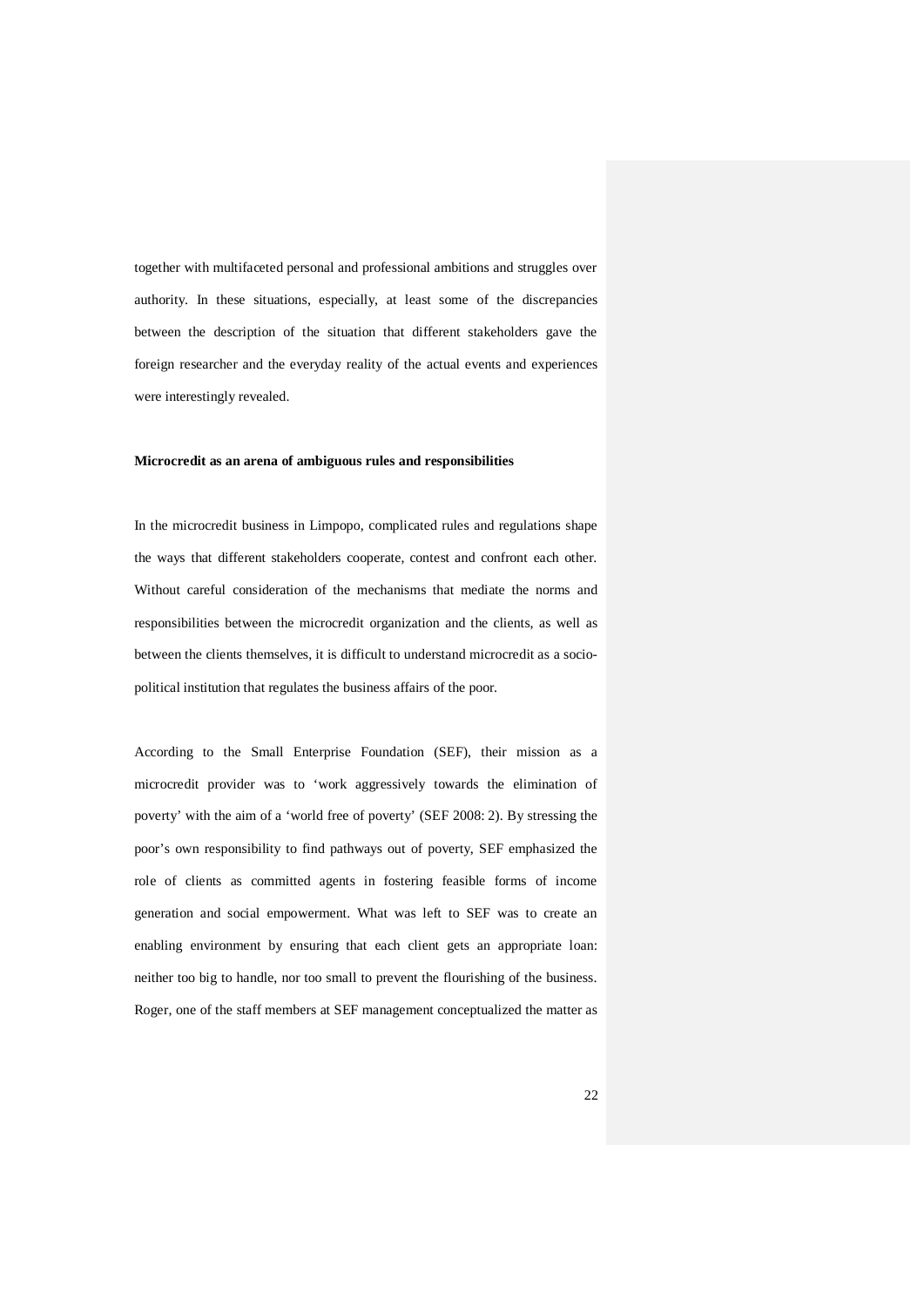together with multifaceted personal and professional ambitions and struggles over authority. In these situations, especially, at least some of the discrepancies between the description of the situation that different stakeholders gave the foreign researcher and the everyday reality of the actual events and experiences were interestingly revealed.

#### **Microcredit as an arena of ambiguous rules and responsibilities**

In the microcredit business in Limpopo, complicated rules and regulations shape the ways that different stakeholders cooperate, contest and confront each other. Without careful consideration of the mechanisms that mediate the norms and responsibilities between the microcredit organization and the clients, as well as between the clients themselves, it is difficult to understand microcredit as a sociopolitical institution that regulates the business affairs of the poor.

According to the Small Enterprise Foundation (SEF), their mission as a microcredit provider was to 'work aggressively towards the elimination of poverty' with the aim of a 'world free of poverty' (SEF 2008: 2). By stressing the poor's own responsibility to find pathways out of poverty, SEF emphasized the role of clients as committed agents in fostering feasible forms of income generation and social empowerment. What was left to SEF was to create an enabling environment by ensuring that each client gets an appropriate loan: neither too big to handle, nor too small to prevent the flourishing of the business. Roger, one of the staff members at SEF management conceptualized the matter as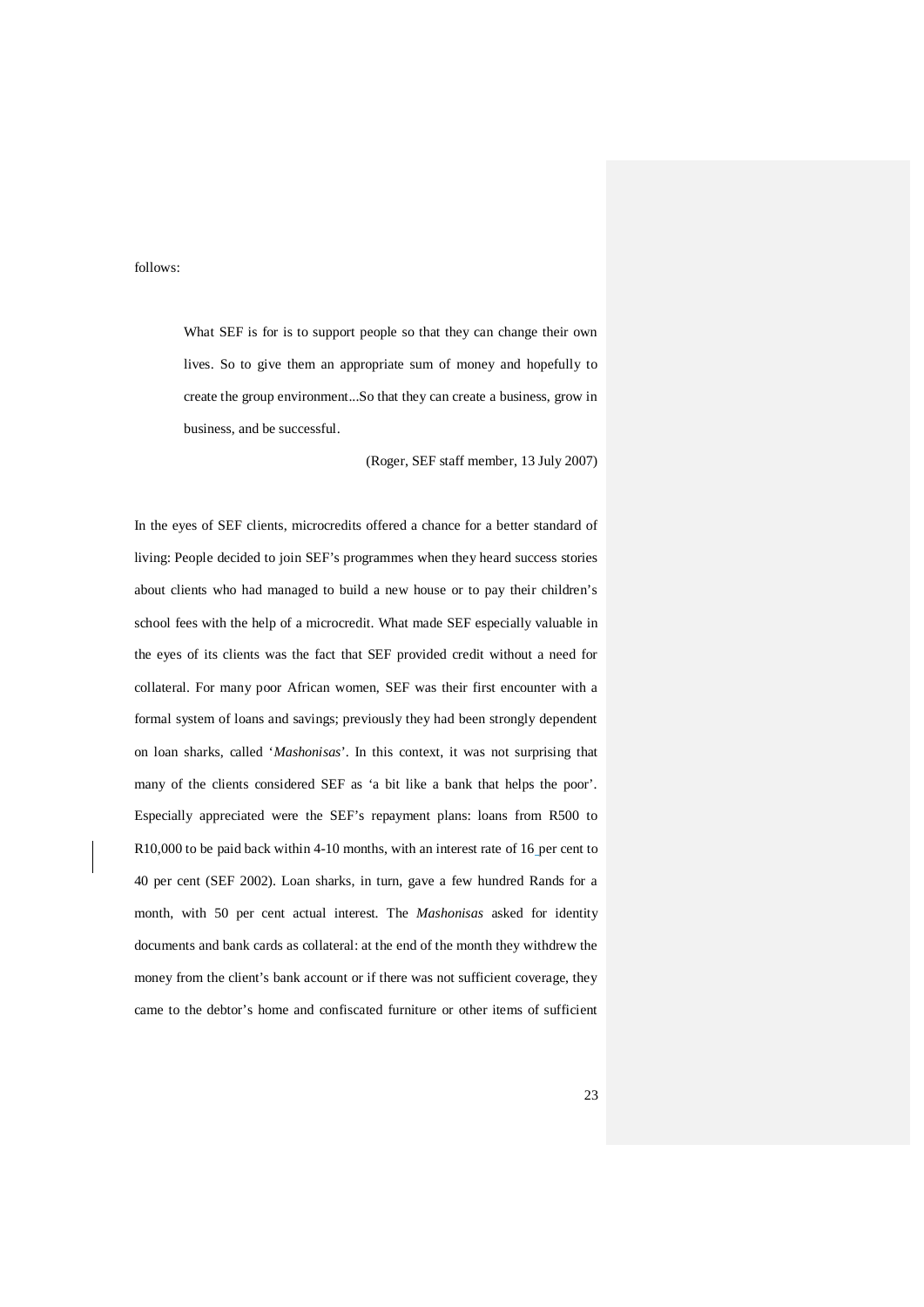follows:

What SEF is for is to support people so that they can change their own lives. So to give them an appropriate sum of money and hopefully to create the group environment...So that they can create a business, grow in business, and be successful.

(Roger, SEF staff member, 13 July 2007)

In the eyes of SEF clients, microcredits offered a chance for a better standard of living: People decided to join SEF's programmes when they heard success stories about clients who had managed to build a new house or to pay their children's school fees with the help of a microcredit. What made SEF especially valuable in the eyes of its clients was the fact that SEF provided credit without a need for collateral. For many poor African women, SEF was their first encounter with a formal system of loans and savings; previously they had been strongly dependent on loan sharks, called '*Mashonisas*'. In this context, it was not surprising that many of the clients considered SEF as 'a bit like a bank that helps the poor'. Especially appreciated were the SEF's repayment plans: loans from R500 to R10,000 to be paid back within 4-10 months, with an interest rate of 16 per cent to 40 per cent (SEF 2002). Loan sharks, in turn, gave a few hundred Rands for a month, with 50 per cent actual interest. The *Mashonisas* asked for identity documents and bank cards as collateral: at the end of the month they withdrew the money from the client's bank account or if there was not sufficient coverage, they came to the debtor's home and confiscated furniture or other items of sufficient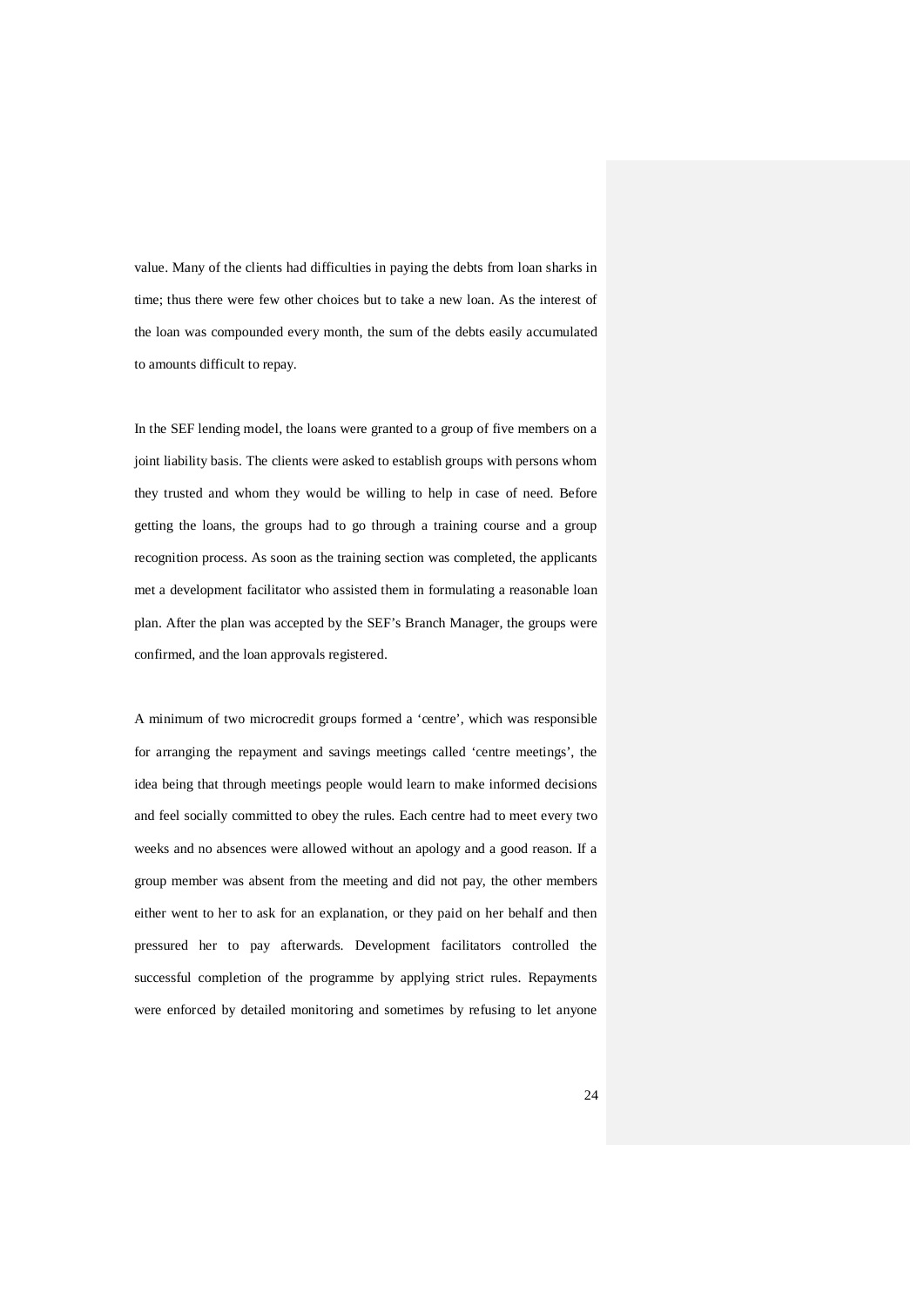value. Many of the clients had difficulties in paying the debts from loan sharks in time; thus there were few other choices but to take a new loan. As the interest of the loan was compounded every month, the sum of the debts easily accumulated to amounts difficult to repay.

In the SEF lending model, the loans were granted to a group of five members on a joint liability basis. The clients were asked to establish groups with persons whom they trusted and whom they would be willing to help in case of need. Before getting the loans, the groups had to go through a training course and a group recognition process. As soon as the training section was completed, the applicants met a development facilitator who assisted them in formulating a reasonable loan plan. After the plan was accepted by the SEF's Branch Manager, the groups were confirmed, and the loan approvals registered.

A minimum of two microcredit groups formed a 'centre', which was responsible for arranging the repayment and savings meetings called 'centre meetings', the idea being that through meetings people would learn to make informed decisions and feel socially committed to obey the rules. Each centre had to meet every two weeks and no absences were allowed without an apology and a good reason. If a group member was absent from the meeting and did not pay, the other members either went to her to ask for an explanation, or they paid on her behalf and then pressured her to pay afterwards. Development facilitators controlled the successful completion of the programme by applying strict rules. Repayments were enforced by detailed monitoring and sometimes by refusing to let anyone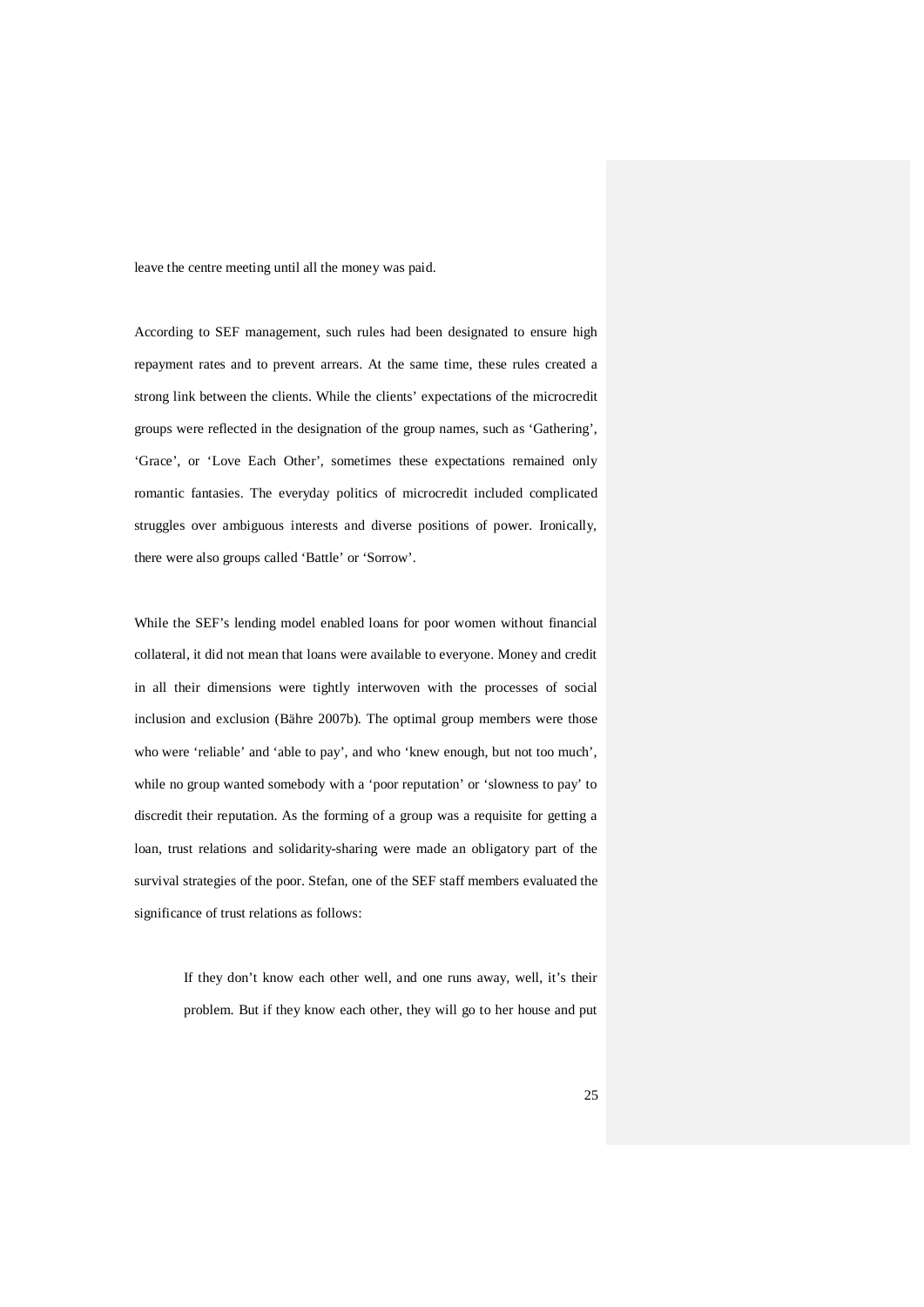leave the centre meeting until all the money was paid.

According to SEF management, such rules had been designated to ensure high repayment rates and to prevent arrears. At the same time, these rules created a strong link between the clients. While the clients' expectations of the microcredit groups were reflected in the designation of the group names, such as 'Gathering', 'Grace', or 'Love Each Other', sometimes these expectations remained only romantic fantasies. The everyday politics of microcredit included complicated struggles over ambiguous interests and diverse positions of power. Ironically, there were also groups called 'Battle' or 'Sorrow'.

While the SEF's lending model enabled loans for poor women without financial collateral, it did not mean that loans were available to everyone. Money and credit in all their dimensions were tightly interwoven with the processes of social inclusion and exclusion (Bähre 2007b). The optimal group members were those who were 'reliable' and 'able to pay', and who 'knew enough, but not too much', while no group wanted somebody with a 'poor reputation' or 'slowness to pay' to discredit their reputation. As the forming of a group was a requisite for getting a loan, trust relations and solidarity-sharing were made an obligatory part of the survival strategies of the poor. Stefan, one of the SEF staff members evaluated the significance of trust relations as follows:

> If they don't know each other well, and one runs away, well, it's their problem. But if they know each other, they will go to her house and put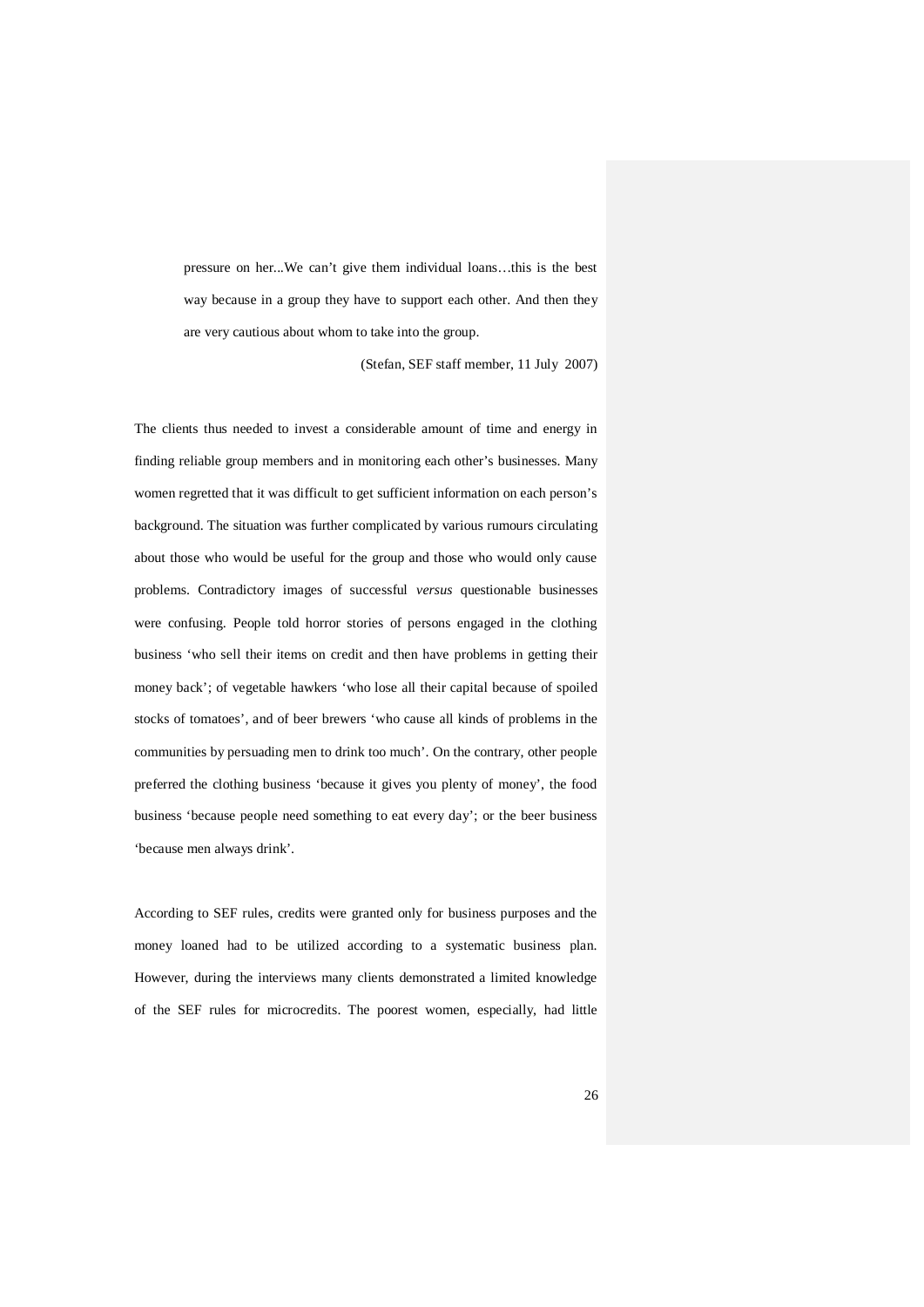pressure on her...We can't give them individual loans…this is the best way because in a group they have to support each other. And then they are very cautious about whom to take into the group.

(Stefan, SEF staff member, 11 July 2007)

The clients thus needed to invest a considerable amount of time and energy in finding reliable group members and in monitoring each other's businesses. Many women regretted that it was difficult to get sufficient information on each person's background. The situation was further complicated by various rumours circulating about those who would be useful for the group and those who would only cause problems. Contradictory images of successful *versus* questionable businesses were confusing. People told horror stories of persons engaged in the clothing business 'who sell their items on credit and then have problems in getting their money back'; of vegetable hawkers 'who lose all their capital because of spoiled stocks of tomatoes', and of beer brewers 'who cause all kinds of problems in the communities by persuading men to drink too much'. On the contrary, other people preferred the clothing business 'because it gives you plenty of money', the food business 'because people need something to eat every day'; or the beer business 'because men always drink'.

According to SEF rules, credits were granted only for business purposes and the money loaned had to be utilized according to a systematic business plan. However, during the interviews many clients demonstrated a limited knowledge of the SEF rules for microcredits. The poorest women, especially, had little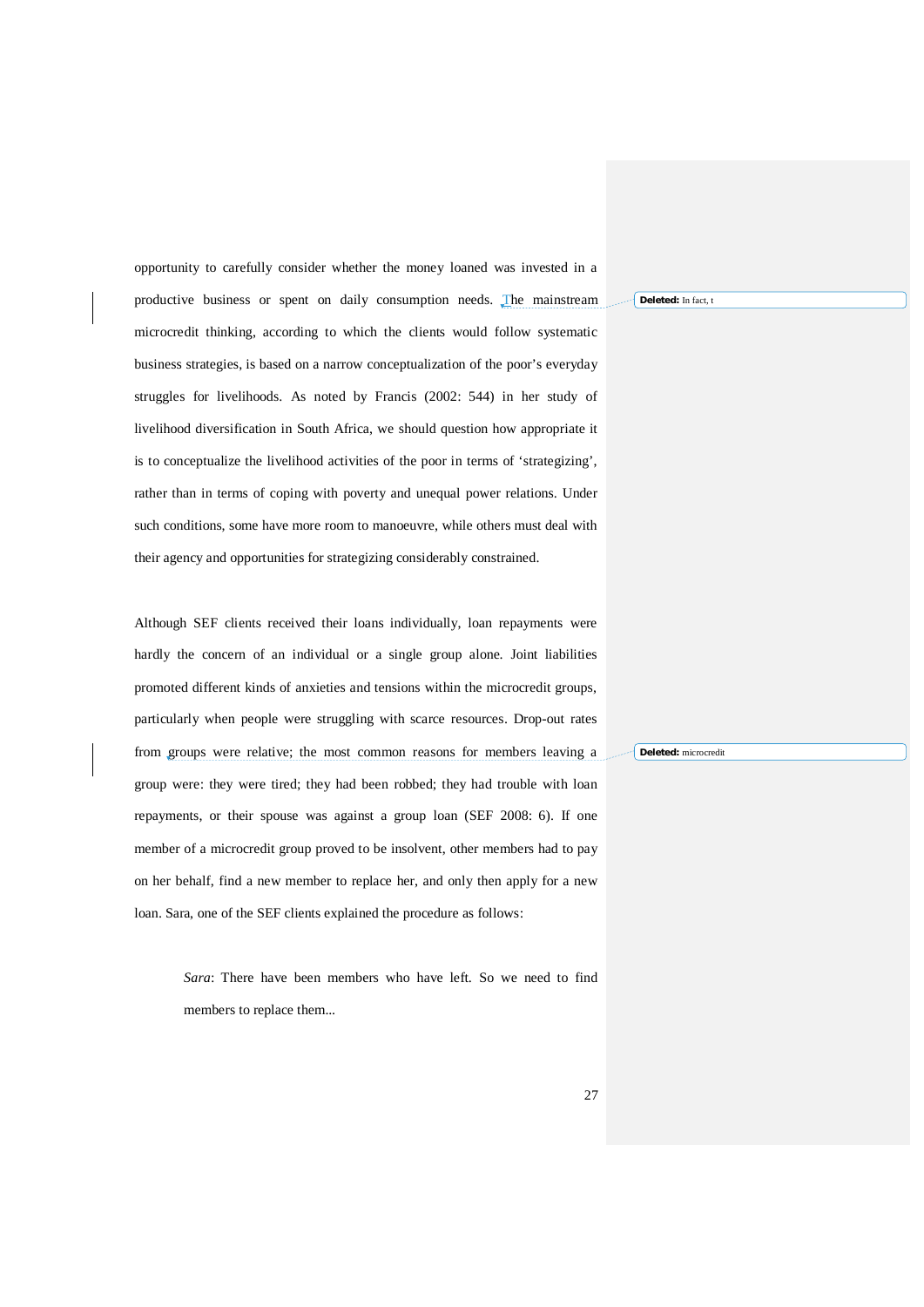opportunity to carefully consider whether the money loaned was invested in a productive business or spent on daily consumption needs. The mainstream microcredit thinking, according to which the clients would follow systematic business strategies, is based on a narrow conceptualization of the poor's everyday struggles for livelihoods. As noted by Francis (2002: 544) in her study of livelihood diversification in South Africa, we should question how appropriate it is to conceptualize the livelihood activities of the poor in terms of 'strategizing', rather than in terms of coping with poverty and unequal power relations. Under such conditions, some have more room to manoeuvre, while others must deal with their agency and opportunities for strategizing considerably constrained.

Although SEF clients received their loans individually, loan repayments were hardly the concern of an individual or a single group alone. Joint liabilities promoted different kinds of anxieties and tensions within the microcredit groups, particularly when people were struggling with scarce resources. Drop-out rates from groups were relative; the most common reasons for members leaving a group were: they were tired; they had been robbed; they had trouble with loan repayments, or their spouse was against a group loan (SEF 2008: 6). If one member of a microcredit group proved to be insolvent, other members had to pay on her behalf, find a new member to replace her, and only then apply for a new loan. Sara, one of the SEF clients explained the procedure as follows:

> *Sara*: There have been members who have left. So we need to find members to replace them...

**Deleted:** In fact, t

**Deleted:** microcredit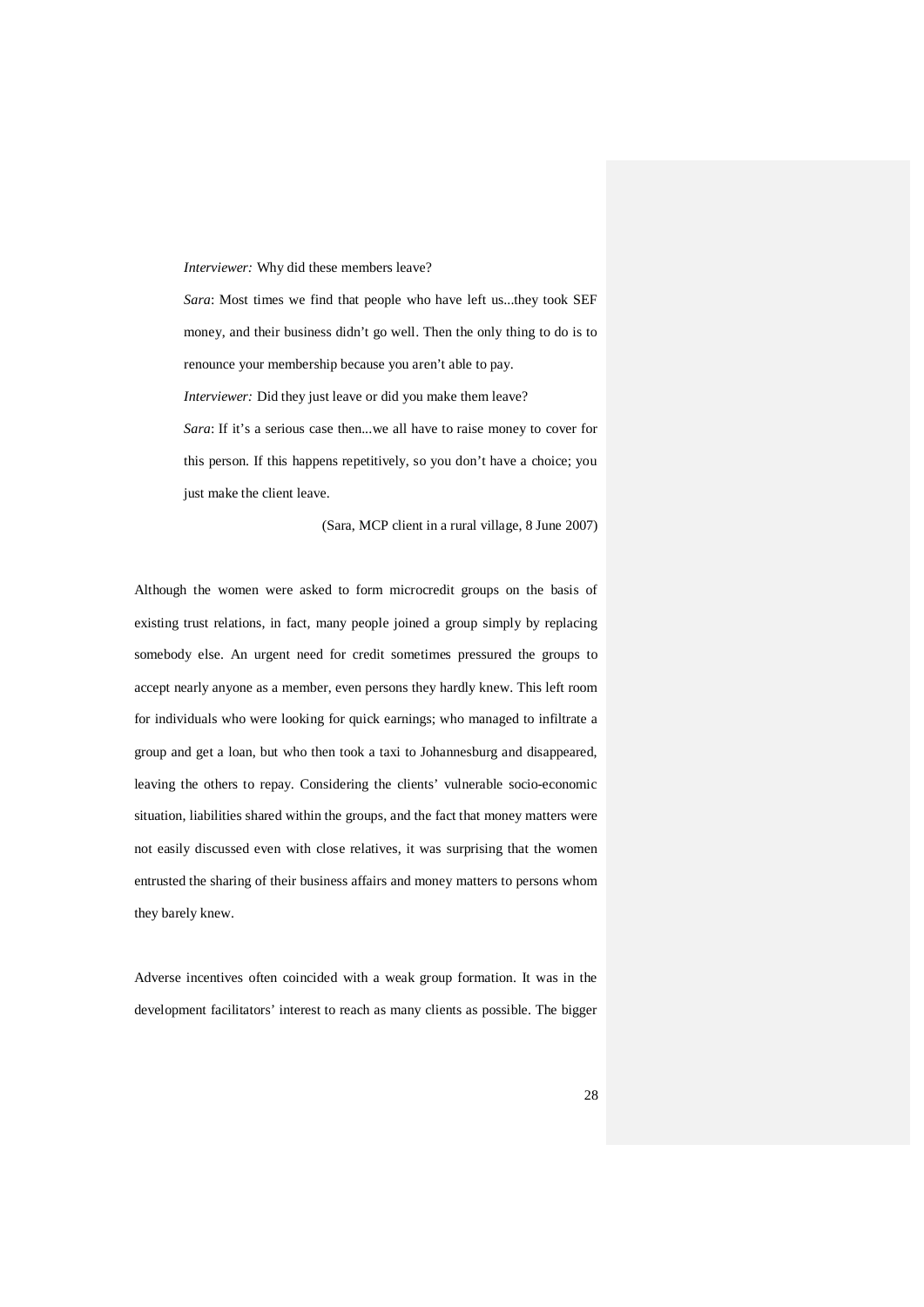*Interviewer:* Why did these members leave?

*Sara*: Most times we find that people who have left us...they took SEF money, and their business didn't go well. Then the only thing to do is to renounce your membership because you aren't able to pay.

*Interviewer:* Did they just leave or did you make them leave?

*Sara*: If it's a serious case then...we all have to raise money to cover for this person. If this happens repetitively, so you don't have a choice; you just make the client leave.

(Sara, MCP client in a rural village, 8 June 2007)

Although the women were asked to form microcredit groups on the basis of existing trust relations, in fact, many people joined a group simply by replacing somebody else. An urgent need for credit sometimes pressured the groups to accept nearly anyone as a member, even persons they hardly knew. This left room for individuals who were looking for quick earnings; who managed to infiltrate a group and get a loan, but who then took a taxi to Johannesburg and disappeared, leaving the others to repay. Considering the clients' vulnerable socio-economic situation, liabilities shared within the groups, and the fact that money matters were not easily discussed even with close relatives, it was surprising that the women entrusted the sharing of their business affairs and money matters to persons whom they barely knew.

Adverse incentives often coincided with a weak group formation. It was in the development facilitators' interest to reach as many clients as possible. The bigger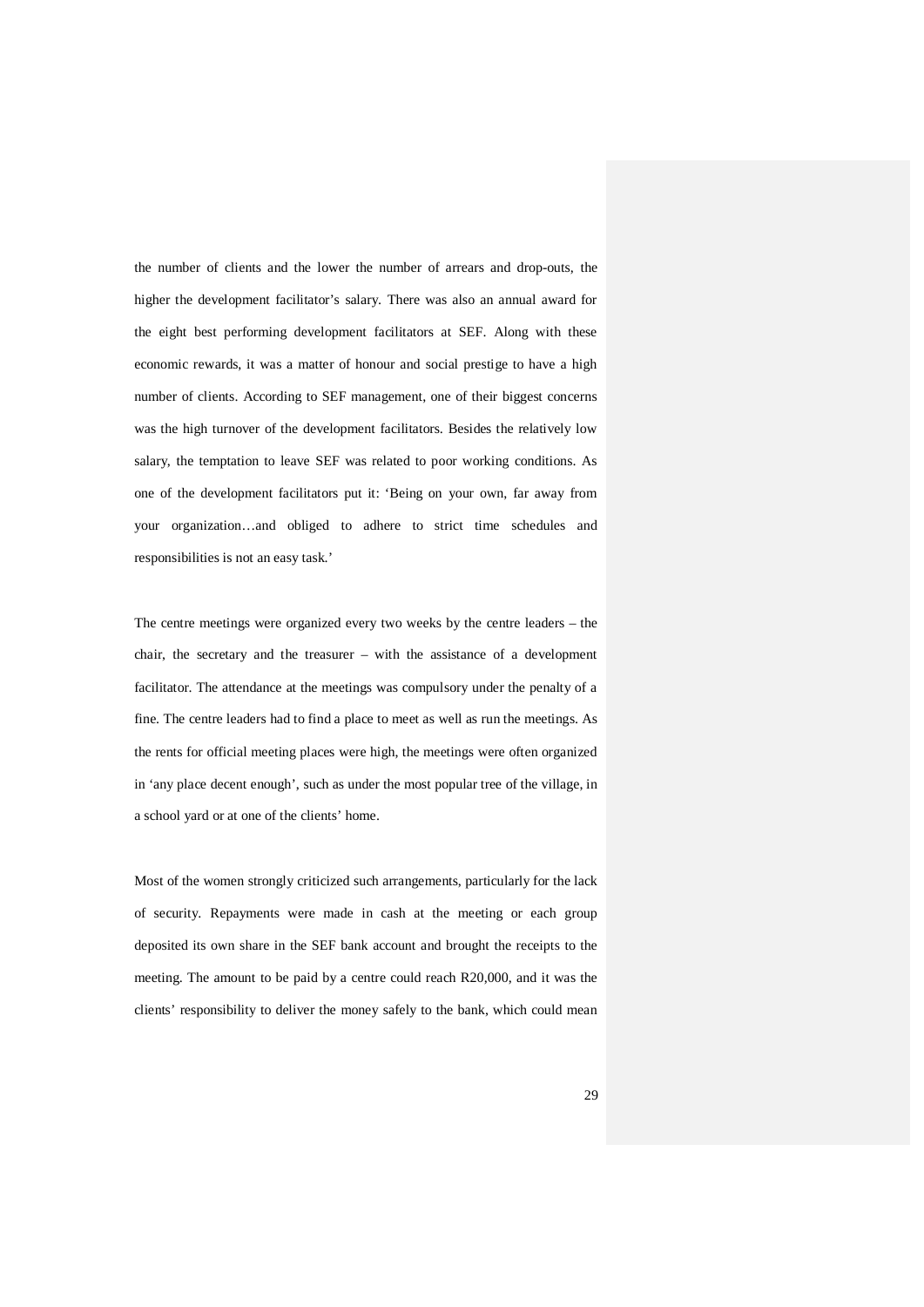the number of clients and the lower the number of arrears and drop-outs, the higher the development facilitator's salary. There was also an annual award for the eight best performing development facilitators at SEF. Along with these economic rewards, it was a matter of honour and social prestige to have a high number of clients. According to SEF management, one of their biggest concerns was the high turnover of the development facilitators. Besides the relatively low salary, the temptation to leave SEF was related to poor working conditions. As one of the development facilitators put it: 'Being on your own, far away from your organization…and obliged to adhere to strict time schedules and responsibilities is not an easy task.'

The centre meetings were organized every two weeks by the centre leaders – the chair, the secretary and the treasurer – with the assistance of a development facilitator. The attendance at the meetings was compulsory under the penalty of a fine. The centre leaders had to find a place to meet as well as run the meetings. As the rents for official meeting places were high, the meetings were often organized in 'any place decent enough', such as under the most popular tree of the village, in a school yard or at one of the clients' home.

Most of the women strongly criticized such arrangements, particularly for the lack of security. Repayments were made in cash at the meeting or each group deposited its own share in the SEF bank account and brought the receipts to the meeting. The amount to be paid by a centre could reach R20,000, and it was the clients' responsibility to deliver the money safely to the bank, which could mean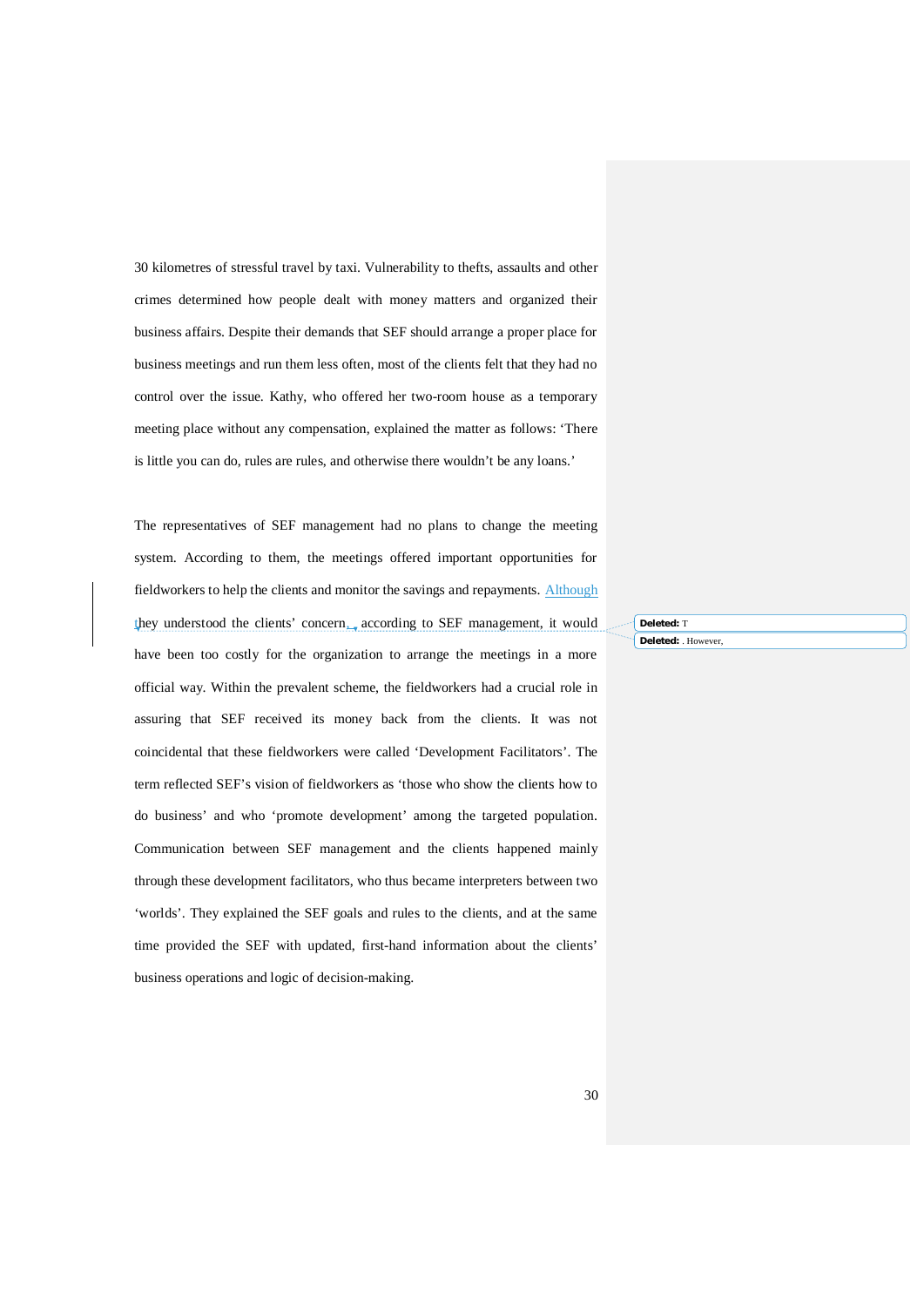30 kilometres of stressful travel by taxi. Vulnerability to thefts, assaults and other crimes determined how people dealt with money matters and organized their business affairs. Despite their demands that SEF should arrange a proper place for business meetings and run them less often, most of the clients felt that they had no control over the issue. Kathy, who offered her two-room house as a temporary meeting place without any compensation, explained the matter as follows: 'There is little you can do, rules are rules, and otherwise there wouldn't be any loans.'

The representatives of SEF management had no plans to change the meeting system. According to them, the meetings offered important opportunities for fieldworkers to help the clients and monitor the savings and repayments. Although they understood the clients' concern, according to SEF management, it would have been too costly for the organization to arrange the meetings in a more official way. Within the prevalent scheme, the fieldworkers had a crucial role in assuring that SEF received its money back from the clients. It was not coincidental that these fieldworkers were called 'Development Facilitators'. The term reflected SEF's vision of fieldworkers as 'those who show the clients how to do business' and who 'promote development' among the targeted population. Communication between SEF management and the clients happened mainly through these development facilitators, who thus became interpreters between two 'worlds'. They explained the SEF goals and rules to the clients, and at the same time provided the SEF with updated, first-hand information about the clients' business operations and logic of decision-making.

**Deleted:** T **Deleted:** . However,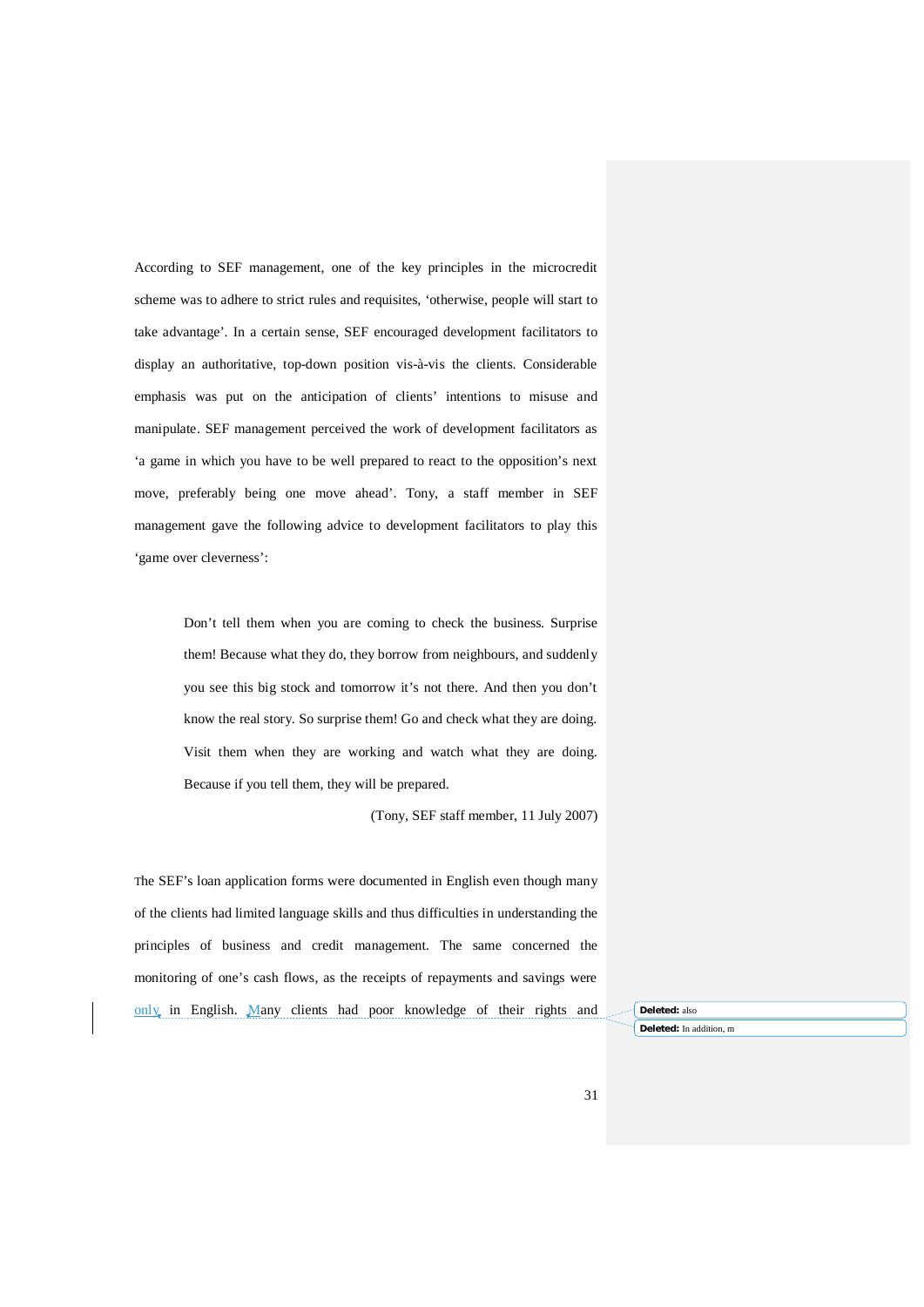According to SEF management, one of the key principles in the microcredit scheme was to adhere to strict rules and requisites, 'otherwise, people will start to take advantage'. In a certain sense, SEF encouraged development facilitators to display an authoritative, top-down position vis-à-vis the clients. Considerable emphasis was put on the anticipation of clients' intentions to misuse and manipulate. SEF management perceived the work of development facilitators as 'a game in which you have to be well prepared to react to the opposition's next move, preferably being one move ahead'. Tony, a staff member in SEF management gave the following advice to development facilitators to play this 'game over cleverness':

> Don't tell them when you are coming to check the business. Surprise them! Because what they do, they borrow from neighbours, and suddenly you see this big stock and tomorrow it's not there. And then you don't know the real story. So surprise them! Go and check what they are doing. Visit them when they are working and watch what they are doing. Because if you tell them, they will be prepared.

> > (Tony, SEF staff member, 11 July 2007)

The SEF's loan application forms were documented in English even though many of the clients had limited language skills and thus difficulties in understanding the principles of business and credit management. The same concerned the monitoring of one's cash flows, as the receipts of repayments and savings were only in English. Many clients had poor knowledge of their rights and **Deleted:** also

**Deleted:** In addition, m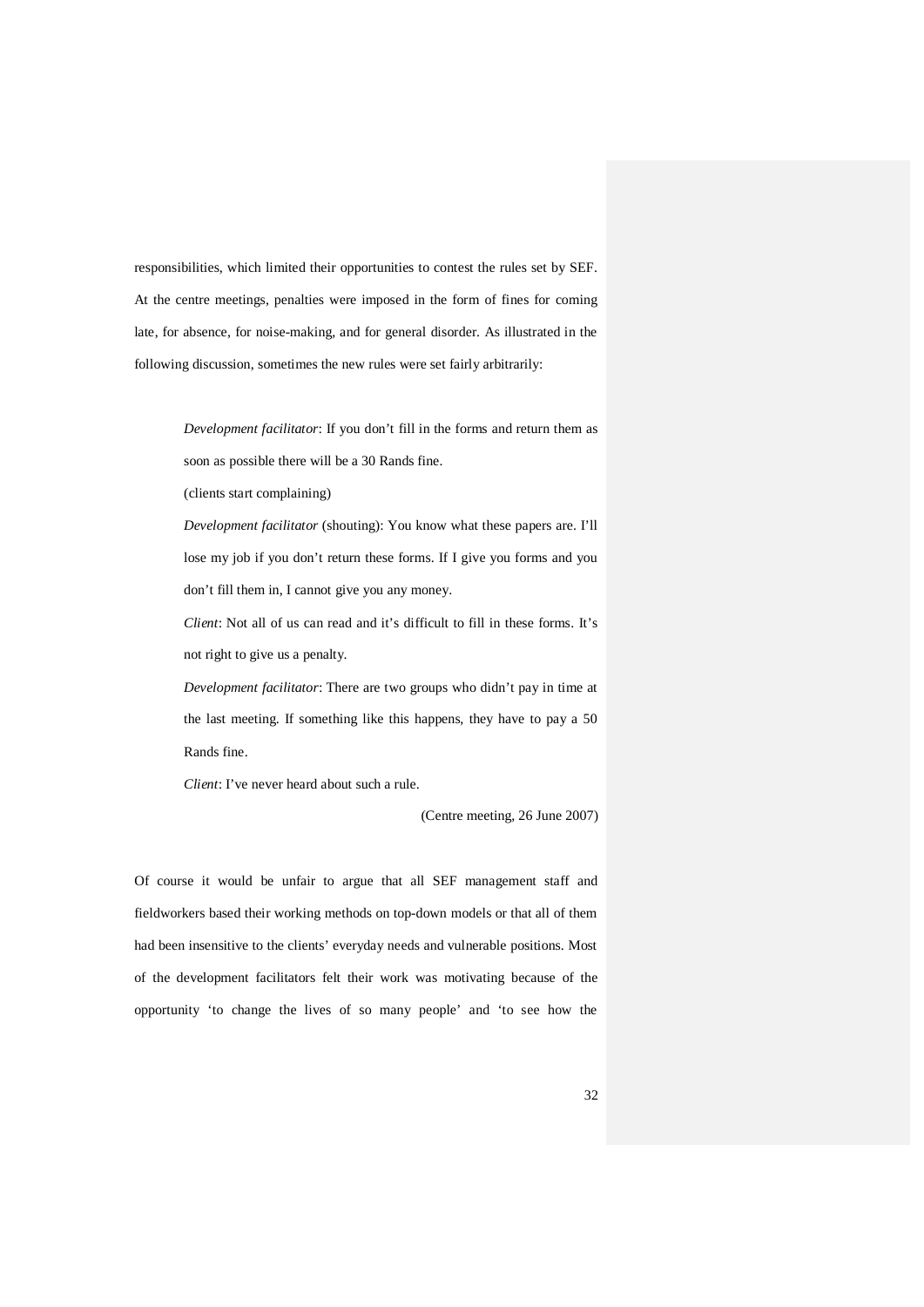responsibilities, which limited their opportunities to contest the rules set by SEF. At the centre meetings, penalties were imposed in the form of fines for coming late, for absence, for noise-making, and for general disorder. As illustrated in the following discussion, sometimes the new rules were set fairly arbitrarily:

> *Development facilitator*: If you don't fill in the forms and return them as soon as possible there will be a 30 Rands fine.

(clients start complaining)

*Development facilitator* (shouting): You know what these papers are. I'll lose my job if you don't return these forms. If I give you forms and you don't fill them in, I cannot give you any money.

*Client*: Not all of us can read and it's difficult to fill in these forms. It's not right to give us a penalty.

*Development facilitator*: There are two groups who didn't pay in time at the last meeting. If something like this happens, they have to pay a 50 Rands fine.

*Client*: I've never heard about such a rule.

(Centre meeting, 26 June 2007)

Of course it would be unfair to argue that all SEF management staff and fieldworkers based their working methods on top-down models or that all of them had been insensitive to the clients' everyday needs and vulnerable positions. Most of the development facilitators felt their work was motivating because of the opportunity 'to change the lives of so many people' and 'to see how the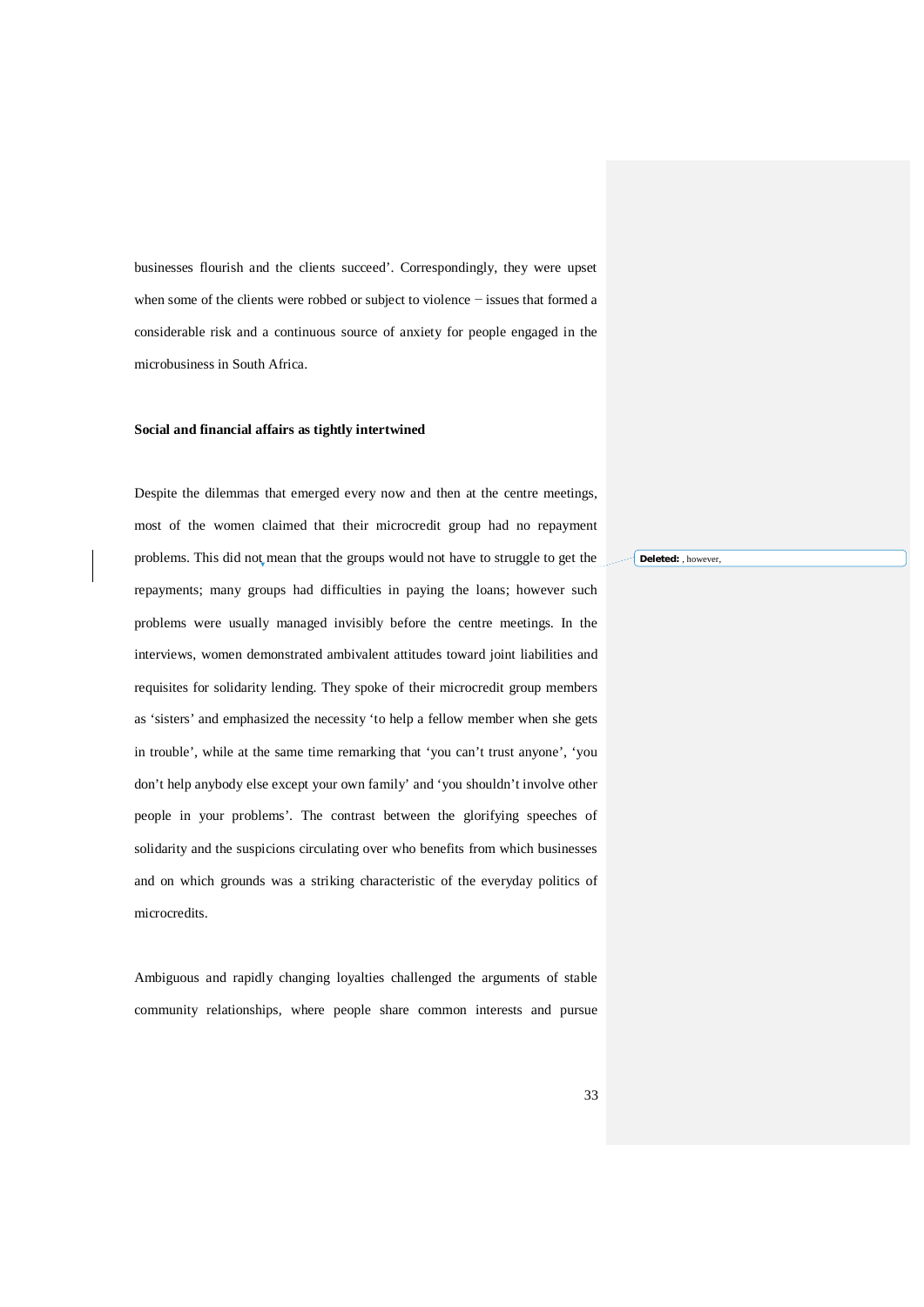businesses flourish and the clients succeed'. Correspondingly, they were upset when some of the clients were robbed or subject to violence − issues that formed a considerable risk and a continuous source of anxiety for people engaged in the microbusiness in South Africa.

#### **Social and financial affairs as tightly intertwined**

Despite the dilemmas that emerged every now and then at the centre meetings, most of the women claimed that their microcredit group had no repayment problems. This did not mean that the groups would not have to struggle to get the repayments; many groups had difficulties in paying the loans; however such problems were usually managed invisibly before the centre meetings. In the interviews, women demonstrated ambivalent attitudes toward joint liabilities and requisites for solidarity lending. They spoke of their microcredit group members as 'sisters' and emphasized the necessity 'to help a fellow member when she gets in trouble', while at the same time remarking that 'you can't trust anyone', 'you don't help anybody else except your own family' and 'you shouldn't involve other people in your problems'. The contrast between the glorifying speeches of solidarity and the suspicions circulating over who benefits from which businesses and on which grounds was a striking characteristic of the everyday politics of microcredits.

Ambiguous and rapidly changing loyalties challenged the arguments of stable community relationships, where people share common interests and pursue **Deleted:** , however,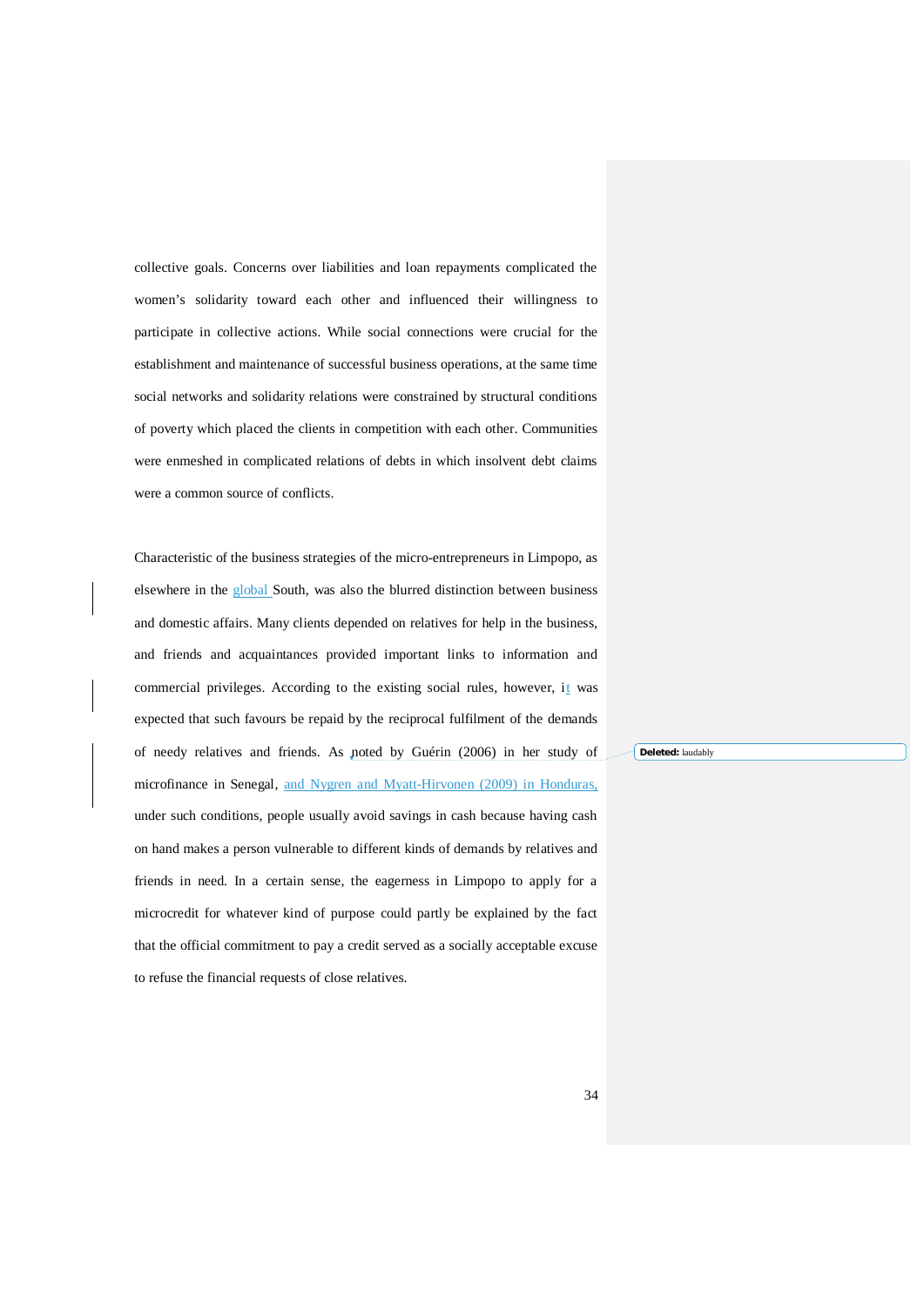collective goals. Concerns over liabilities and loan repayments complicated the women's solidarity toward each other and influenced their willingness to participate in collective actions. While social connections were crucial for the establishment and maintenance of successful business operations, at the same time social networks and solidarity relations were constrained by structural conditions of poverty which placed the clients in competition with each other. Communities were enmeshed in complicated relations of debts in which insolvent debt claims were a common source of conflicts.

Characteristic of the business strategies of the micro-entrepreneurs in Limpopo, as elsewhere in the global South, was also the blurred distinction between business and domestic affairs. Many clients depended on relatives for help in the business, and friends and acquaintances provided important links to information and commercial privileges. According to the existing social rules, however, it was expected that such favours be repaid by the reciprocal fulfilment of the demands of needy relatives and friends. As noted by Guérin (2006) in her study of microfinance in Senegal, and Nygren and Myatt-Hirvonen (2009) in Honduras, under such conditions, people usually avoid savings in cash because having cash on hand makes a person vulnerable to different kinds of demands by relatives and friends in need. In a certain sense, the eagerness in Limpopo to apply for a microcredit for whatever kind of purpose could partly be explained by the fact that the official commitment to pay a credit served as a socially acceptable excuse to refuse the financial requests of close relatives.

**Deleted:** laudably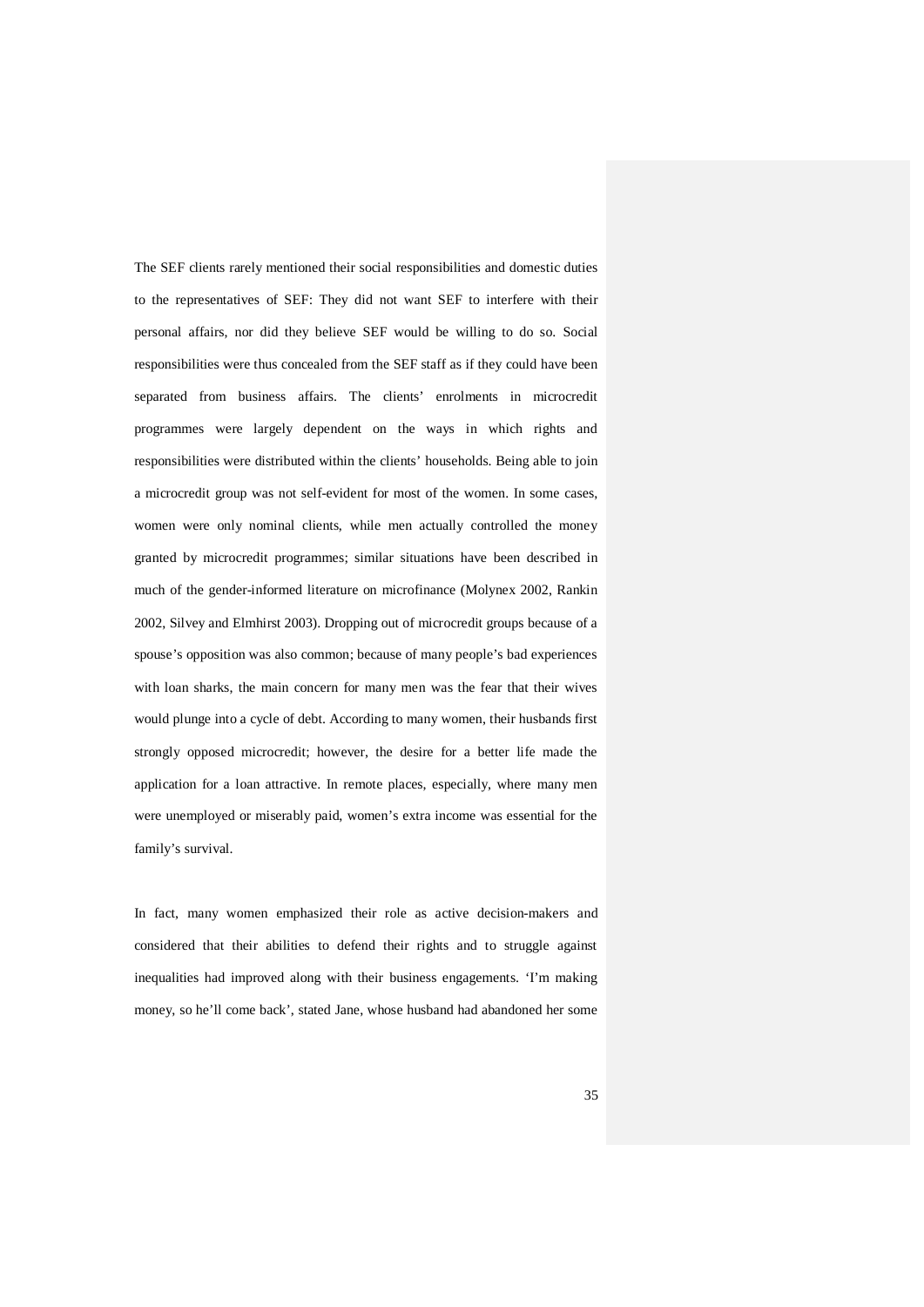The SEF clients rarely mentioned their social responsibilities and domestic duties to the representatives of SEF: They did not want SEF to interfere with their personal affairs, nor did they believe SEF would be willing to do so. Social responsibilities were thus concealed from the SEF staff as if they could have been separated from business affairs. The clients' enrolments in microcredit programmes were largely dependent on the ways in which rights and responsibilities were distributed within the clients' households. Being able to join a microcredit group was not self-evident for most of the women. In some cases, women were only nominal clients, while men actually controlled the money granted by microcredit programmes; similar situations have been described in much of the gender-informed literature on microfinance (Molynex 2002, Rankin 2002, Silvey and Elmhirst 2003). Dropping out of microcredit groups because of a spouse's opposition was also common; because of many people's bad experiences with loan sharks, the main concern for many men was the fear that their wives would plunge into a cycle of debt. According to many women, their husbands first strongly opposed microcredit; however, the desire for a better life made the application for a loan attractive. In remote places, especially, where many men were unemployed or miserably paid, women's extra income was essential for the family's survival.

In fact, many women emphasized their role as active decision-makers and considered that their abilities to defend their rights and to struggle against inequalities had improved along with their business engagements. 'I'm making money, so he'll come back', stated Jane, whose husband had abandoned her some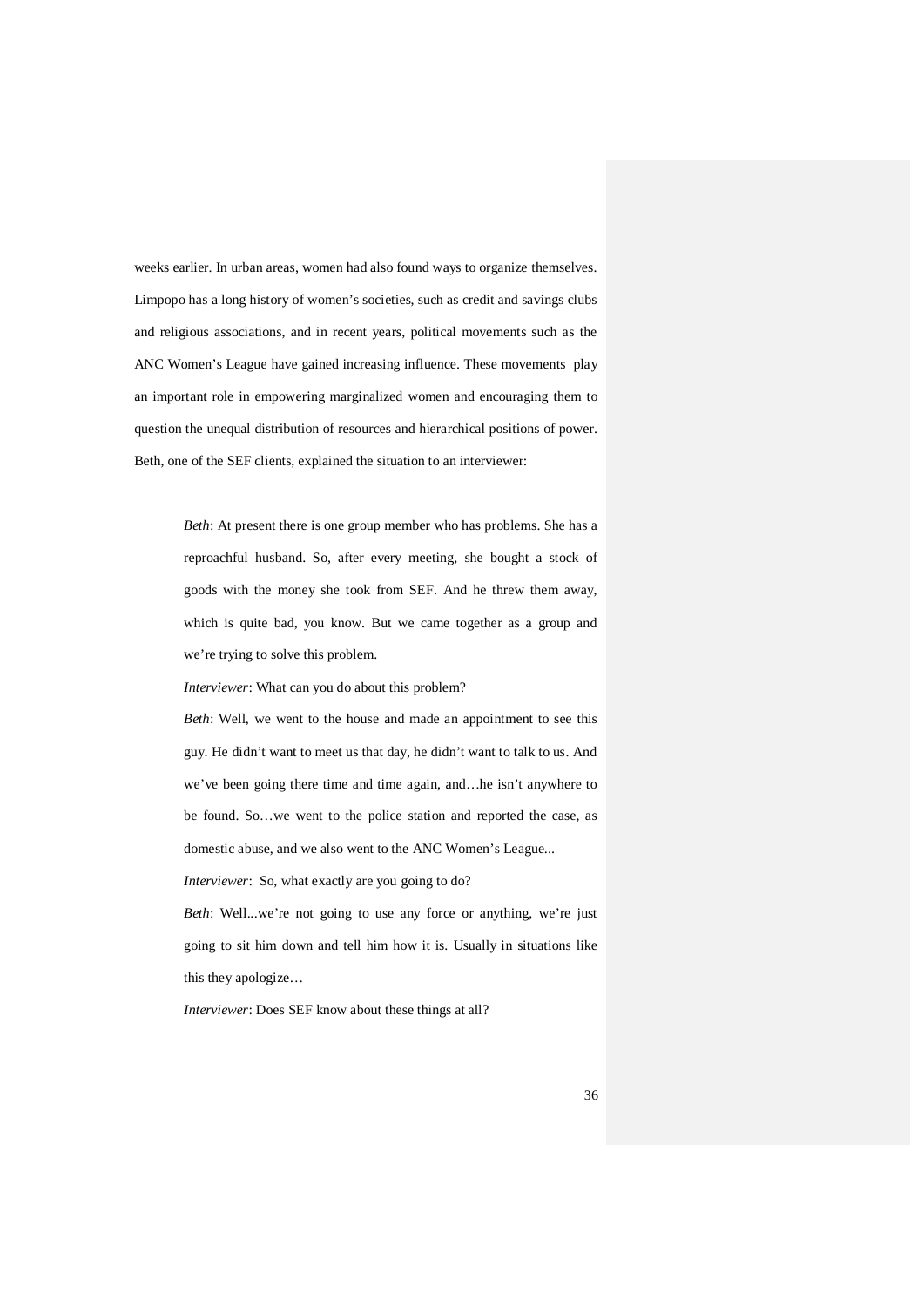weeks earlier. In urban areas, women had also found ways to organize themselves. Limpopo has a long history of women's societies, such as credit and savings clubs and religious associations, and in recent years, political movements such as the ANC Women's League have gained increasing influence. These movements play an important role in empowering marginalized women and encouraging them to question the unequal distribution of resources and hierarchical positions of power. Beth, one of the SEF clients, explained the situation to an interviewer:

> *Beth*: At present there is one group member who has problems. She has a reproachful husband. So, after every meeting, she bought a stock of goods with the money she took from SEF. And he threw them away, which is quite bad, you know. But we came together as a group and we're trying to solve this problem.

*Interviewer*: What can you do about this problem?

*Beth*: Well, we went to the house and made an appointment to see this guy. He didn't want to meet us that day, he didn't want to talk to us. And we've been going there time and time again, and…he isn't anywhere to be found. So…we went to the police station and reported the case, as domestic abuse, and we also went to the ANC Women's League...

*Interviewer*: So, what exactly are you going to do?

*Beth*: Well...we're not going to use any force or anything, we're just going to sit him down and tell him how it is. Usually in situations like this they apologize…

*Interviewer*: Does SEF know about these things at all?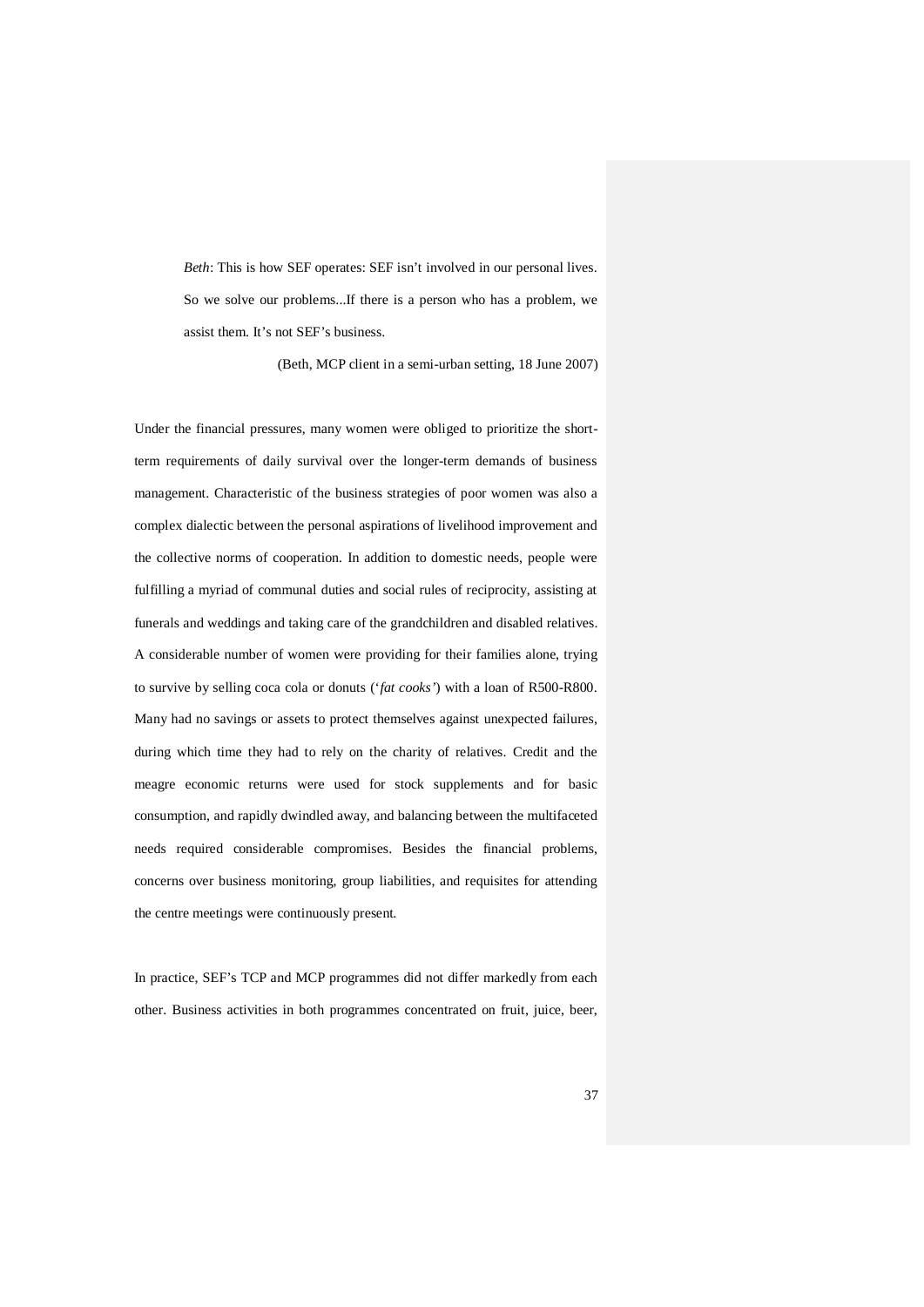*Beth*: This is how SEF operates: SEF isn't involved in our personal lives. So we solve our problems...If there is a person who has a problem, we assist them. It's not SEF's business.

(Beth, MCP client in a semi-urban setting, 18 June 2007)

Under the financial pressures, many women were obliged to prioritize the shortterm requirements of daily survival over the longer-term demands of business management. Characteristic of the business strategies of poor women was also a complex dialectic between the personal aspirations of livelihood improvement and the collective norms of cooperation. In addition to domestic needs, people were fulfilling a myriad of communal duties and social rules of reciprocity, assisting at funerals and weddings and taking care of the grandchildren and disabled relatives. A considerable number of women were providing for their families alone, trying to survive by selling coca cola or donuts ('*fat cooks'*) with a loan of R500-R800. Many had no savings or assets to protect themselves against unexpected failures, during which time they had to rely on the charity of relatives. Credit and the meagre economic returns were used for stock supplements and for basic consumption, and rapidly dwindled away, and balancing between the multifaceted needs required considerable compromises. Besides the financial problems, concerns over business monitoring, group liabilities, and requisites for attending the centre meetings were continuously present.

In practice, SEF's TCP and MCP programmes did not differ markedly from each other. Business activities in both programmes concentrated on fruit, juice, beer,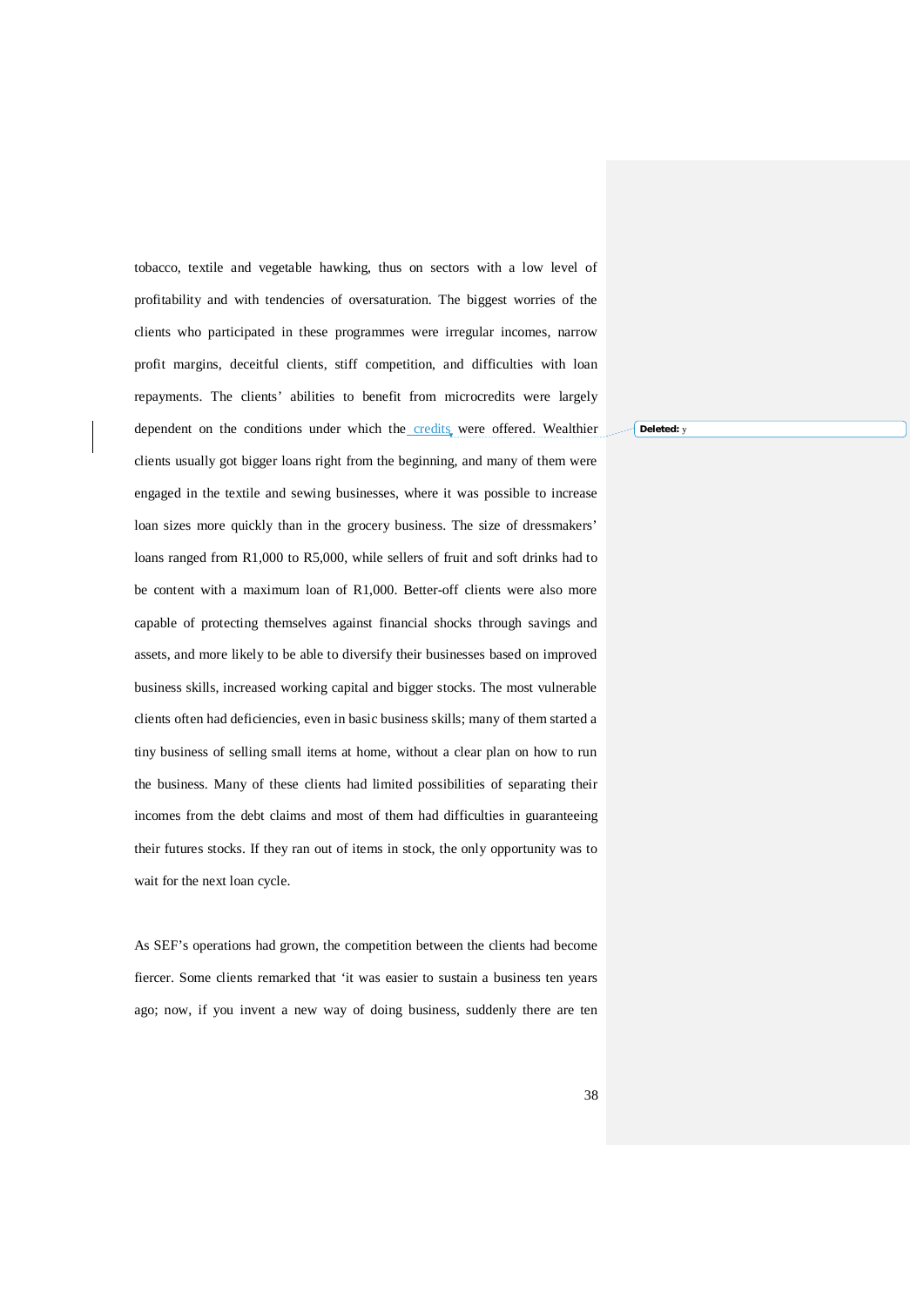tobacco, textile and vegetable hawking, thus on sectors with a low level of profitability and with tendencies of oversaturation. The biggest worries of the clients who participated in these programmes were irregular incomes, narrow profit margins, deceitful clients, stiff competition, and difficulties with loan repayments. The clients' abilities to benefit from microcredits were largely dependent on the conditions under which the credits were offered. Wealthier clients usually got bigger loans right from the beginning, and many of them were engaged in the textile and sewing businesses, where it was possible to increase loan sizes more quickly than in the grocery business. The size of dressmakers' loans ranged from R1,000 to R5,000, while sellers of fruit and soft drinks had to be content with a maximum loan of R1,000. Better-off clients were also more capable of protecting themselves against financial shocks through savings and assets, and more likely to be able to diversify their businesses based on improved business skills, increased working capital and bigger stocks. The most vulnerable clients often had deficiencies, even in basic business skills; many of them started a tiny business of selling small items at home, without a clear plan on how to run the business. Many of these clients had limited possibilities of separating their incomes from the debt claims and most of them had difficulties in guaranteeing their futures stocks. If they ran out of items in stock, the only opportunity was to wait for the next loan cycle.

As SEF's operations had grown, the competition between the clients had become fiercer. Some clients remarked that 'it was easier to sustain a business ten years ago; now, if you invent a new way of doing business, suddenly there are ten **Deleted:** y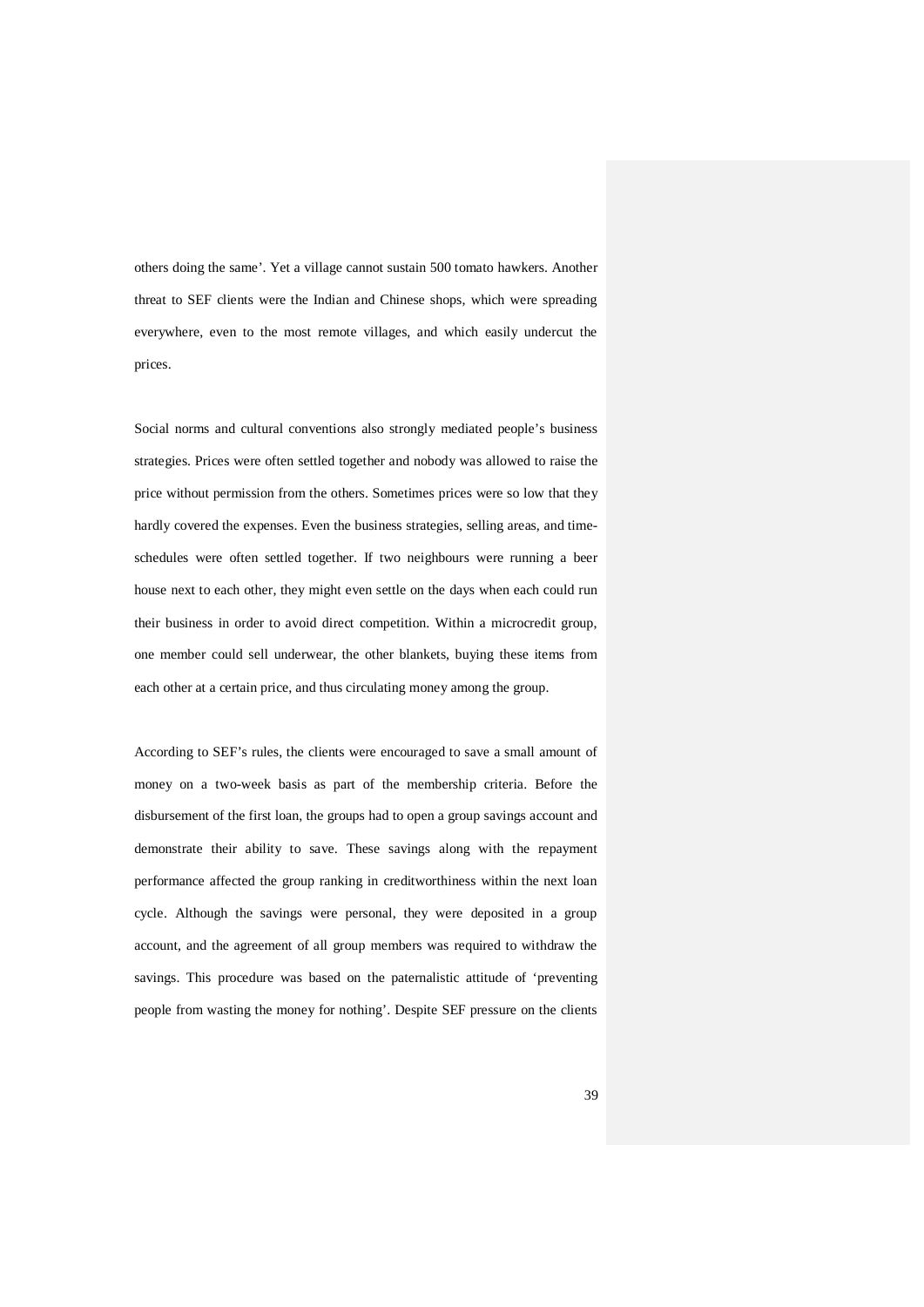others doing the same'. Yet a village cannot sustain 500 tomato hawkers. Another threat to SEF clients were the Indian and Chinese shops, which were spreading everywhere, even to the most remote villages, and which easily undercut the prices.

Social norms and cultural conventions also strongly mediated people's business strategies. Prices were often settled together and nobody was allowed to raise the price without permission from the others. Sometimes prices were so low that they hardly covered the expenses. Even the business strategies, selling areas, and timeschedules were often settled together. If two neighbours were running a beer house next to each other, they might even settle on the days when each could run their business in order to avoid direct competition. Within a microcredit group, one member could sell underwear, the other blankets, buying these items from each other at a certain price, and thus circulating money among the group.

According to SEF's rules, the clients were encouraged to save a small amount of money on a two-week basis as part of the membership criteria. Before the disbursement of the first loan, the groups had to open a group savings account and demonstrate their ability to save. These savings along with the repayment performance affected the group ranking in creditworthiness within the next loan cycle. Although the savings were personal, they were deposited in a group account, and the agreement of all group members was required to withdraw the savings. This procedure was based on the paternalistic attitude of 'preventing people from wasting the money for nothing'. Despite SEF pressure on the clients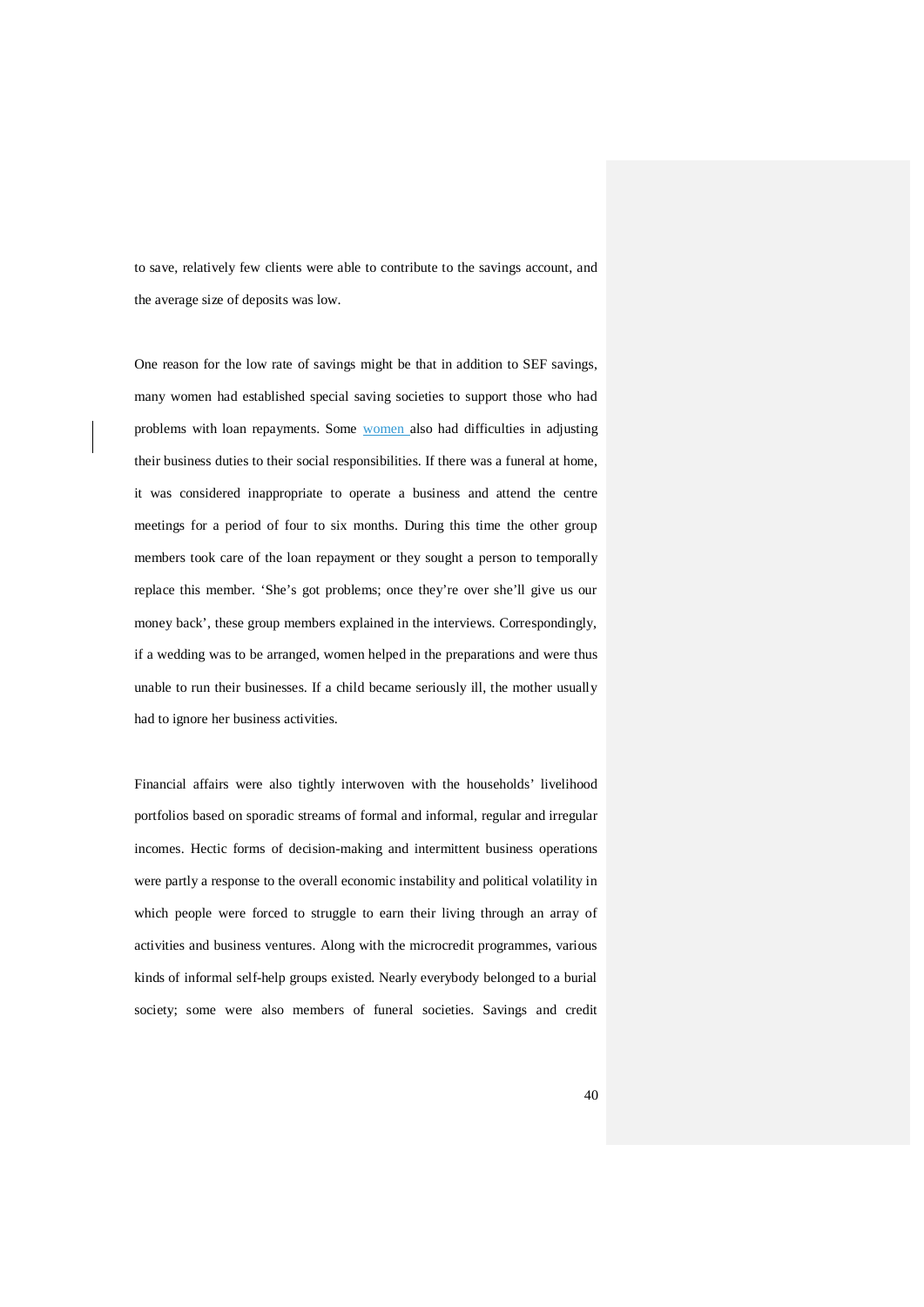to save, relatively few clients were able to contribute to the savings account, and the average size of deposits was low.

One reason for the low rate of savings might be that in addition to SEF savings, many women had established special saving societies to support those who had problems with loan repayments. Some women also had difficulties in adjusting their business duties to their social responsibilities. If there was a funeral at home, it was considered inappropriate to operate a business and attend the centre meetings for a period of four to six months. During this time the other group members took care of the loan repayment or they sought a person to temporally replace this member. 'She's got problems; once they're over she'll give us our money back', these group members explained in the interviews. Correspondingly, if a wedding was to be arranged, women helped in the preparations and were thus unable to run their businesses. If a child became seriously ill, the mother usually had to ignore her business activities.

Financial affairs were also tightly interwoven with the households' livelihood portfolios based on sporadic streams of formal and informal, regular and irregular incomes. Hectic forms of decision-making and intermittent business operations were partly a response to the overall economic instability and political volatility in which people were forced to struggle to earn their living through an array of activities and business ventures. Along with the microcredit programmes, various kinds of informal self-help groups existed. Nearly everybody belonged to a burial society; some were also members of funeral societies. Savings and credit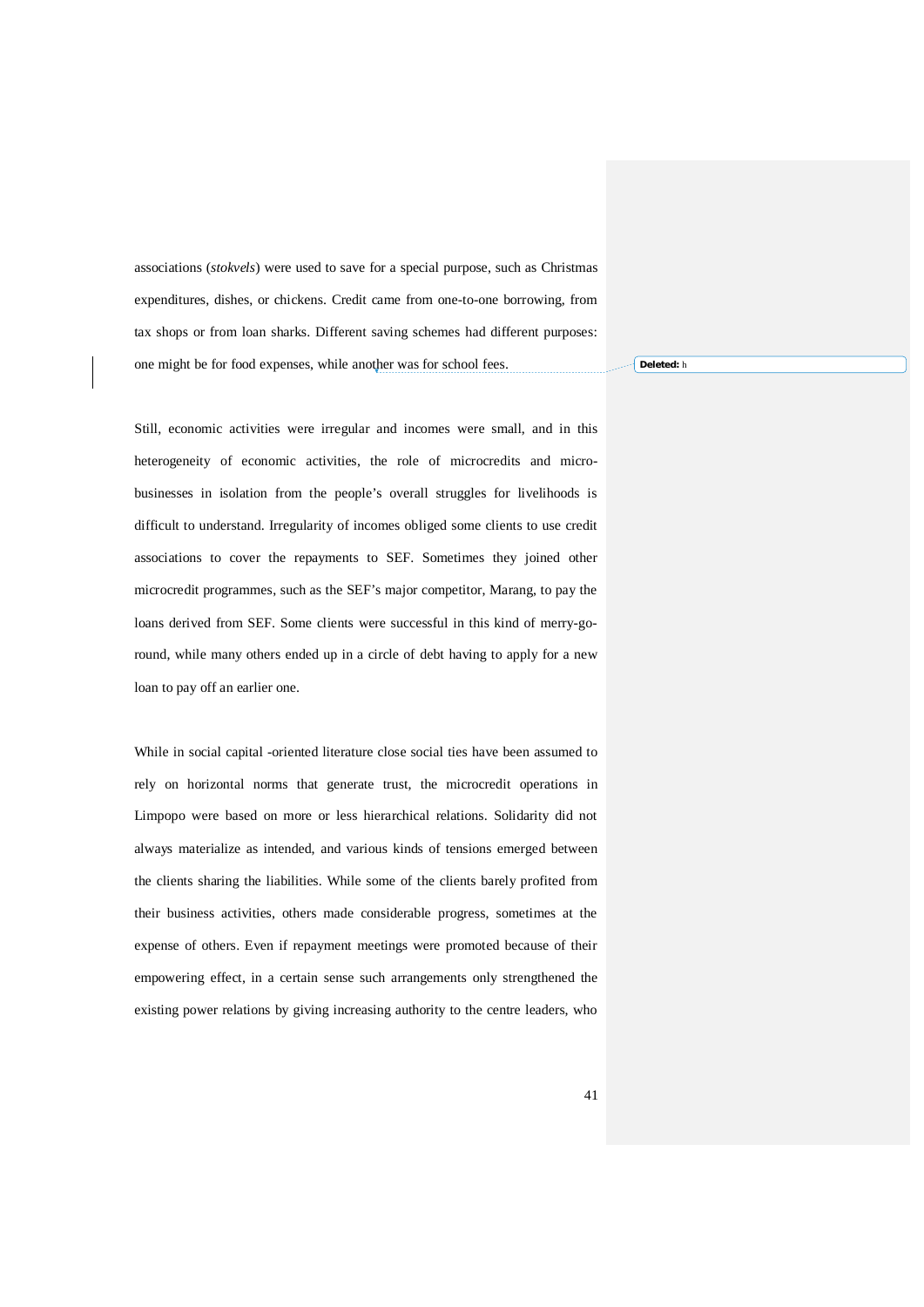associations (*stokvels*) were used to save for a special purpose, such as Christmas expenditures, dishes, or chickens. Credit came from one-to-one borrowing, from tax shops or from loan sharks. Different saving schemes had different purposes: one might be for food expenses, while another was for school fees.

Still, economic activities were irregular and incomes were small, and in this heterogeneity of economic activities, the role of microcredits and microbusinesses in isolation from the people's overall struggles for livelihoods is difficult to understand. Irregularity of incomes obliged some clients to use credit associations to cover the repayments to SEF. Sometimes they joined other microcredit programmes, such as the SEF's major competitor, Marang, to pay the loans derived from SEF. Some clients were successful in this kind of merry-goround, while many others ended up in a circle of debt having to apply for a new loan to pay off an earlier one.

While in social capital -oriented literature close social ties have been assumed to rely on horizontal norms that generate trust, the microcredit operations in Limpopo were based on more or less hierarchical relations. Solidarity did not always materialize as intended, and various kinds of tensions emerged between the clients sharing the liabilities. While some of the clients barely profited from their business activities, others made considerable progress, sometimes at the expense of others. Even if repayment meetings were promoted because of their empowering effect, in a certain sense such arrangements only strengthened the existing power relations by giving increasing authority to the centre leaders, who

**Deleted:** h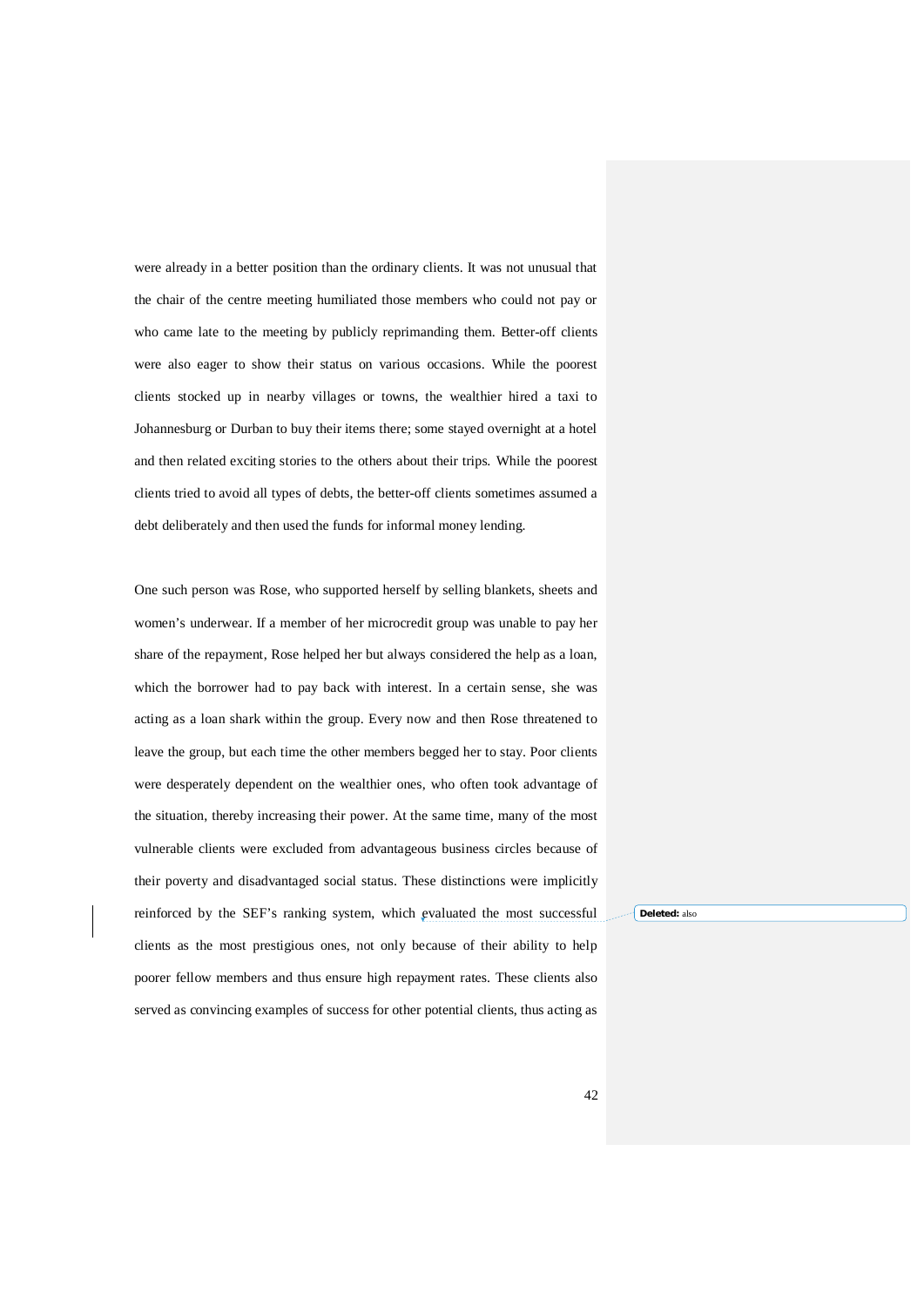were already in a better position than the ordinary clients. It was not unusual that the chair of the centre meeting humiliated those members who could not pay or who came late to the meeting by publicly reprimanding them. Better-off clients were also eager to show their status on various occasions. While the poorest clients stocked up in nearby villages or towns, the wealthier hired a taxi to Johannesburg or Durban to buy their items there; some stayed overnight at a hotel and then related exciting stories to the others about their trips. While the poorest clients tried to avoid all types of debts, the better-off clients sometimes assumed a debt deliberately and then used the funds for informal money lending.

One such person was Rose, who supported herself by selling blankets, sheets and women's underwear. If a member of her microcredit group was unable to pay her share of the repayment, Rose helped her but always considered the help as a loan, which the borrower had to pay back with interest. In a certain sense, she was acting as a loan shark within the group. Every now and then Rose threatened to leave the group, but each time the other members begged her to stay. Poor clients were desperately dependent on the wealthier ones, who often took advantage of the situation, thereby increasing their power. At the same time, many of the most vulnerable clients were excluded from advantageous business circles because of their poverty and disadvantaged social status. These distinctions were implicitly reinforced by the SEF's ranking system, which evaluated the most successful clients as the most prestigious ones, not only because of their ability to help poorer fellow members and thus ensure high repayment rates. These clients also served as convincing examples of success for other potential clients, thus acting as

**Deleted:** also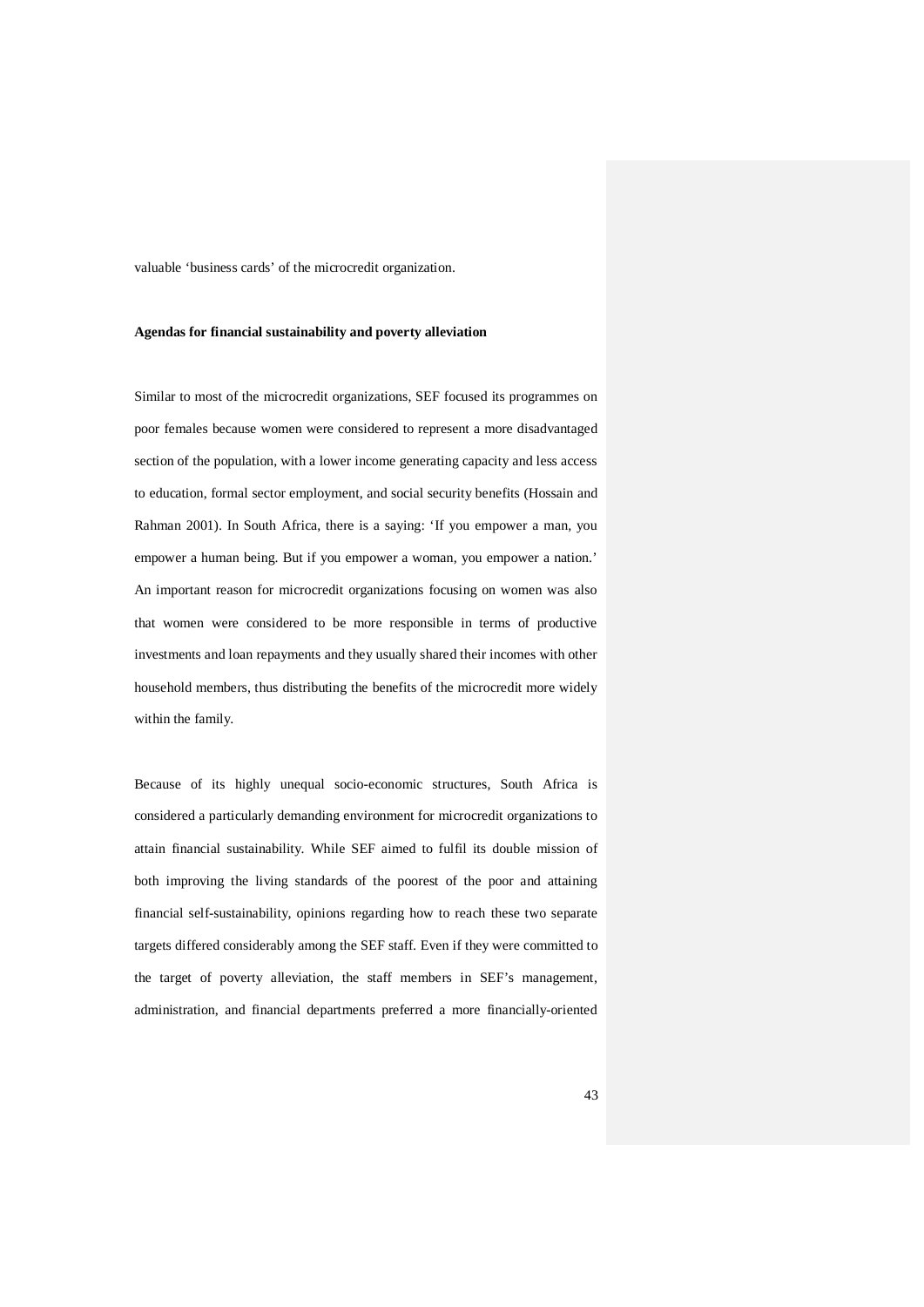valuable 'business cards' of the microcredit organization.

#### **Agendas for financial sustainability and poverty alleviation**

Similar to most of the microcredit organizations, SEF focused its programmes on poor females because women were considered to represent a more disadvantaged section of the population, with a lower income generating capacity and less access to education, formal sector employment, and social security benefits (Hossain and Rahman 2001). In South Africa, there is a saying: 'If you empower a man, you empower a human being. But if you empower a woman, you empower a nation.' An important reason for microcredit organizations focusing on women was also that women were considered to be more responsible in terms of productive investments and loan repayments and they usually shared their incomes with other household members, thus distributing the benefits of the microcredit more widely within the family.

Because of its highly unequal socio-economic structures, South Africa is considered a particularly demanding environment for microcredit organizations to attain financial sustainability. While SEF aimed to fulfil its double mission of both improving the living standards of the poorest of the poor and attaining financial self-sustainability, opinions regarding how to reach these two separate targets differed considerably among the SEF staff. Even if they were committed to the target of poverty alleviation, the staff members in SEF's management, administration, and financial departments preferred a more financially-oriented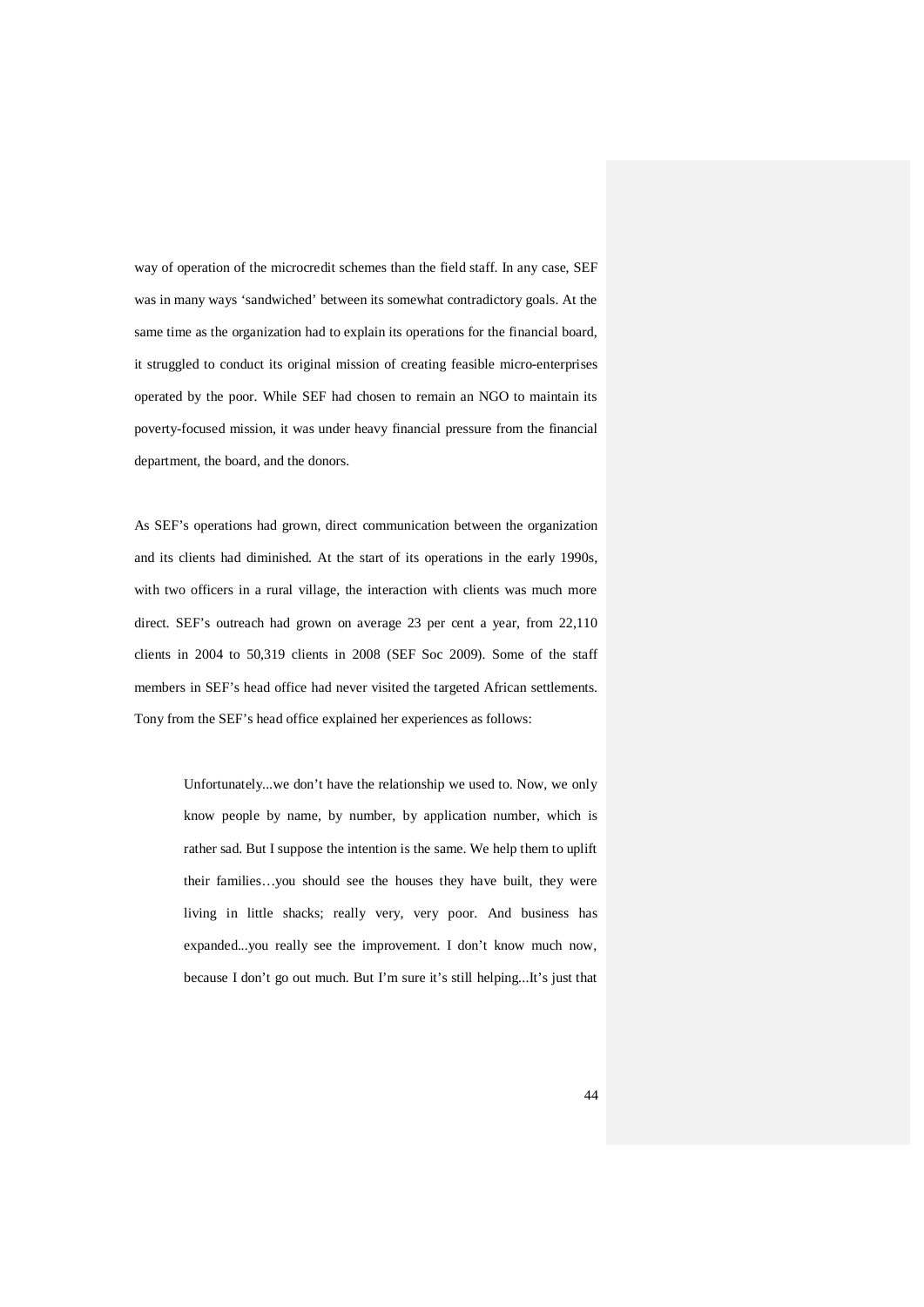way of operation of the microcredit schemes than the field staff. In any case, SEF was in many ways 'sandwiched' between its somewhat contradictory goals. At the same time as the organization had to explain its operations for the financial board, it struggled to conduct its original mission of creating feasible micro-enterprises operated by the poor. While SEF had chosen to remain an NGO to maintain its poverty-focused mission, it was under heavy financial pressure from the financial department, the board, and the donors.

As SEF's operations had grown, direct communication between the organization and its clients had diminished. At the start of its operations in the early 1990s, with two officers in a rural village, the interaction with clients was much more direct. SEF's outreach had grown on average 23 per cent a year, from 22,110 clients in 2004 to 50,319 clients in 2008 (SEF Soc 2009). Some of the staff members in SEF's head office had never visited the targeted African settlements. Tony from the SEF's head office explained her experiences as follows:

> Unfortunately...we don't have the relationship we used to. Now, we only know people by name, by number, by application number, which is rather sad. But I suppose the intention is the same. We help them to uplift their families…you should see the houses they have built, they were living in little shacks; really very, very poor. And business has expanded...you really see the improvement. I don't know much now, because I don't go out much. But I'm sure it's still helping...It's just that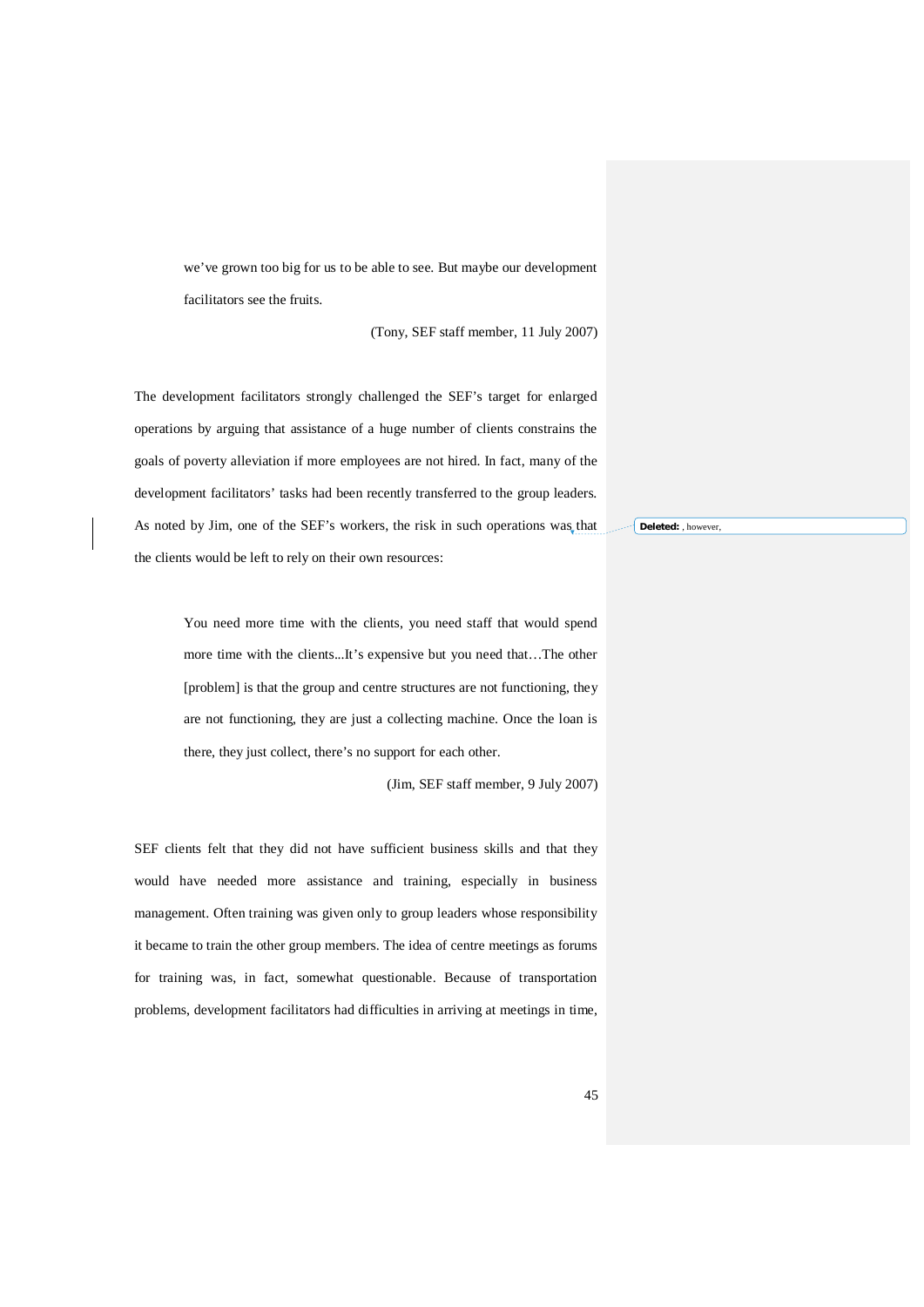we've grown too big for us to be able to see. But maybe our development facilitators see the fruits.

(Tony, SEF staff member, 11 July 2007)

The development facilitators strongly challenged the SEF's target for enlarged operations by arguing that assistance of a huge number of clients constrains the goals of poverty alleviation if more employees are not hired. In fact, many of the development facilitators' tasks had been recently transferred to the group leaders. As noted by Jim, one of the SEF's workers, the risk in such operations was that the clients would be left to rely on their own resources:

> You need more time with the clients, you need staff that would spend more time with the clients...It's expensive but you need that…The other [problem] is that the group and centre structures are not functioning, they are not functioning, they are just a collecting machine. Once the loan is there, they just collect, there's no support for each other.

> > (Jim, SEF staff member, 9 July 2007)

SEF clients felt that they did not have sufficient business skills and that they would have needed more assistance and training, especially in business management. Often training was given only to group leaders whose responsibility it became to train the other group members. The idea of centre meetings as forums for training was, in fact, somewhat questionable. Because of transportation problems, development facilitators had difficulties in arriving at meetings in time,

**Deleted:** , however,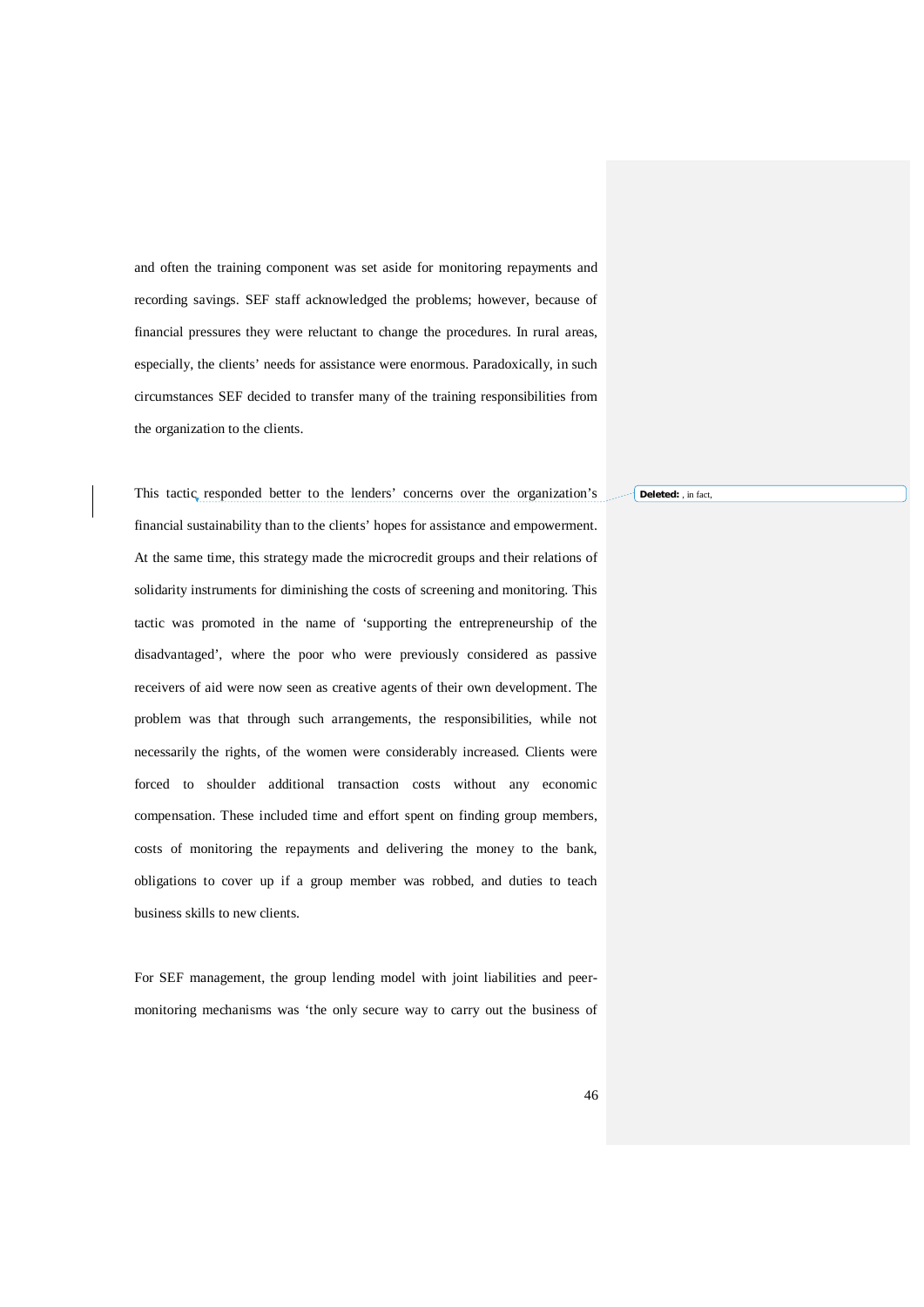and often the training component was set aside for monitoring repayments and recording savings. SEF staff acknowledged the problems; however, because of financial pressures they were reluctant to change the procedures. In rural areas, especially, the clients' needs for assistance were enormous. Paradoxically, in such circumstances SEF decided to transfer many of the training responsibilities from the organization to the clients.

This tactic responded better to the lenders' concerns over the organization's financial sustainability than to the clients' hopes for assistance and empowerment. At the same time, this strategy made the microcredit groups and their relations of solidarity instruments for diminishing the costs of screening and monitoring. This tactic was promoted in the name of 'supporting the entrepreneurship of the disadvantaged', where the poor who were previously considered as passive receivers of aid were now seen as creative agents of their own development. The problem was that through such arrangements, the responsibilities, while not necessarily the rights, of the women were considerably increased. Clients were forced to shoulder additional transaction costs without any economic compensation. These included time and effort spent on finding group members, costs of monitoring the repayments and delivering the money to the bank, obligations to cover up if a group member was robbed, and duties to teach business skills to new clients.

For SEF management, the group lending model with joint liabilities and peermonitoring mechanisms was 'the only secure way to carry out the business of **Deleted:** , in fact,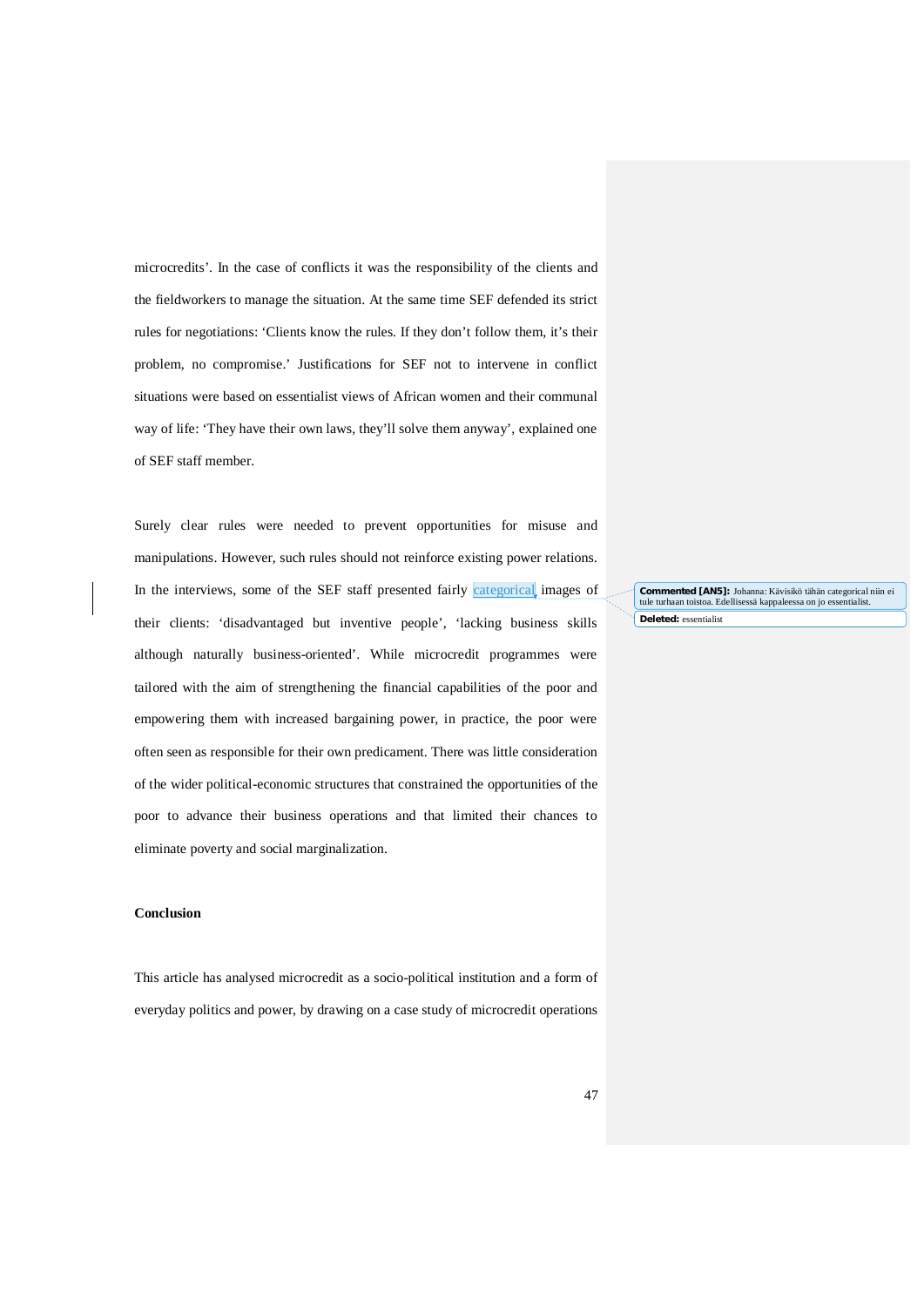microcredits'. In the case of conflicts it was the responsibility of the clients and the fieldworkers to manage the situation. At the same time SEF defended its strict rules for negotiations: 'Clients know the rules. If they don't follow them, it's their problem, no compromise.' Justifications for SEF not to intervene in conflict situations were based on essentialist views of African women and their communal way of life: 'They have their own laws, they'll solve them anyway', explained one of SEF staff member.

Surely clear rules were needed to prevent opportunities for misuse and manipulations. However, such rules should not reinforce existing power relations. In the interviews, some of the SEF staff presented fairly categorical images of their clients: 'disadvantaged but inventive people', 'lacking business skills although naturally business-oriented'. While microcredit programmes were tailored with the aim of strengthening the financial capabilities of the poor and empowering them with increased bargaining power, in practice, the poor were often seen as responsible for their own predicament. There was little consideration of the wider political-economic structures that constrained the opportunities of the poor to advance their business operations and that limited their chances to eliminate poverty and social marginalization.

#### **Conclusion**

This article has analysed microcredit as a socio-political institution and a form of everyday politics and power, by drawing on a case study of microcredit operations **Deleted:** essentialist **Commented [AN5]:** Johanna: Kävisikö tähän categorical niin ei tule turhaan toistoa. Edellisessä kappaleessa on jo essentialist.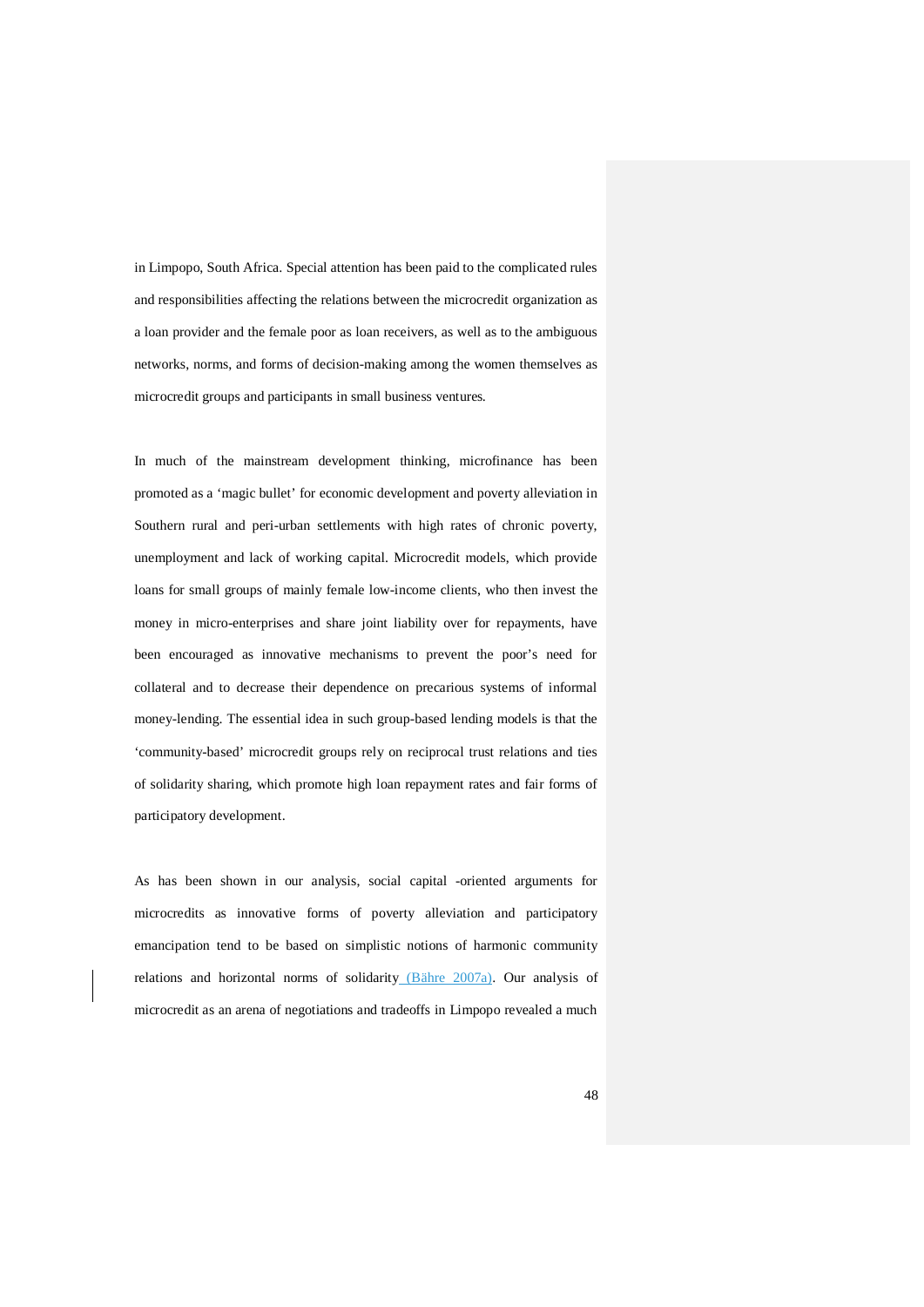in Limpopo, South Africa. Special attention has been paid to the complicated rules and responsibilities affecting the relations between the microcredit organization as a loan provider and the female poor as loan receivers, as well as to the ambiguous networks, norms, and forms of decision-making among the women themselves as microcredit groups and participants in small business ventures.

In much of the mainstream development thinking, microfinance has been promoted as a 'magic bullet' for economic development and poverty alleviation in Southern rural and peri-urban settlements with high rates of chronic poverty, unemployment and lack of working capital. Microcredit models, which provide loans for small groups of mainly female low-income clients, who then invest the money in micro-enterprises and share joint liability over for repayments, have been encouraged as innovative mechanisms to prevent the poor's need for collateral and to decrease their dependence on precarious systems of informal money-lending. The essential idea in such group-based lending models is that the 'community-based' microcredit groups rely on reciprocal trust relations and ties of solidarity sharing, which promote high loan repayment rates and fair forms of participatory development.

As has been shown in our analysis, social capital -oriented arguments for microcredits as innovative forms of poverty alleviation and participatory emancipation tend to be based on simplistic notions of harmonic community relations and horizontal norms of solidarity (Bähre 2007a). Our analysis of microcredit as an arena of negotiations and tradeoffs in Limpopo revealed a much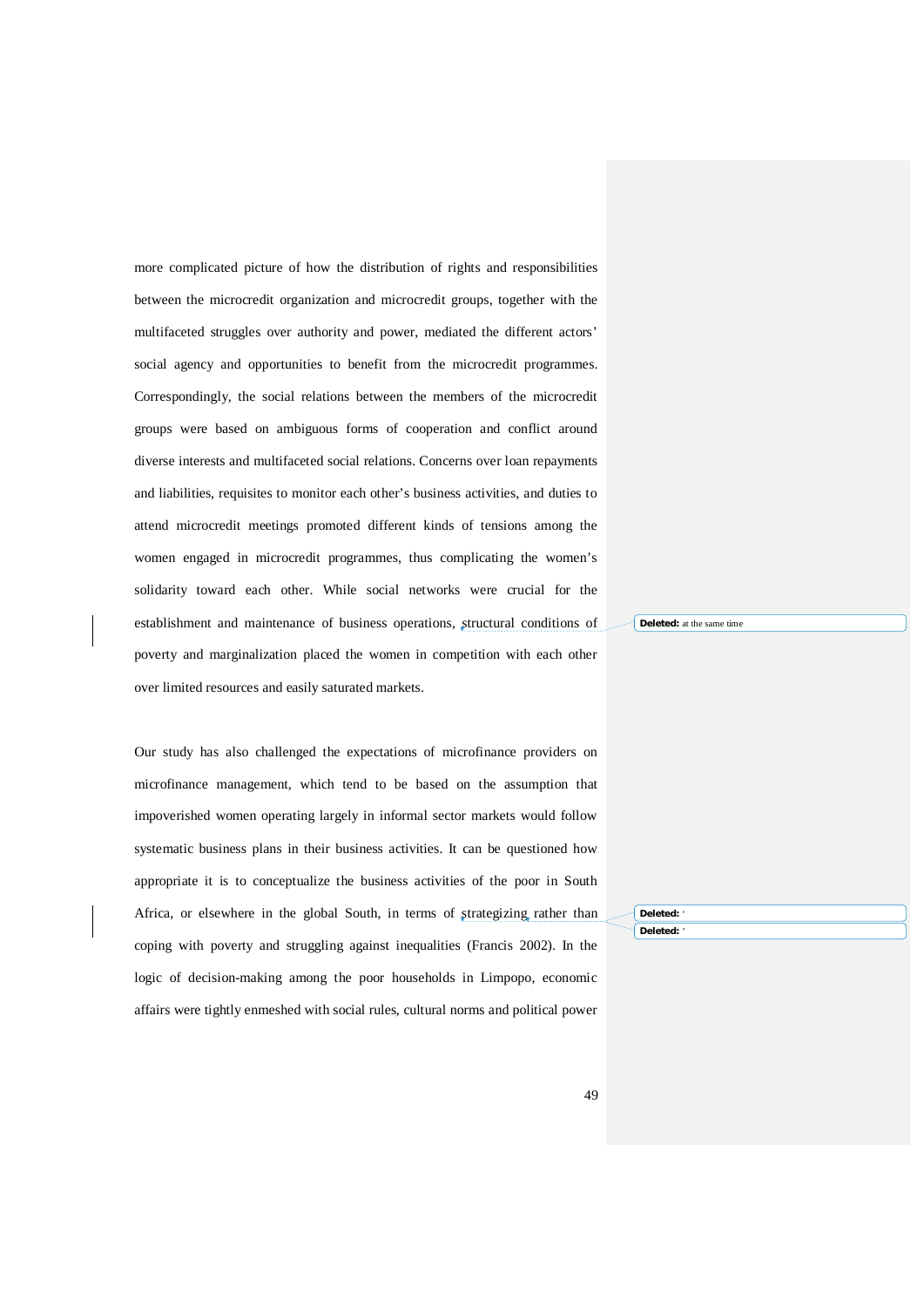more complicated picture of how the distribution of rights and responsibilities between the microcredit organization and microcredit groups, together with the multifaceted struggles over authority and power, mediated the different actors' social agency and opportunities to benefit from the microcredit programmes. Correspondingly, the social relations between the members of the microcredit groups were based on ambiguous forms of cooperation and conflict around diverse interests and multifaceted social relations. Concerns over loan repayments and liabilities, requisites to monitor each other's business activities, and duties to attend microcredit meetings promoted different kinds of tensions among the women engaged in microcredit programmes, thus complicating the women's solidarity toward each other. While social networks were crucial for the establishment and maintenance of business operations, structural conditions of poverty and marginalization placed the women in competition with each other over limited resources and easily saturated markets.

Our study has also challenged the expectations of microfinance providers on microfinance management, which tend to be based on the assumption that impoverished women operating largely in informal sector markets would follow systematic business plans in their business activities. It can be questioned how appropriate it is to conceptualize the business activities of the poor in South Africa, or elsewhere in the global South, in terms of strategizing rather than coping with poverty and struggling against inequalities (Francis 2002). In the logic of decision-making among the poor households in Limpopo, economic affairs were tightly enmeshed with social rules, cultural norms and political power **Deleted:** at the same time

**Deleted:** ' **Deleted:** '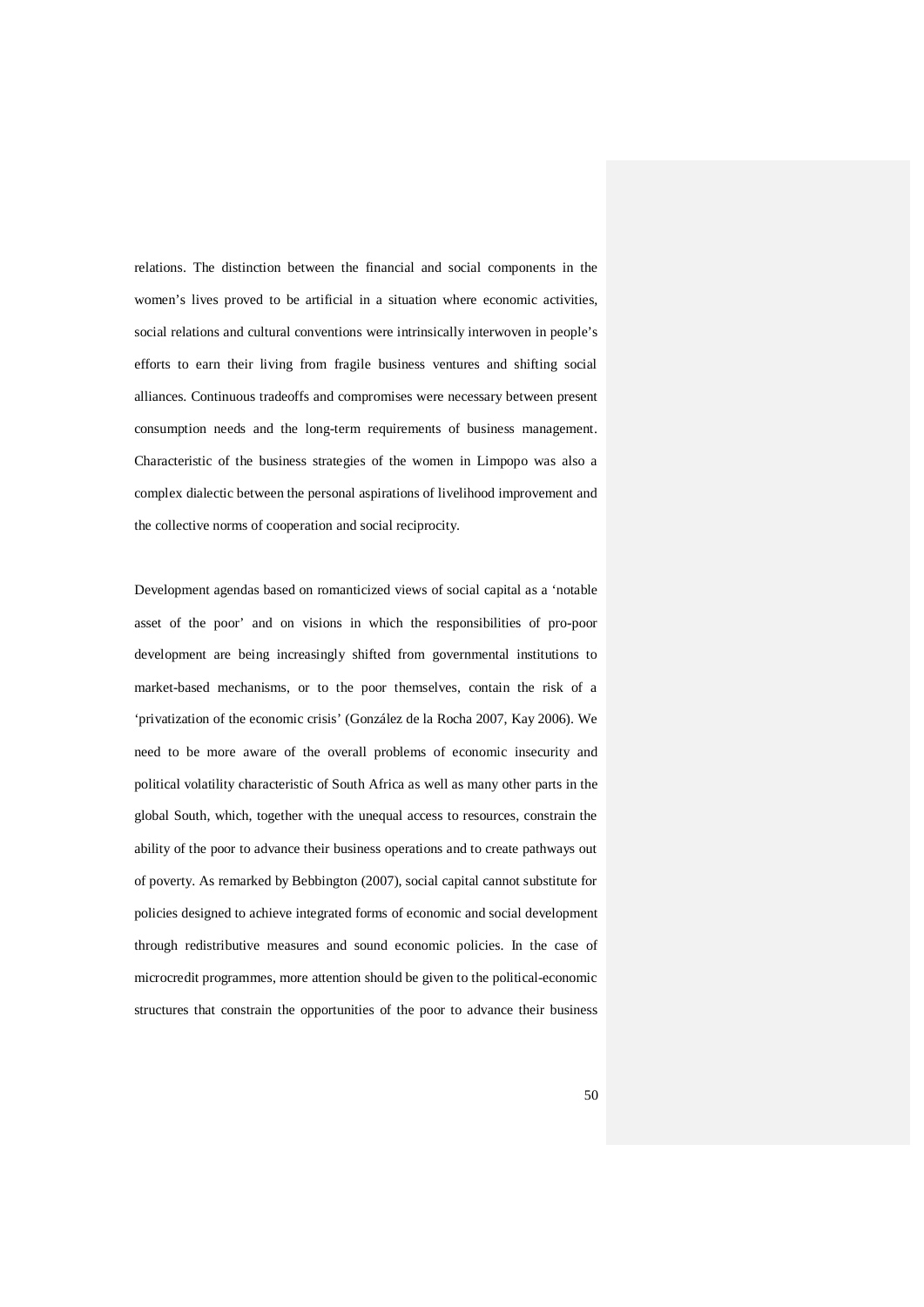relations. The distinction between the financial and social components in the women's lives proved to be artificial in a situation where economic activities, social relations and cultural conventions were intrinsically interwoven in people's efforts to earn their living from fragile business ventures and shifting social alliances. Continuous tradeoffs and compromises were necessary between present consumption needs and the long-term requirements of business management. Characteristic of the business strategies of the women in Limpopo was also a complex dialectic between the personal aspirations of livelihood improvement and the collective norms of cooperation and social reciprocity.

Development agendas based on romanticized views of social capital as a 'notable asset of the poor' and on visions in which the responsibilities of pro-poor development are being increasingly shifted from governmental institutions to market-based mechanisms, or to the poor themselves, contain the risk of a 'privatization of the economic crisis' (González de la Rocha 2007, Kay 2006). We need to be more aware of the overall problems of economic insecurity and political volatility characteristic of South Africa as well as many other parts in the global South, which, together with the unequal access to resources, constrain the ability of the poor to advance their business operations and to create pathways out of poverty. As remarked by Bebbington (2007), social capital cannot substitute for policies designed to achieve integrated forms of economic and social development through redistributive measures and sound economic policies. In the case of microcredit programmes, more attention should be given to the political-economic structures that constrain the opportunities of the poor to advance their business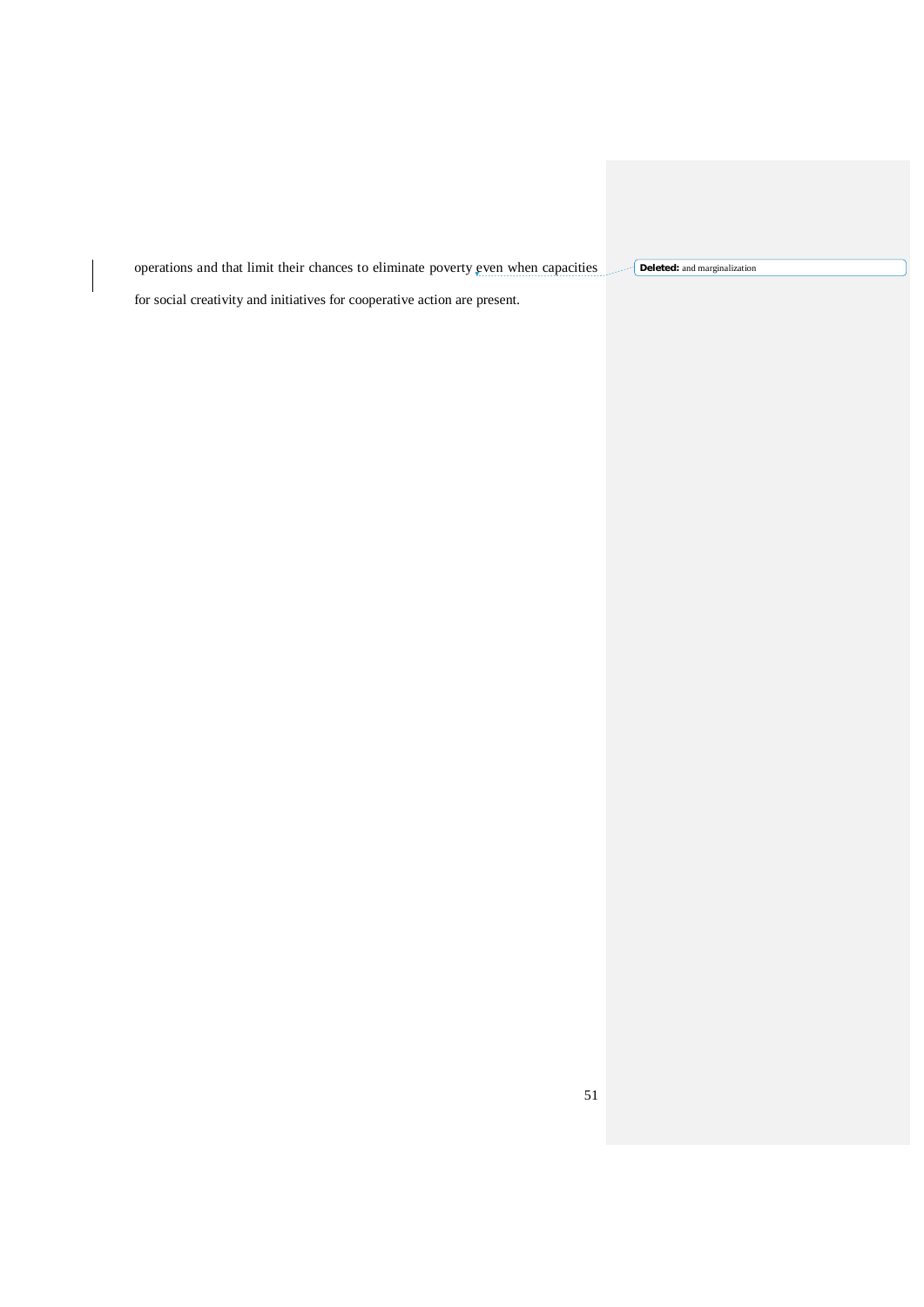operations and that limit their chances to eliminate poverty even when capacities **Deleted:** and marginalization

for social creativity and initiatives for cooperative action are present.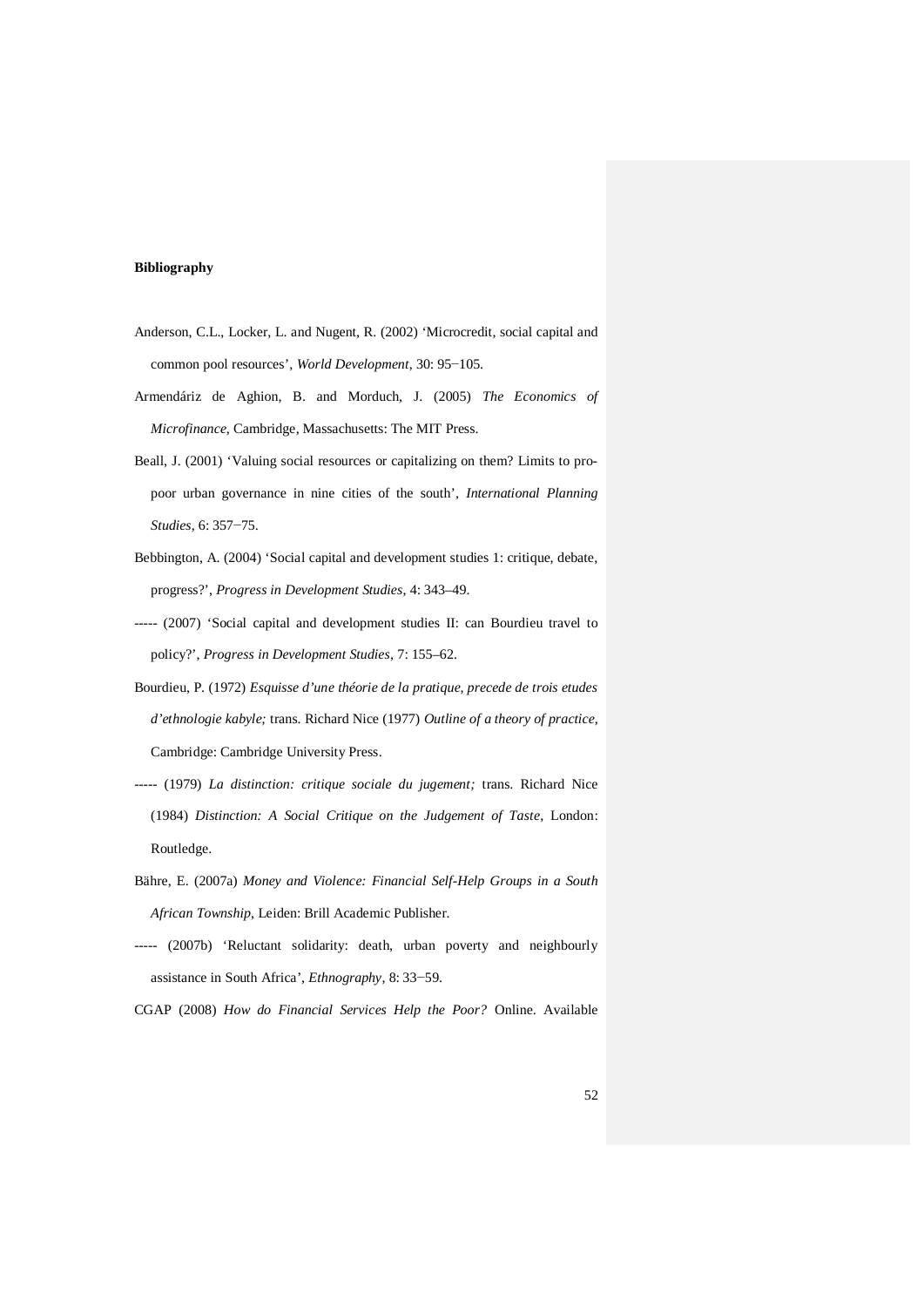#### **Bibliography**

- Anderson, C.L., Locker, L. and Nugent, R. (2002) 'Microcredit, social capital and common pool resources', *World Development*, 30: 95−105.
- Armendáriz de Aghion, B. and Morduch, J. (2005) *The Economics of Microfinance*, Cambridge, Massachusetts: The MIT Press.
- Beall, J. (2001) 'Valuing social resources or capitalizing on them? Limits to propoor urban governance in nine cities of the south', *International Planning Studies*, 6: 357−75.
- Bebbington, A. (2004) 'Social capital and development studies 1: critique, debate, progress?', *Progress in Development Studies*, 4: 343–49.
- ----- (2007) 'Social capital and development studies II: can Bourdieu travel to policy?', *Progress in Development Studies*, 7: 155–62.
- Bourdieu, P. (1972) *Esquisse d'une théorie de la pratique, precede de trois etudes d'ethnologie kabyle;* trans. Richard Nice (1977) *Outline of a theory of practice*, Cambridge: Cambridge University Press.
- ----- (1979) *La distinction: critique sociale du jugement;* trans. Richard Nice (1984) *Distinction: A Social Critique on the Judgement of Taste*, London: Routledge.
- Bähre, E. (2007a) *Money and Violence: Financial Self-Help Groups in a South African Township*, Leiden: Brill Academic Publisher.
- ----- (2007b) 'Reluctant solidarity: death, urban poverty and neighbourly assistance in South Africa', *Ethnography*, 8: 33−59.

CGAP (2008) *How do Financial Services Help the Poor?* Online. Available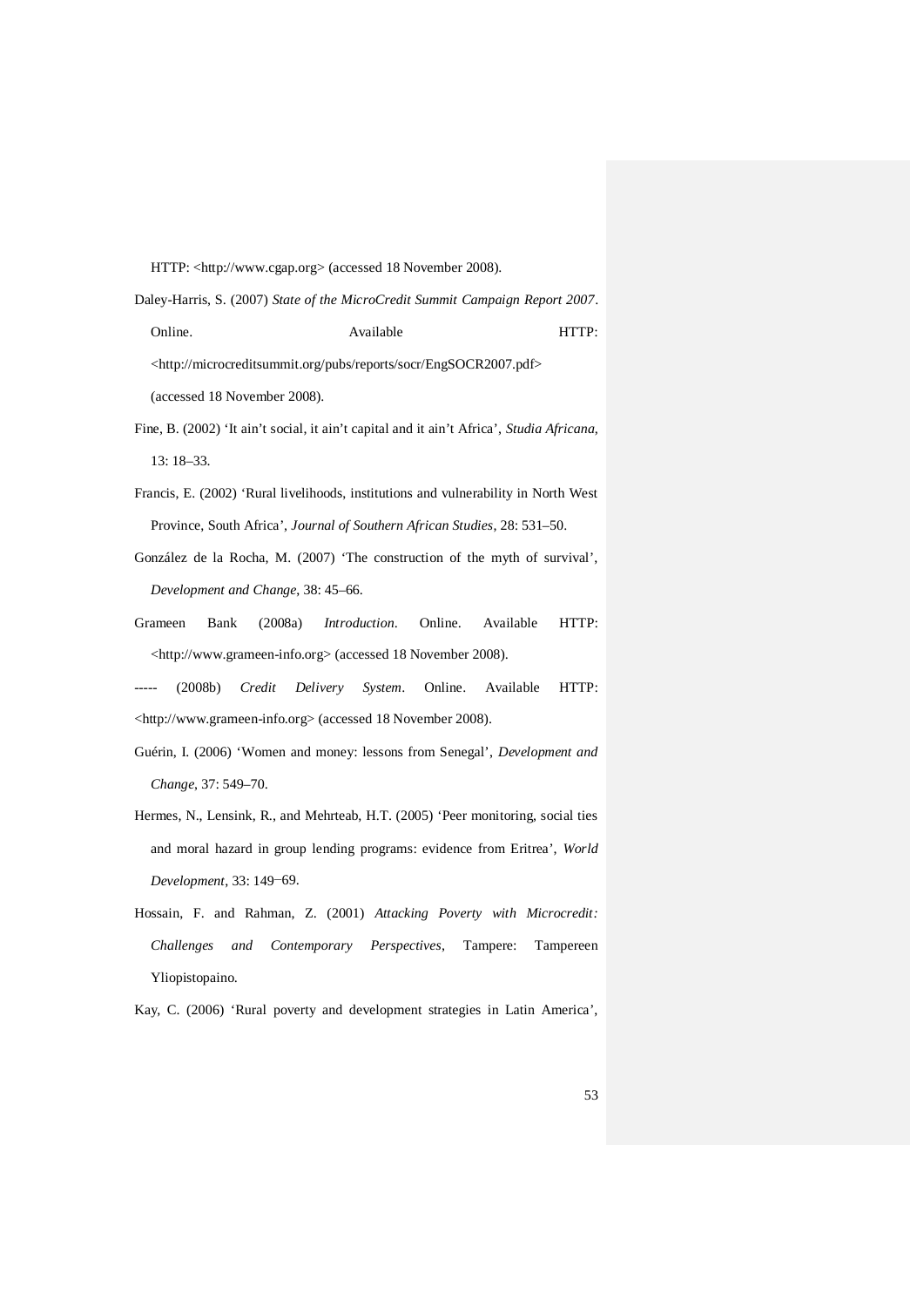HTTP: <http://www.cgap.org> (accessed 18 November 2008).

Daley-Harris, S. (2007) *State of the MicroCredit Summit Campaign Report 2007*. Online. Available **Available** HTTP: <http://microcreditsummit.org/pubs/reports/socr/EngSOCR2007.pdf> (accessed 18 November 2008).

- Fine, B. (2002) 'It ain't social, it ain't capital and it ain't Africa', *Studia Africana*, 13: 18–33.
- Francis, E. (2002) 'Rural livelihoods, institutions and vulnerability in North West Province, South Africa', *Journal of Southern African Studies*, 28: 531–50.
- González de la Rocha, M. (2007) 'The construction of the myth of survival', *Development and Change*, 38: 45–66.
- Grameen Bank (2008a) *Introduction*. Online. Available HTTP: <http://www.grameen-info.org> (accessed 18 November 2008).
- ----- (2008b) *Credit Delivery System*. Online. Available HTTP: <http://www.grameen-info.org> (accessed 18 November 2008).
- Guérin, I. (2006) 'Women and money: lessons from Senegal', *Development and Change*, 37: 549–70.
- Hermes, N., Lensink, R., and Mehrteab, H.T. (2005) 'Peer monitoring, social ties and moral hazard in group lending programs: evidence from Eritrea', *World Development*, 33: 149−69.
- Hossain, F. and Rahman, Z. (2001) *Attacking Poverty with Microcredit: Challenges and Contemporary Perspectives*, Tampere: Tampereen Yliopistopaino.

Kay, C. (2006) 'Rural poverty and development strategies in Latin America',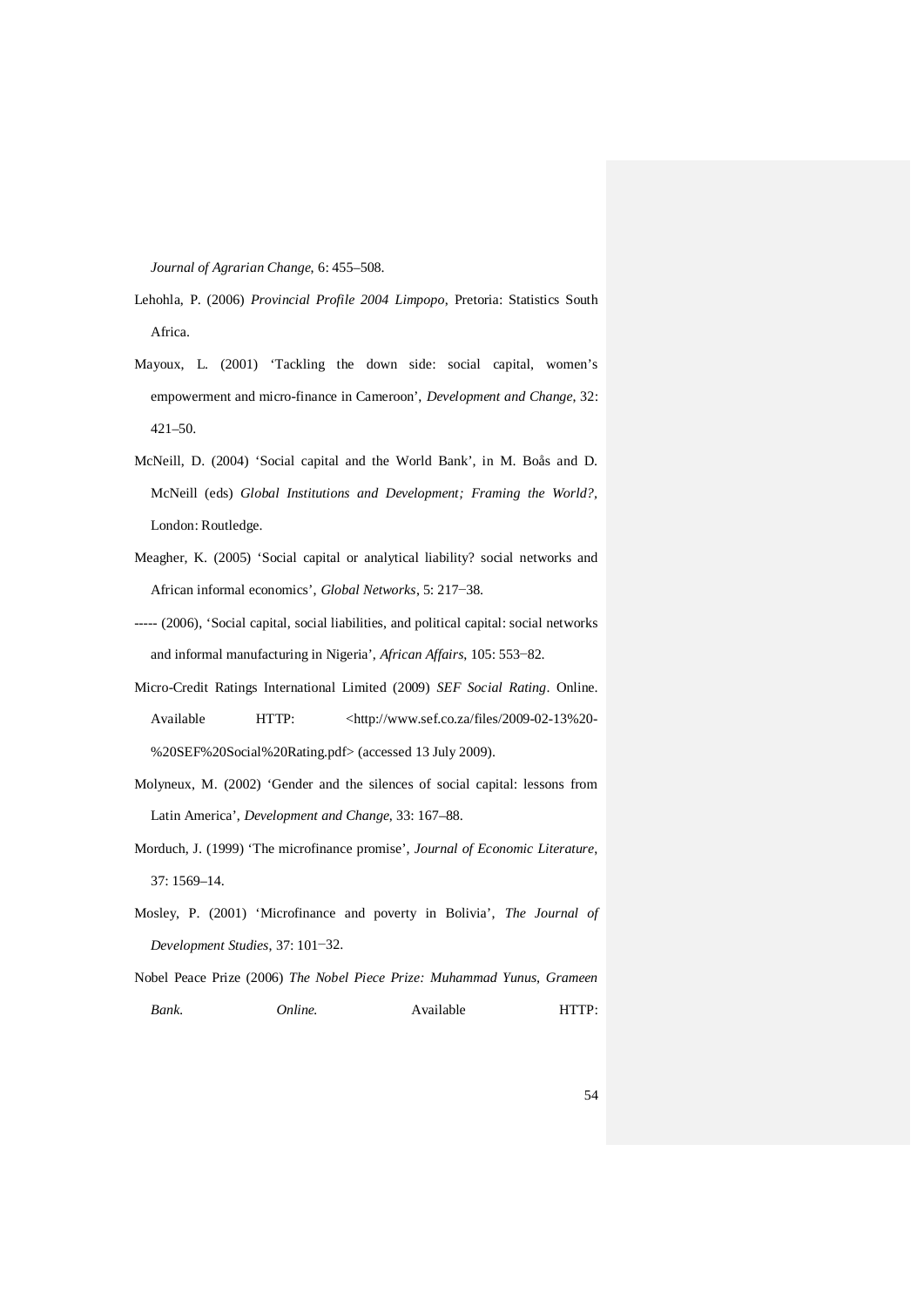*Journal of Agrarian Change*, 6: 455–508.

- Lehohla, P. (2006) *Provincial Profile 2004 Limpopo*, Pretoria: Statistics South Africa.
- Mayoux, L. (2001) 'Tackling the down side: social capital, women's empowerment and micro-finance in Cameroon', *Development and Change*, 32: 421–50.
- McNeill, D. (2004) 'Social capital and the World Bank', in M. Boås and D. McNeill (eds) *Global Institutions and Development; Framing the World?,* London: Routledge.
- Meagher, K. (2005) 'Social capital or analytical liability? social networks and African informal economics', *Global Networks*, 5: 217−38.
- ----- (2006), 'Social capital, social liabilities, and political capital: social networks and informal manufacturing in Nigeria', *African Affairs*, 105: 553−82.
- Micro-Credit Ratings International Limited (2009) *SEF Social Rating*. Online. Available HTTP: <http://www.sef.co.za/files/2009-02-13%20- %20SEF%20Social%20Rating.pdf> (accessed 13 July 2009).
- Molyneux, M. (2002) 'Gender and the silences of social capital: lessons from Latin America', *Development and Change*, 33: 167–88.
- Morduch, J. (1999) 'The microfinance promise', *Journal of Economic Literature*, 37: 1569–14.
- Mosley, P. (2001) 'Microfinance and poverty in Bolivia', *The Journal of Development Studies*, 37: 101−32.
- Nobel Peace Prize (2006) *The Nobel Piece Prize: Muhammad Yunus, Grameen Bank. Online.* Available HTTP: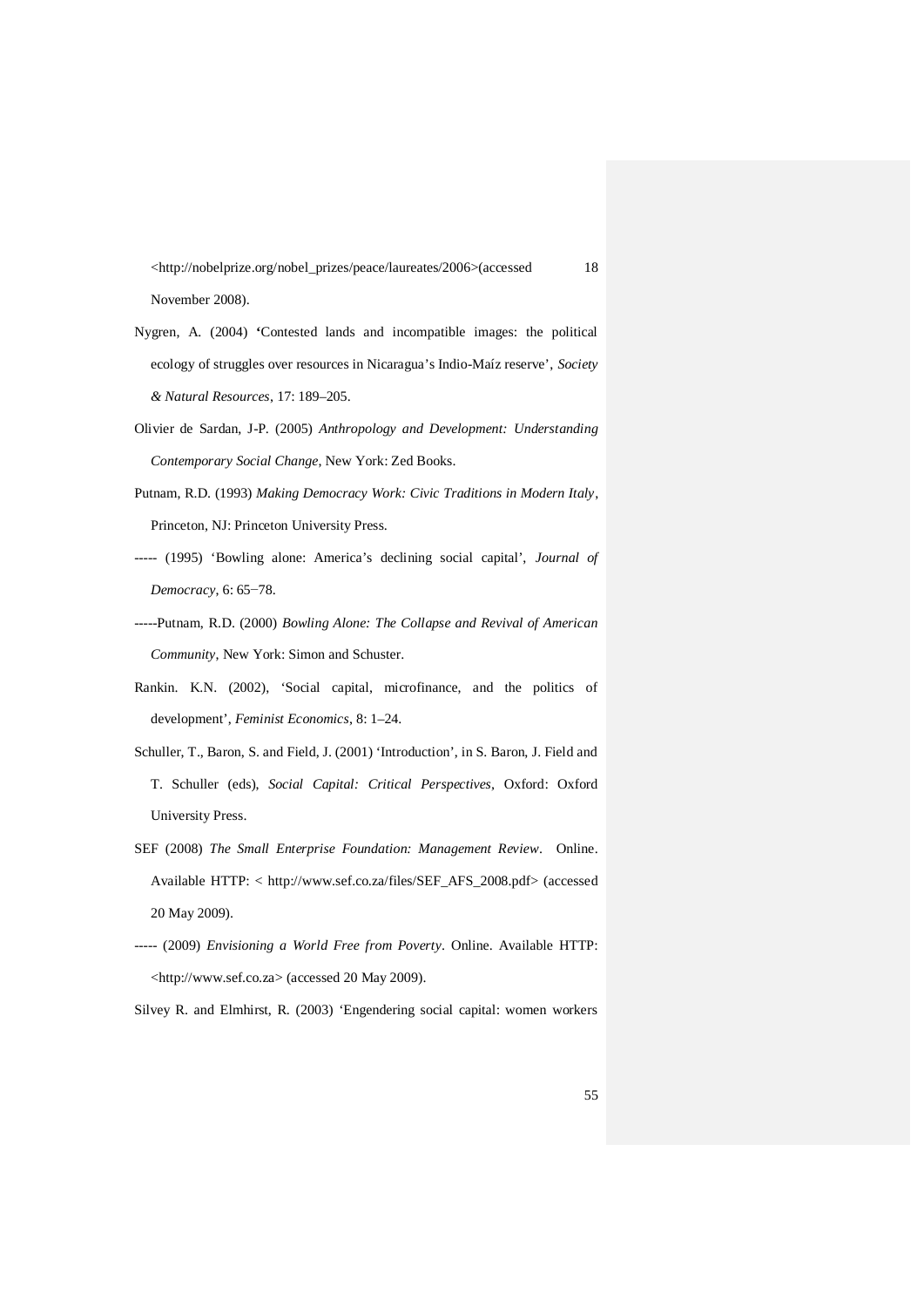<http://nobelprize.org/nobel\_prizes/peace/laureates/2006>(accessed 18 November 2008).

- Nygren, A. (2004) **'**Contested lands and incompatible images: the political ecology of struggles over resources in Nicaragua's Indio-Maíz reserve', *Society & Natural Resources*, 17: 189–205.
- Olivier de Sardan, J-P. (2005) *Anthropology and Development: Understanding Contemporary Social Change*, New York: Zed Books.
- Putnam, R.D. (1993) *Making Democracy Work: Civic Traditions in Modern Italy*, Princeton, NJ: Princeton University Press.
- ----- (1995) 'Bowling alone: America's declining social capital', *Journal of Democracy*, 6: 65−78.
- -----Putnam, R.D. (2000) *Bowling Alone: The Collapse and Revival of American Community*, New York: Simon and Schuster.
- Rankin. K.N. (2002), 'Social capital, microfinance, and the politics of development', *Feminist Economics*, 8: 1–24.
- Schuller, T., Baron, S. and Field, J. (2001) 'Introduction', in S. Baron, J. Field and T. Schuller (eds), *Social Capital: Critical Perspectives,* Oxford: Oxford University Press.
- SEF (2008) *The Small Enterprise Foundation: Management Review*. Online. Available HTTP: < http://www.sef.co.za/files/SEF\_AFS\_2008.pdf> (accessed 20 May 2009).
- ----- (2009) *Envisioning a World Free from Poverty*. Online. Available HTTP: <http://www.sef.co.za> (accessed 20 May 2009).

Silvey R. and Elmhirst, R. (2003) 'Engendering social capital: women workers